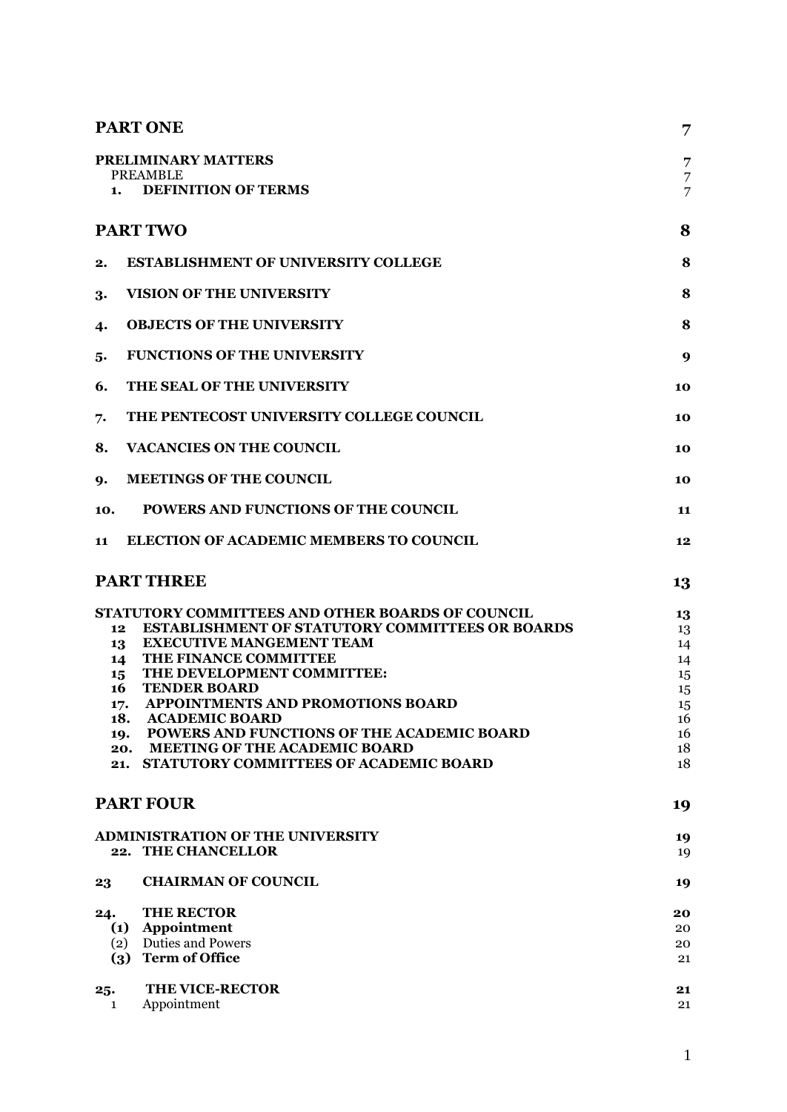|                 | <b>PART ONE</b>                                         |    |
|-----------------|---------------------------------------------------------|----|
|                 | PRELIMINARY MATTERS                                     | 7  |
|                 | <b>PREAMBLE</b>                                         | 7  |
| 1.              | <b>DEFINITION OF TERMS</b>                              | 7  |
|                 | <b>PART TWO</b>                                         | 8  |
| 2.              | <b>ESTABLISHMENT OF UNIVERSITY COLLEGE</b>              | 8  |
| 3.              | <b>VISION OF THE UNIVERSITY</b>                         | 8  |
| 4.              | <b>OBJECTS OF THE UNIVERSITY</b>                        | 8  |
| 5.              | <b>FUNCTIONS OF THE UNIVERSITY</b>                      | 9  |
| 6.              | THE SEAL OF THE UNIVERSITY                              | 10 |
| 7.              | THE PENTECOST UNIVERSITY COLLEGE COUNCIL                | 10 |
| 8.              | <b>VACANCIES ON THE COUNCIL</b>                         | 10 |
| 9.              | <b>MEETINGS OF THE COUNCIL</b>                          | 10 |
| 10.             | POWERS AND FUNCTIONS OF THE COUNCIL                     | 11 |
| 11              | ELECTION OF ACADEMIC MEMBERS TO COUNCIL                 | 12 |
|                 | <b>PART THREE</b>                                       | 13 |
|                 | <b>STATUTORY COMMITTEES AND OTHER BOARDS OF COUNCIL</b> | 13 |
| 12 <sub>1</sub> | <b>ESTABLISHMENT OF STATUTORY COMMITTEES OR BOARDS</b>  | 13 |
| 13              | <b>EXECUTIVE MANGEMENT TEAM</b>                         | 14 |
| 14              | THE FINANCE COMMITTEE                                   | 14 |
| 15              | THE DEVELOPMENT COMMITTEE:                              | 15 |
| 16              | <b>TENDER BOARD</b>                                     | 15 |
| 17.             | <b>APPOINTMENTS AND PROMOTIONS BOARD</b>                | 15 |
| 18.             | <b>ACADEMIC BOARD</b>                                   | 16 |
| 19.             | POWERS AND FUNCTIONS OF THE ACADEMIC BOARD              | 16 |
| 20.             | <b>MEETING OF THE ACADEMIC BOARD</b>                    | 18 |
| 21.             | STATUTORY COMMITTEES OF ACADEMIC BOARD                  | 18 |
|                 | <b>PART FOUR</b>                                        | 19 |
|                 | <b>ADMINISTRATION OF THE UNIVERSITY</b>                 | 19 |
|                 | 22. THE CHANCELLOR                                      | 19 |
| 23              | <b>CHAIRMAN OF COUNCIL</b>                              | 19 |
| 24.             | <b>THE RECTOR</b>                                       | 20 |
| (1)             | Appointment                                             | 20 |
| (2)             | <b>Duties and Powers</b>                                | 20 |
| (3)             | <b>Term of Office</b>                                   | 21 |
| 25.             | <b>THE VICE-RECTOR</b>                                  | 21 |
| $\mathbf{1}$    | Appointment                                             | 21 |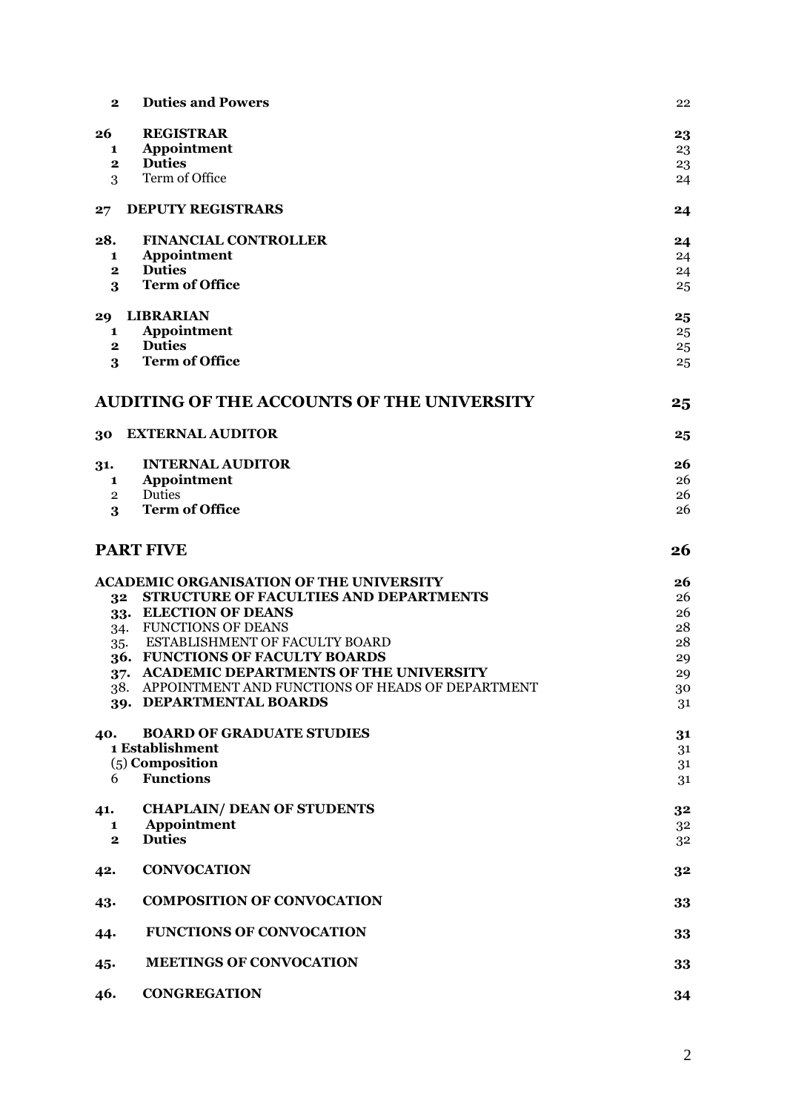| $\mathbf{2}$   | <b>Duties and Powers</b>                             | 22 |
|----------------|------------------------------------------------------|----|
| 26             | <b>REGISTRAR</b>                                     | 23 |
| 1              | Appointment                                          | 23 |
| $\mathbf{2}$   | <b>Duties</b>                                        | 23 |
| 3              | Term of Office                                       | 24 |
| 27             | <b>DEPUTY REGISTRARS</b>                             | 24 |
| 28.            | <b>FINANCIAL CONTROLLER</b>                          | 24 |
| 1              | Appointment                                          | 24 |
| $\mathbf{2}$   | <b>Duties</b>                                        | 24 |
| 3              | <b>Term of Office</b>                                | 25 |
| 29             | LIBRARIAN                                            | 25 |
| 1              | Appointment                                          | 25 |
| $\mathbf{2}$   | <b>Duties</b>                                        | 25 |
| 3              | <b>Term of Office</b>                                | 25 |
|                | <b>AUDITING OF THE ACCOUNTS OF THE UNIVERSITY</b>    | 25 |
|                |                                                      |    |
| 30             | <b>EXTERNAL AUDITOR</b>                              | 25 |
| 31.            | <b>INTERNAL AUDITOR</b>                              | 26 |
| 1              | Appointment                                          | 26 |
| $\overline{2}$ | Duties                                               | 26 |
| 3              | <b>Term of Office</b>                                | 26 |
|                |                                                      |    |
|                | <b>PART FIVE</b>                                     | 26 |
|                | <b>ACADEMIC ORGANISATION OF THE UNIVERSITY</b>       | 26 |
| 32             | <b>STRUCTURE OF FACULTIES AND DEPARTMENTS</b>        | 26 |
|                | 33. ELECTION OF DEANS                                | 26 |
| 34.            | <b>FUNCTIONS OF DEANS</b>                            | 28 |
| 35.            | <b>ESTABLISHMENT OF FACULTY BOARD</b>                | 28 |
|                | 36. FUNCTIONS OF FACULTY BOARDS                      | 29 |
|                | <b>ACADEMIC DEPARTMENTS OF THE UNIVERSITY</b>        |    |
| $37 -$         | 38. APPOINTMENT AND FUNCTIONS OF HEADS OF DEPARTMENT | 29 |
|                | 39. DEPARTMENTAL BOARDS                              | 30 |
|                |                                                      | 31 |
| 40.            | <b>BOARD OF GRADUATE STUDIES</b>                     | 31 |
|                | 1 Establishment                                      | 31 |
|                | $(5)$ Composition                                    | 31 |
| 6              | <b>Functions</b>                                     | 31 |
|                |                                                      |    |
| 41.            | <b>CHAPLAIN/ DEAN OF STUDENTS</b>                    | 32 |
| 1              | Appointment                                          | 32 |
| $\mathbf{2}$   | <b>Duties</b>                                        | 32 |
| 42.            | <b>CONVOCATION</b>                                   | 32 |
| 43.            | <b>COMPOSITION OF CONVOCATION</b>                    | 33 |
| 44.            | <b>FUNCTIONS OF CONVOCATION</b>                      | 33 |
| 45.            | <b>MEETINGS OF CONVOCATION</b>                       | 33 |
| 46.            | <b>CONGREGATION</b>                                  | 34 |

2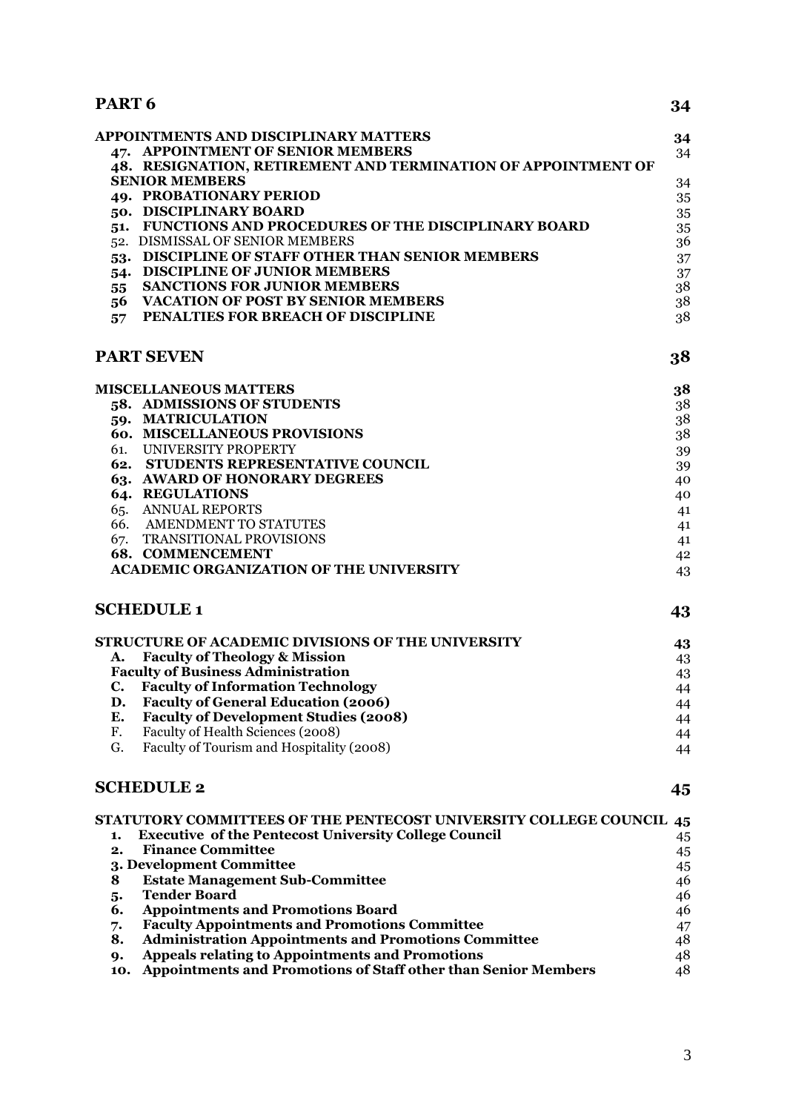# **PART 6 34**

| APPOINTMENTS AND DISCIPLINARY MATTERS                         | 34  |
|---------------------------------------------------------------|-----|
| 47. APPOINTMENT OF SENIOR MEMBERS                             | 34  |
| 48. RESIGNATION, RETIREMENT AND TERMINATION OF APPOINTMENT OF |     |
| <b>SENIOR MEMBERS</b>                                         | 34  |
| 49. PROBATIONARY PERIOD                                       | 35  |
| 50. DISCIPLINARY BOARD                                        | 35  |
| <b>FUNCTIONS AND PROCEDURES OF THE DISCIPLINARY BOARD</b>     | 35  |
| 52. DISMISSAL OF SENIOR MEMBERS                               | 36. |
| DISCIPLINE OF STAFF OTHER THAN SENIOR MEMBERS                 | 37  |
| <b>DISCIPLINE OF JUNIOR MEMBERS</b>                           | 37  |
| <b>SANCTIONS FOR JUNIOR MEMBERS</b><br>55                     | 38  |
| <b>VACATION OF POST BY SENIOR MEMBERS</b><br>56.              | 38  |
| PENALTIES FOR BREACH OF DISCIPLINE<br>57                      | 38  |
|                                                               |     |

# **[PART SEVEN](#page-37-3) 38**

|     | MISCELLANEOUS MATTERS                          | 38 |
|-----|------------------------------------------------|----|
|     | 58. ADMISSIONS OF STUDENTS                     | 38 |
| 59. | <b>MATRICULATION</b>                           | 38 |
|     | <b>60. MISCELLANEOUS PROVISIONS</b>            | 38 |
| 61. | UNIVERSITY PROPERTY                            | 39 |
| 62. | <b>STUDENTS REPRESENTATIVE COUNCIL</b>         | 39 |
|     | 63. AWARD OF HONORARY DEGREES                  | 40 |
| 64. | <b>REGULATIONS</b>                             | 40 |
| 65. | <b>ANNUAL REPORTS</b>                          | 41 |
| 66. | AMENDMENT TO STATUTES                          | 41 |
| 67. | <b>TRANSITIONAL PROVISIONS</b>                 | 41 |
|     | <b>68. COMMENCEMENT</b>                        | 42 |
|     | <b>ACADEMIC ORGANIZATION OF THE UNIVERSITY</b> | 43 |
|     |                                                |    |

# **[SCHEDULE 1](#page-42-1) 43**

|    | STRUCTURE OF ACADEMIC DIVISIONS OF THE UNIVERSITY | 43 |
|----|---------------------------------------------------|----|
| A. | <b>Faculty of Theology &amp; Mission</b>          | 43 |
|    | <b>Faculty of Business Administration</b>         | 43 |
|    | <b>Faculty of Information Technology</b>          | 44 |
| D. | <b>Faculty of General Education (2006)</b>        | 44 |
| Е. | <b>Faculty of Development Studies (2008)</b>      | 44 |
| F. | Faculty of Health Sciences (2008)                 | 44 |
| G. | Faculty of Tourism and Hospitality (2008)         | 44 |
|    |                                                   |    |

# **[SCHEDULE 2](#page-44-0) 45**

| STATUTORY COMMITTEES OF THE PENTECOST UNIVERSITY COLLEGE COUNCIL 45 |    |
|---------------------------------------------------------------------|----|
| <b>Executive of the Pentecost University College Council</b>        | 45 |
| <b>Finance Committee</b><br>2.                                      | 45 |
| 3. Development Committee                                            | 45 |
| <b>Estate Management Sub-Committee</b><br>8                         | 46 |
| <b>Tender Board</b><br>5.                                           | 46 |
| <b>Appointments and Promotions Board</b><br>6.                      | 46 |
| <b>Faculty Appointments and Promotions Committee</b><br>7.          | 47 |
| <b>Administration Appointments and Promotions Committee</b><br>8.   | 48 |
| <b>Appeals relating to Appointments and Promotions</b><br>9.        | 48 |
| 10. Appointments and Promotions of Staff other than Senior Members  | 48 |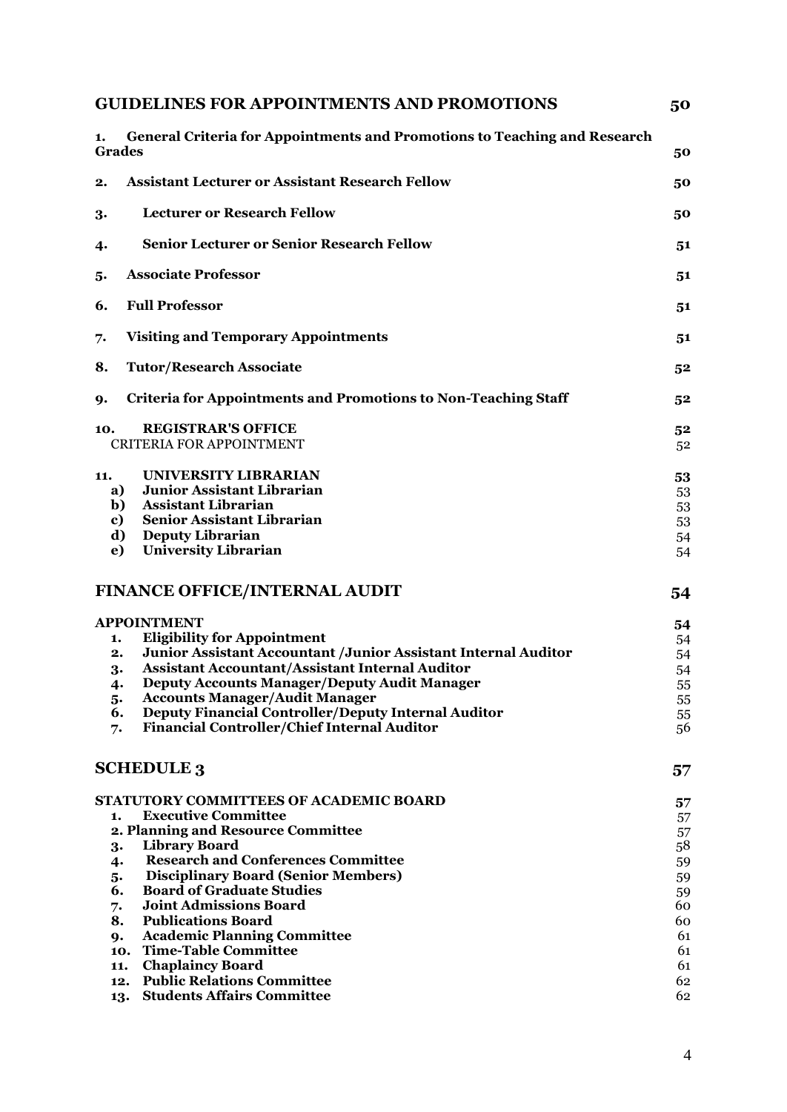| <b>GUIDELINES FOR APPOINTMENTS AND PROMOTIONS</b>                                                                                                                                                                                                                                                                                                                                                                                                                                                                                         |                                                                            |
|-------------------------------------------------------------------------------------------------------------------------------------------------------------------------------------------------------------------------------------------------------------------------------------------------------------------------------------------------------------------------------------------------------------------------------------------------------------------------------------------------------------------------------------------|----------------------------------------------------------------------------|
| <b>General Criteria for Appointments and Promotions to Teaching and Research</b><br>1.<br><b>Grades</b>                                                                                                                                                                                                                                                                                                                                                                                                                                   | 50                                                                         |
| <b>Assistant Lecturer or Assistant Research Fellow</b><br>2.                                                                                                                                                                                                                                                                                                                                                                                                                                                                              | 50                                                                         |
| <b>Lecturer or Research Fellow</b><br>3.                                                                                                                                                                                                                                                                                                                                                                                                                                                                                                  | 50                                                                         |
| <b>Senior Lecturer or Senior Research Fellow</b><br>4.                                                                                                                                                                                                                                                                                                                                                                                                                                                                                    | 51                                                                         |
| <b>Associate Professor</b><br>5.                                                                                                                                                                                                                                                                                                                                                                                                                                                                                                          | 51                                                                         |
| <b>Full Professor</b><br>6.                                                                                                                                                                                                                                                                                                                                                                                                                                                                                                               | 51                                                                         |
| <b>Visiting and Temporary Appointments</b><br>7.                                                                                                                                                                                                                                                                                                                                                                                                                                                                                          | 51                                                                         |
| <b>Tutor/Research Associate</b><br>8.                                                                                                                                                                                                                                                                                                                                                                                                                                                                                                     | 52                                                                         |
| <b>Criteria for Appointments and Promotions to Non-Teaching Staff</b><br>9.                                                                                                                                                                                                                                                                                                                                                                                                                                                               | 52                                                                         |
| <b>REGISTRAR'S OFFICE</b><br>10.<br><b>CRITERIA FOR APPOINTMENT</b>                                                                                                                                                                                                                                                                                                                                                                                                                                                                       | 52<br>52                                                                   |
| UNIVERSITY LIBRARIAN<br>11.<br><b>Junior Assistant Librarian</b><br>a)<br><b>Assistant Librarian</b><br>b)<br>Senior Assistant Librarian<br>c)<br><b>Deputy Librarian</b><br>d)<br><b>University Librarian</b><br>e)                                                                                                                                                                                                                                                                                                                      | 53<br>53<br>53<br>53<br>54<br>54                                           |
| <b>FINANCE OFFICE/INTERNAL AUDIT</b>                                                                                                                                                                                                                                                                                                                                                                                                                                                                                                      | 54                                                                         |
| <b>APPOINTMENT</b><br><b>Eligibility for Appointment</b><br>1.<br>Junior Assistant Accountant / Junior Assistant Internal Auditor<br>2.<br><b>Assistant Accountant/Assistant Internal Auditor</b><br>3.<br><b>Deputy Accounts Manager/Deputy Audit Manager</b><br>4.<br><b>Accounts Manager/Audit Manager</b><br>5.<br><b>Deputy Financial Controller/Deputy Internal Auditor</b><br>6.<br>Financial Controller/Chief Internal Auditor<br>7.                                                                                              | 54<br>54<br>54<br>54<br>55<br>55<br>55<br>56                               |
| <b>SCHEDULE 3</b>                                                                                                                                                                                                                                                                                                                                                                                                                                                                                                                         | 57                                                                         |
| STATUTORY COMMITTEES OF ACADEMIC BOARD<br><b>Executive Committee</b><br>1.<br>2. Planning and Resource Committee<br><b>Library Board</b><br>3.<br><b>Research and Conferences Committee</b><br>4.<br><b>Disciplinary Board (Senior Members)</b><br>5.<br><b>Board of Graduate Studies</b><br>6.<br><b>Joint Admissions Board</b><br>7.<br><b>Publications Board</b><br>8.<br><b>Academic Planning Committee</b><br>9.<br><b>Time-Table Committee</b><br>10.<br><b>Chaplaincy Board</b><br>11.<br><b>Public Relations Committee</b><br>12. | 57<br>57<br>57<br>58<br>59<br>59<br>59<br>60<br>60<br>61<br>61<br>61<br>62 |
| <b>Students Affairs Committee</b><br>13.                                                                                                                                                                                                                                                                                                                                                                                                                                                                                                  | 62                                                                         |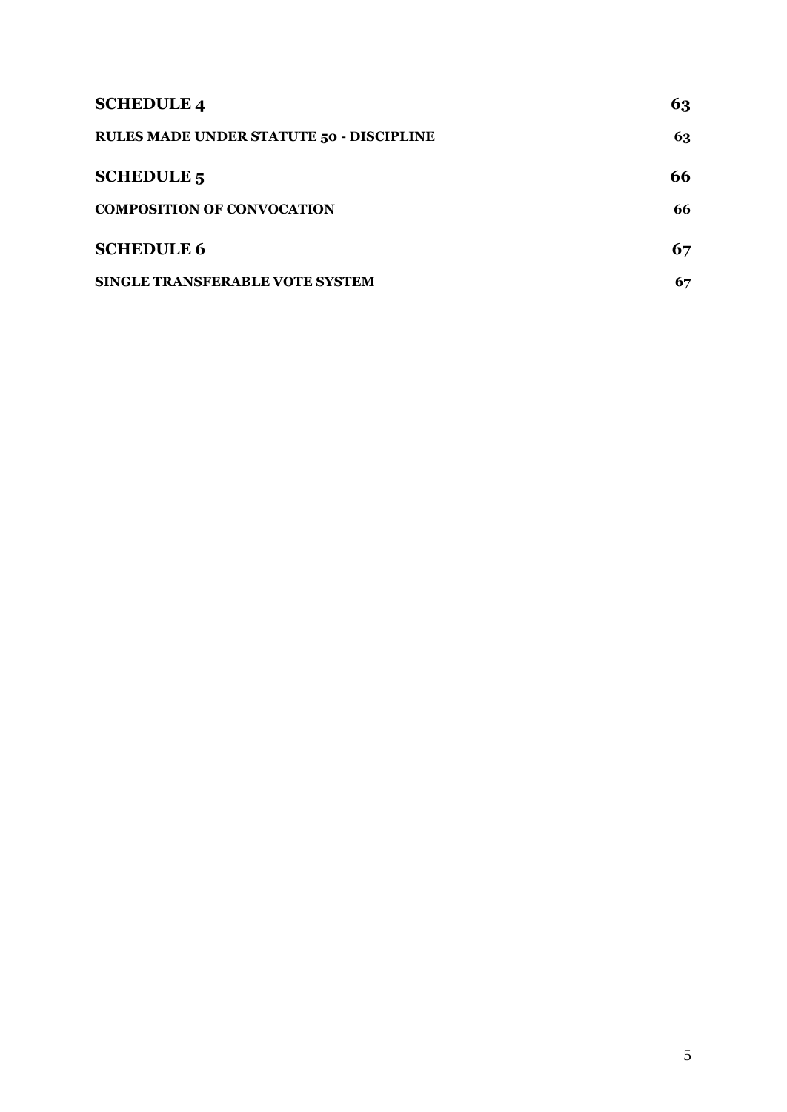| <b>SCHEDULE 4</b>                               | 63 |
|-------------------------------------------------|----|
| <b>RULES MADE UNDER STATUTE 50 - DISCIPLINE</b> | 63 |
| <b>SCHEDULE 5</b>                               | 66 |
| <b>COMPOSITION OF CONVOCATION</b>               | 66 |
| <b>SCHEDULE 6</b>                               | 67 |
| SINGLE TRANSFERABLE VOTE SYSTEM                 | 67 |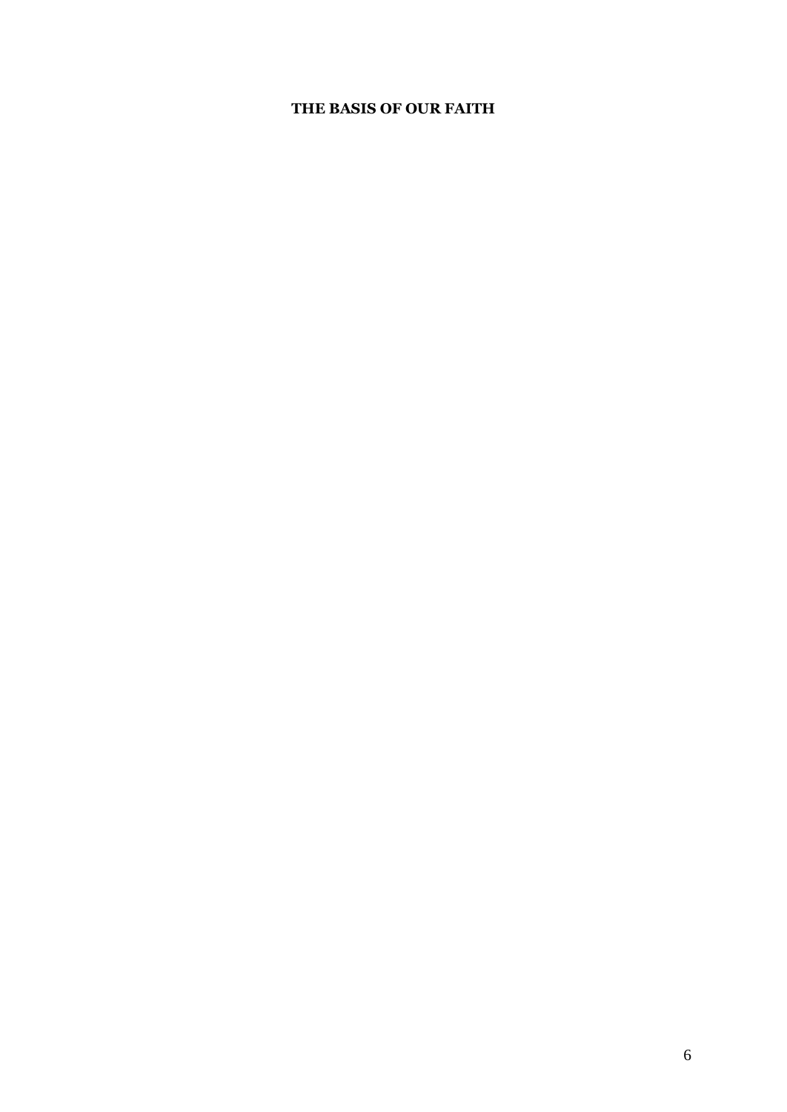# **THE BASIS OF OUR FAITH**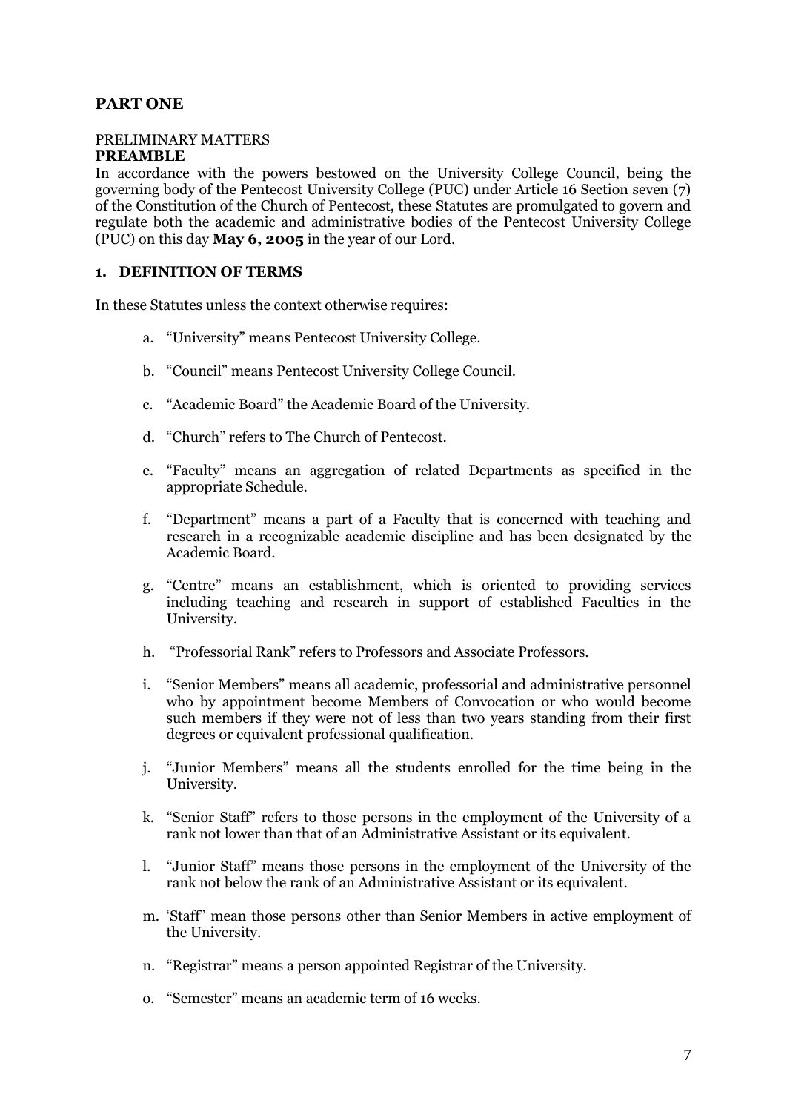# <span id="page-6-0"></span>**PART ONE**

## <span id="page-6-1"></span>PRELIMINARY MATTERS

## <span id="page-6-2"></span>**PREAMBLE**

In accordance with the powers bestowed on the University College Council, being the governing body of the Pentecost University College (PUC) under Article 16 Section seven (7) of the Constitution of the Church of Pentecost, these Statutes are promulgated to govern and regulate both the academic and administrative bodies of the Pentecost University College (PUC) on this day **May 6, 2005** in the year of our Lord.

# <span id="page-6-3"></span>**1. DEFINITION OF TERMS**

In these Statutes unless the context otherwise requires:

- a. "University" means Pentecost University College.
- b. "Council" means Pentecost University College Council.
- c. "Academic Board" the Academic Board of the University.
- d. "Church" refers to The Church of Pentecost.
- e. "Faculty" means an aggregation of related Departments as specified in the appropriate Schedule.
- f. "Department" means a part of a Faculty that is concerned with teaching and research in a recognizable academic discipline and has been designated by the Academic Board.
- g. "Centre" means an establishment, which is oriented to providing services including teaching and research in support of established Faculties in the University.
- h. "Professorial Rank" refers to Professors and Associate Professors.
- i. "Senior Members" means all academic, professorial and administrative personnel who by appointment become Members of Convocation or who would become such members if they were not of less than two years standing from their first degrees or equivalent professional qualification.
- j. "Junior Members" means all the students enrolled for the time being in the University.
- k. "Senior Staff" refers to those persons in the employment of the University of a rank not lower than that of an Administrative Assistant or its equivalent.
- l. "Junior Staff" means those persons in the employment of the University of the rank not below the rank of an Administrative Assistant or its equivalent.
- m. "Staff" mean those persons other than Senior Members in active employment of the University.
- n. "Registrar" means a person appointed Registrar of the University.
- o. "Semester" means an academic term of 16 weeks.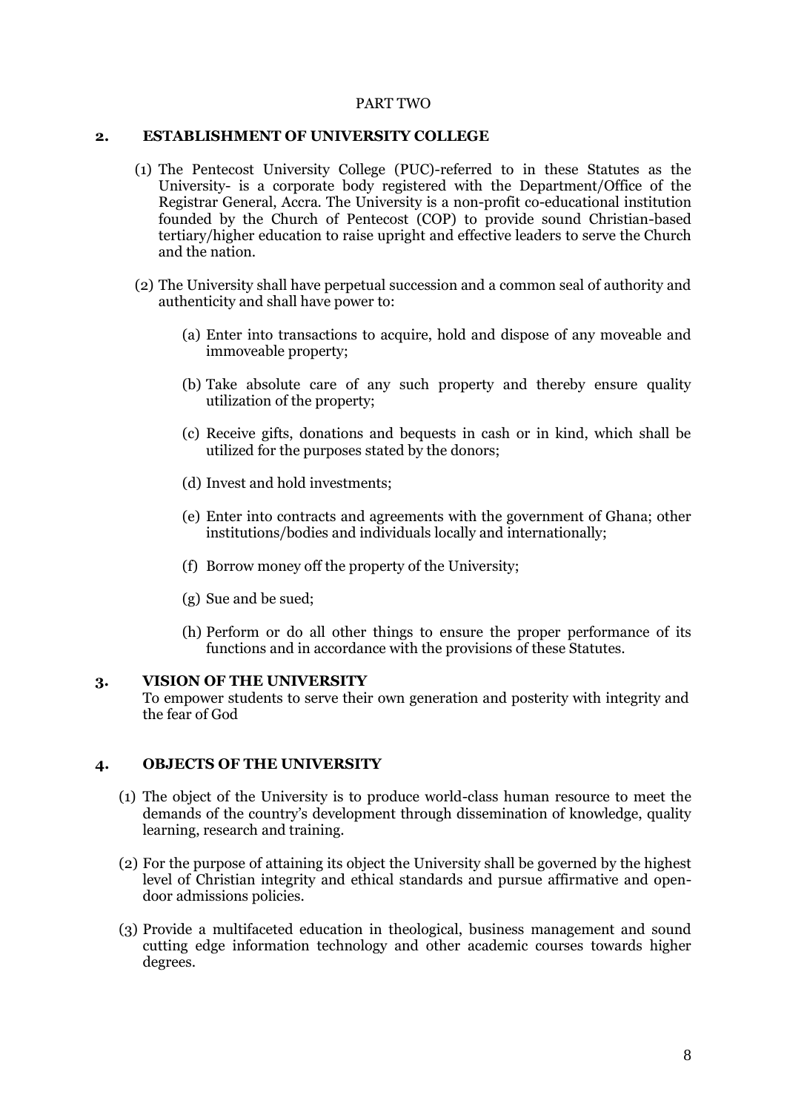## PART TWO

### <span id="page-7-1"></span><span id="page-7-0"></span>**2. ESTABLISHMENT OF UNIVERSITY COLLEGE**

- (1) The Pentecost University College (PUC)-referred to in these Statutes as the University- is a corporate body registered with the Department/Office of the Registrar General, Accra. The University is a non-profit co-educational institution founded by the Church of Pentecost (COP) to provide sound Christian-based tertiary/higher education to raise upright and effective leaders to serve the Church and the nation.
- (2) The University shall have perpetual succession and a common seal of authority and authenticity and shall have power to:
	- (a) Enter into transactions to acquire, hold and dispose of any moveable and immoveable property;
	- (b) Take absolute care of any such property and thereby ensure quality utilization of the property;
	- (c) Receive gifts, donations and bequests in cash or in kind, which shall be utilized for the purposes stated by the donors;
	- (d) Invest and hold investments;
	- (e) Enter into contracts and agreements with the government of Ghana; other institutions/bodies and individuals locally and internationally;
	- (f) Borrow money off the property of the University;
	- (g) Sue and be sued;
	- (h) Perform or do all other things to ensure the proper performance of its functions and in accordance with the provisions of these Statutes.

### <span id="page-7-2"></span>**3. VISION OF THE UNIVERSITY**

To empower students to serve their own generation and posterity with integrity and the fear of God

# <span id="page-7-3"></span>**4. OBJECTS OF THE UNIVERSITY**

- (1) The object of the University is to produce world-class human resource to meet the demands of the country's development through dissemination of knowledge, quality learning, research and training.
- (2) For the purpose of attaining its object the University shall be governed by the highest level of Christian integrity and ethical standards and pursue affirmative and opendoor admissions policies.
- (3) Provide a multifaceted education in theological, business management and sound cutting edge information technology and other academic courses towards higher degrees.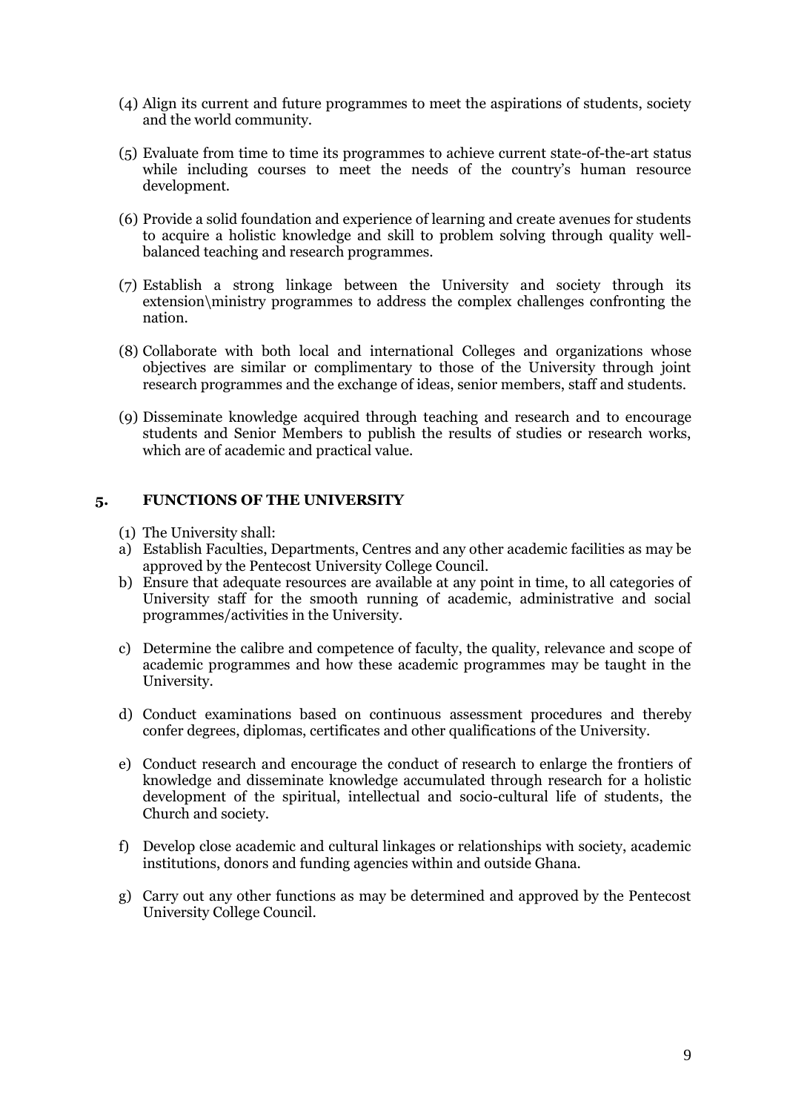- (4) Align its current and future programmes to meet the aspirations of students, society and the world community.
- (5) Evaluate from time to time its programmes to achieve current state-of-the-art status while including courses to meet the needs of the country's human resource development.
- (6) Provide a solid foundation and experience of learning and create avenues for students to acquire a holistic knowledge and skill to problem solving through quality wellbalanced teaching and research programmes.
- (7) Establish a strong linkage between the University and society through its extension\ministry programmes to address the complex challenges confronting the nation.
- (8) Collaborate with both local and international Colleges and organizations whose objectives are similar or complimentary to those of the University through joint research programmes and the exchange of ideas, senior members, staff and students.
- (9) Disseminate knowledge acquired through teaching and research and to encourage students and Senior Members to publish the results of studies or research works, which are of academic and practical value.

## <span id="page-8-0"></span>**5. FUNCTIONS OF THE UNIVERSITY**

- (1) The University shall:
- a) Establish Faculties, Departments, Centres and any other academic facilities as may be approved by the Pentecost University College Council.
- b) Ensure that adequate resources are available at any point in time, to all categories of University staff for the smooth running of academic, administrative and social programmes/activities in the University.
- c) Determine the calibre and competence of faculty, the quality, relevance and scope of academic programmes and how these academic programmes may be taught in the University.
- d) Conduct examinations based on continuous assessment procedures and thereby confer degrees, diplomas, certificates and other qualifications of the University.
- e) Conduct research and encourage the conduct of research to enlarge the frontiers of knowledge and disseminate knowledge accumulated through research for a holistic development of the spiritual, intellectual and socio-cultural life of students, the Church and society.
- f) Develop close academic and cultural linkages or relationships with society, academic institutions, donors and funding agencies within and outside Ghana.
- g) Carry out any other functions as may be determined and approved by the Pentecost University College Council.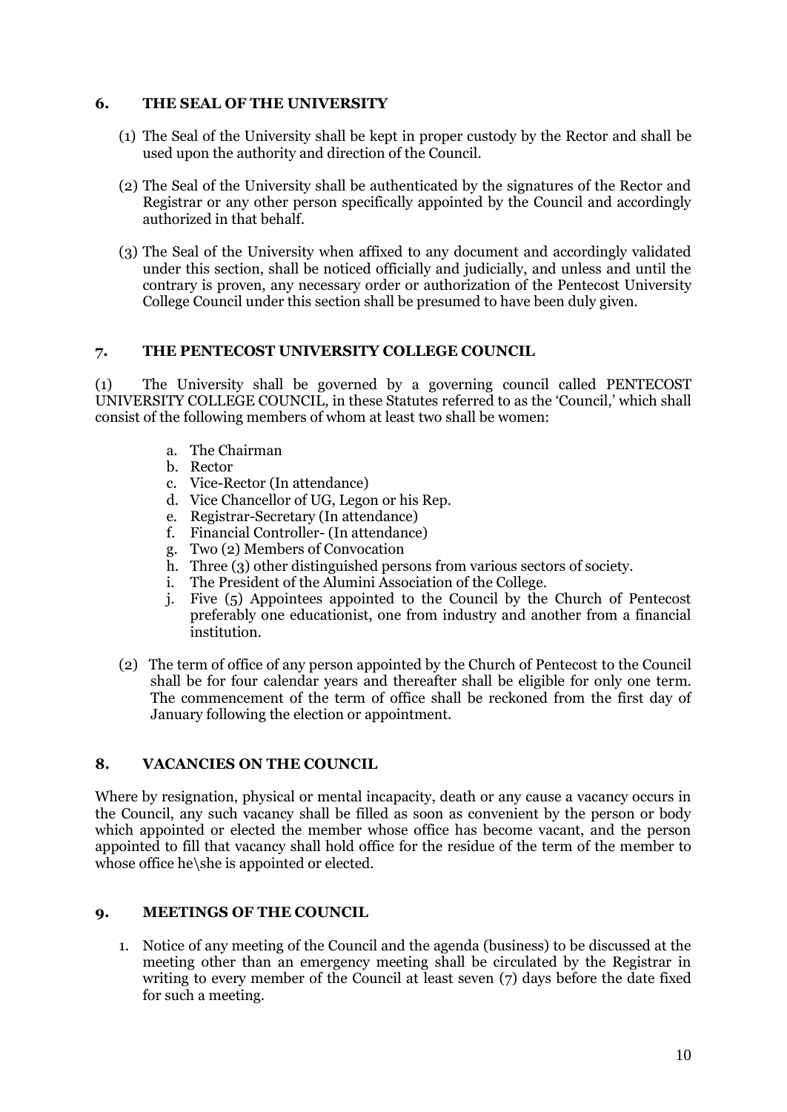# <span id="page-9-0"></span>**6. THE SEAL OF THE UNIVERSITY**

- (1) The Seal of the University shall be kept in proper custody by the Rector and shall be used upon the authority and direction of the Council.
- (2) The Seal of the University shall be authenticated by the signatures of the Rector and Registrar or any other person specifically appointed by the Council and accordingly authorized in that behalf.
- (3) The Seal of the University when affixed to any document and accordingly validated under this section, shall be noticed officially and judicially, and unless and until the contrary is proven, any necessary order or authorization of the Pentecost University College Council under this section shall be presumed to have been duly given.

# <span id="page-9-1"></span>**7. THE PENTECOST UNIVERSITY COLLEGE COUNCIL**

(1) The University shall be governed by a governing council called PENTECOST UNIVERSITY COLLEGE COUNCIL, in these Statutes referred to as the "Council," which shall consist of the following members of whom at least two shall be women:

- a. The Chairman
- b. Rector
- c. Vice-Rector (In attendance)
- d. Vice Chancellor of UG, Legon or his Rep.
- e. Registrar-Secretary (In attendance)
- f. Financial Controller- (In attendance)
- g. Two (2) Members of Convocation
- h. Three (3) other distinguished persons from various sectors of society.
- i. The President of the Alumini Association of the College.
- j. Five (5) Appointees appointed to the Council by the Church of Pentecost preferably one educationist, one from industry and another from a financial institution.
- (2) The term of office of any person appointed by the Church of Pentecost to the Council shall be for four calendar years and thereafter shall be eligible for only one term. The commencement of the term of office shall be reckoned from the first day of January following the election or appointment.

# <span id="page-9-2"></span>**8. VACANCIES ON THE COUNCIL**

Where by resignation, physical or mental incapacity, death or any cause a vacancy occurs in the Council, any such vacancy shall be filled as soon as convenient by the person or body which appointed or elected the member whose office has become vacant, and the person appointed to fill that vacancy shall hold office for the residue of the term of the member to whose office he\she is appointed or elected.

# <span id="page-9-3"></span>**9. MEETINGS OF THE COUNCIL**

1. Notice of any meeting of the Council and the agenda (business) to be discussed at the meeting other than an emergency meeting shall be circulated by the Registrar in writing to every member of the Council at least seven (7) days before the date fixed for such a meeting.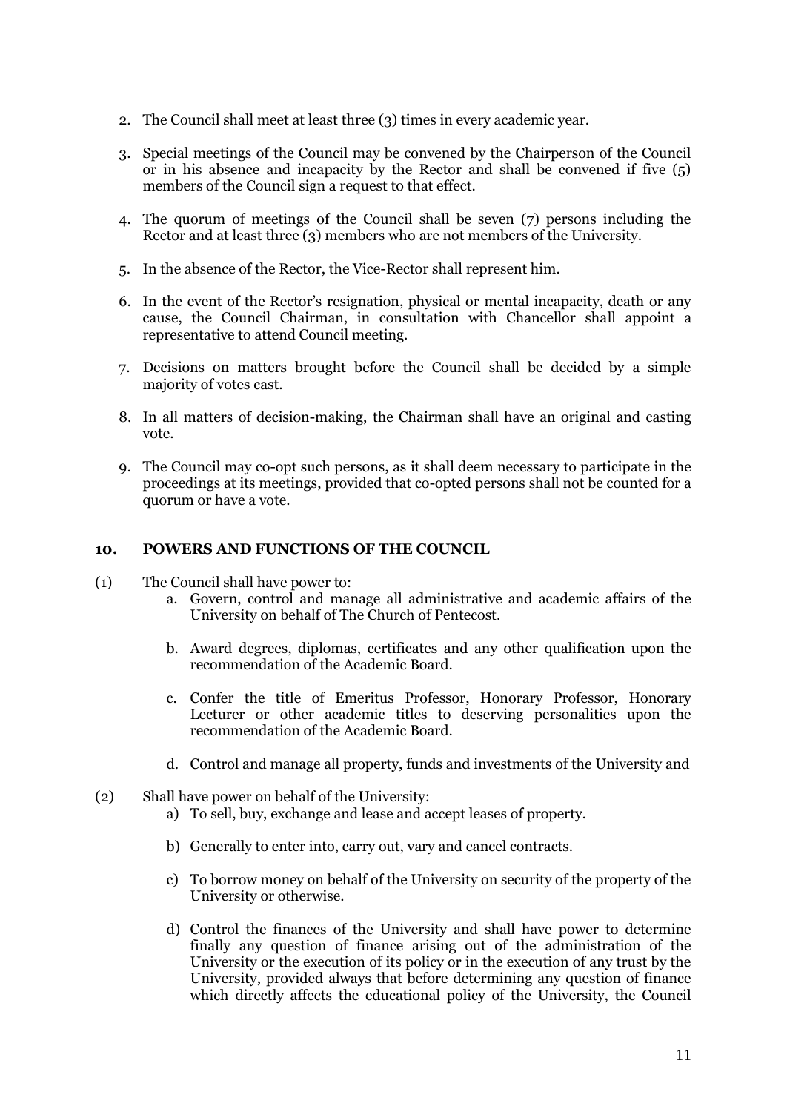- 2. The Council shall meet at least three (3) times in every academic year.
- 3. Special meetings of the Council may be convened by the Chairperson of the Council or in his absence and incapacity by the Rector and shall be convened if five (5) members of the Council sign a request to that effect.
- 4. The quorum of meetings of the Council shall be seven (7) persons including the Rector and at least three (3) members who are not members of the University.
- 5. In the absence of the Rector, the Vice-Rector shall represent him.
- 6. In the event of the Rector"s resignation, physical or mental incapacity, death or any cause, the Council Chairman, in consultation with Chancellor shall appoint a representative to attend Council meeting.
- 7. Decisions on matters brought before the Council shall be decided by a simple majority of votes cast.
- 8. In all matters of decision-making, the Chairman shall have an original and casting vote.
- 9. The Council may co-opt such persons, as it shall deem necessary to participate in the proceedings at its meetings, provided that co-opted persons shall not be counted for a quorum or have a vote.

## <span id="page-10-0"></span>**10. POWERS AND FUNCTIONS OF THE COUNCIL**

- (1) The Council shall have power to:
	- a. Govern, control and manage all administrative and academic affairs of the University on behalf of The Church of Pentecost.
	- b. Award degrees, diplomas, certificates and any other qualification upon the recommendation of the Academic Board.
	- c. Confer the title of Emeritus Professor, Honorary Professor, Honorary Lecturer or other academic titles to deserving personalities upon the recommendation of the Academic Board.
	- d. Control and manage all property, funds and investments of the University and
- (2) Shall have power on behalf of the University:
	- a) To sell, buy, exchange and lease and accept leases of property.
	- b) Generally to enter into, carry out, vary and cancel contracts.
	- c) To borrow money on behalf of the University on security of the property of the University or otherwise.
	- d) Control the finances of the University and shall have power to determine finally any question of finance arising out of the administration of the University or the execution of its policy or in the execution of any trust by the University, provided always that before determining any question of finance which directly affects the educational policy of the University, the Council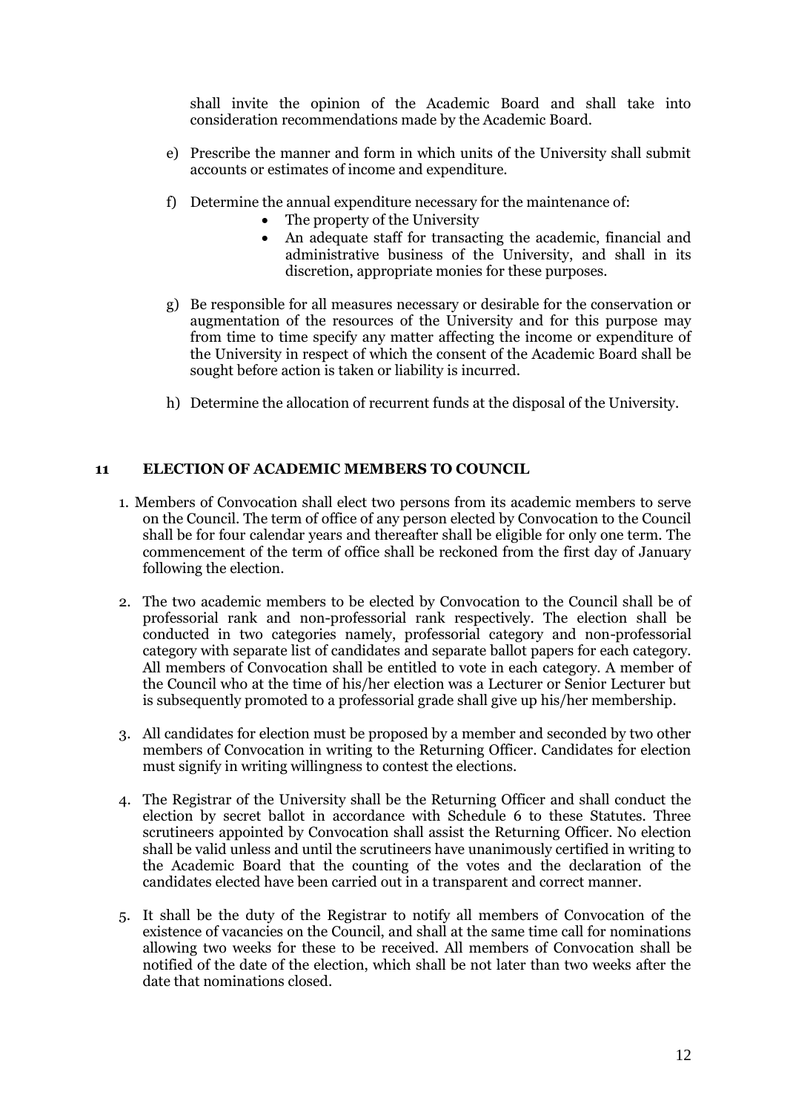shall invite the opinion of the Academic Board and shall take into consideration recommendations made by the Academic Board.

- e) Prescribe the manner and form in which units of the University shall submit accounts or estimates of income and expenditure.
- f) Determine the annual expenditure necessary for the maintenance of:
	- The property of the University
	- An adequate staff for transacting the academic, financial and administrative business of the University, and shall in its discretion, appropriate monies for these purposes.
- g) Be responsible for all measures necessary or desirable for the conservation or augmentation of the resources of the University and for this purpose may from time to time specify any matter affecting the income or expenditure of the University in respect of which the consent of the Academic Board shall be sought before action is taken or liability is incurred.
- h) Determine the allocation of recurrent funds at the disposal of the University.

## <span id="page-11-0"></span>**11 ELECTION OF ACADEMIC MEMBERS TO COUNCIL**

- 1. Members of Convocation shall elect two persons from its academic members to serve on the Council. The term of office of any person elected by Convocation to the Council shall be for four calendar years and thereafter shall be eligible for only one term. The commencement of the term of office shall be reckoned from the first day of January following the election.
- 2. The two academic members to be elected by Convocation to the Council shall be of professorial rank and non-professorial rank respectively. The election shall be conducted in two categories namely, professorial category and non-professorial category with separate list of candidates and separate ballot papers for each category. All members of Convocation shall be entitled to vote in each category. A member of the Council who at the time of his/her election was a Lecturer or Senior Lecturer but is subsequently promoted to a professorial grade shall give up his/her membership.
- 3. All candidates for election must be proposed by a member and seconded by two other members of Convocation in writing to the Returning Officer. Candidates for election must signify in writing willingness to contest the elections.
- 4. The Registrar of the University shall be the Returning Officer and shall conduct the election by secret ballot in accordance with Schedule 6 to these Statutes. Three scrutineers appointed by Convocation shall assist the Returning Officer. No election shall be valid unless and until the scrutineers have unanimously certified in writing to the Academic Board that the counting of the votes and the declaration of the candidates elected have been carried out in a transparent and correct manner.
- 5. It shall be the duty of the Registrar to notify all members of Convocation of the existence of vacancies on the Council, and shall at the same time call for nominations allowing two weeks for these to be received. All members of Convocation shall be notified of the date of the election, which shall be not later than two weeks after the date that nominations closed.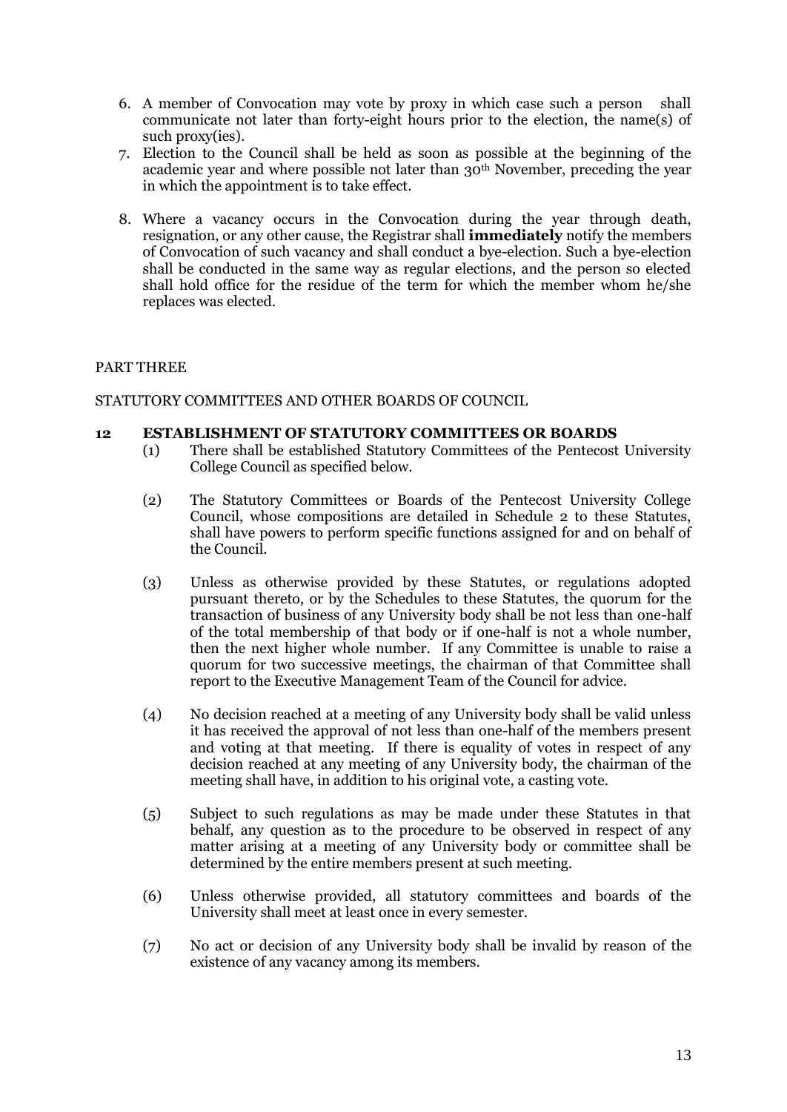- 6. A member of Convocation may vote by proxy in which case such a person shall communicate not later than forty-eight hours prior to the election, the name(s) of such proxy(ies).
- 7. Election to the Council shall be held as soon as possible at the beginning of the academic year and where possible not later than 30th November, preceding the year in which the appointment is to take effect.
- 8. Where a vacancy occurs in the Convocation during the year through death, resignation, or any other cause, the Registrar shall **immediately** notify the members of Convocation of such vacancy and shall conduct a bye-election. Such a bye-election shall be conducted in the same way as regular elections, and the person so elected shall hold office for the residue of the term for which the member whom he/she replaces was elected.

# <span id="page-12-0"></span>PART THREE

## <span id="page-12-1"></span>STATUTORY COMMITTEES AND OTHER BOARDS OF COUNCIL

### <span id="page-12-2"></span>**12 ESTABLISHMENT OF STATUTORY COMMITTEES OR BOARDS**

- (1) There shall be established Statutory Committees of the Pentecost University College Council as specified below.
- (2) The Statutory Committees or Boards of the Pentecost University College Council, whose compositions are detailed in Schedule 2 to these Statutes, shall have powers to perform specific functions assigned for and on behalf of the Council.
- (3) Unless as otherwise provided by these Statutes, or regulations adopted pursuant thereto, or by the Schedules to these Statutes, the quorum for the transaction of business of any University body shall be not less than one-half of the total membership of that body or if one-half is not a whole number, then the next higher whole number. If any Committee is unable to raise a quorum for two successive meetings, the chairman of that Committee shall report to the Executive Management Team of the Council for advice.
- (4) No decision reached at a meeting of any University body shall be valid unless it has received the approval of not less than one-half of the members present and voting at that meeting. If there is equality of votes in respect of any decision reached at any meeting of any University body, the chairman of the meeting shall have, in addition to his original vote, a casting vote.
- (5) Subject to such regulations as may be made under these Statutes in that behalf, any question as to the procedure to be observed in respect of any matter arising at a meeting of any University body or committee shall be determined by the entire members present at such meeting.
- (6) Unless otherwise provided, all statutory committees and boards of the University shall meet at least once in every semester.
- (7) No act or decision of any University body shall be invalid by reason of the existence of any vacancy among its members.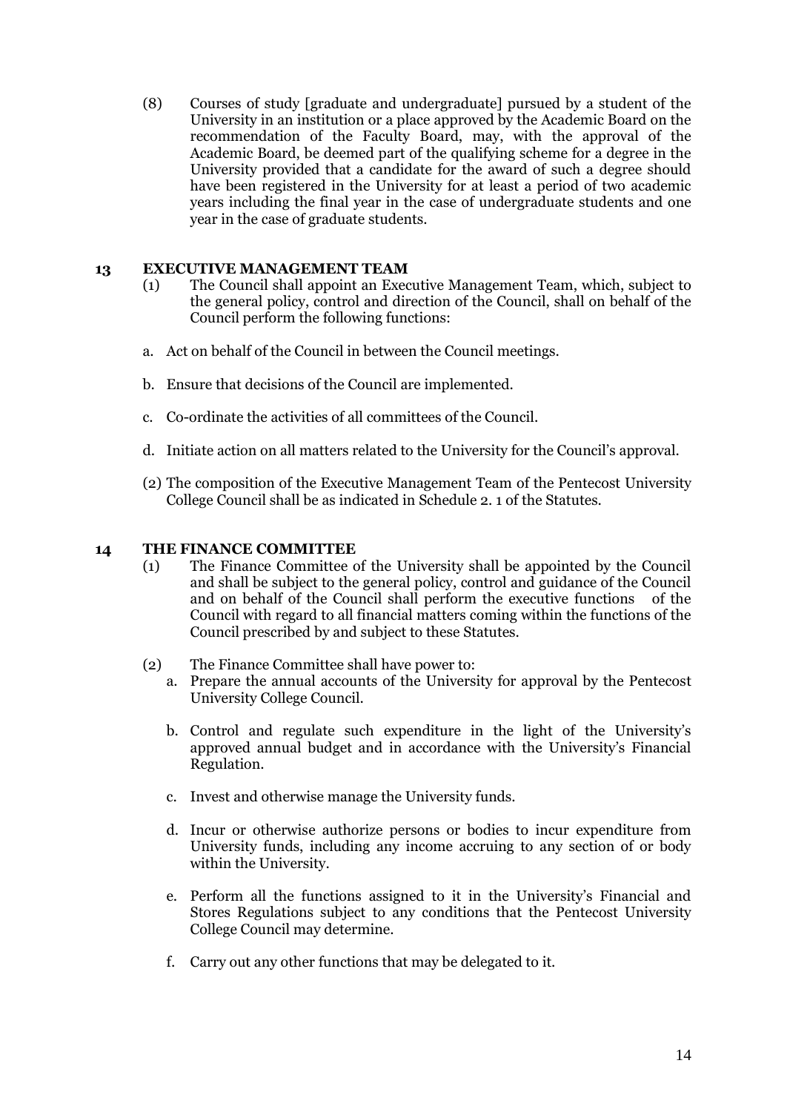(8) Courses of study [graduate and undergraduate] pursued by a student of the University in an institution or a place approved by the Academic Board on the recommendation of the Faculty Board, may, with the approval of the Academic Board, be deemed part of the qualifying scheme for a degree in the University provided that a candidate for the award of such a degree should have been registered in the University for at least a period of two academic years including the final year in the case of undergraduate students and one year in the case of graduate students.

# <span id="page-13-0"></span>**13 EXECUTIVE MANAGEMENT TEAM**

- (1) The Council shall appoint an Executive Management Team, which, subject to the general policy, control and direction of the Council, shall on behalf of the Council perform the following functions:
- a. Act on behalf of the Council in between the Council meetings.
- b. Ensure that decisions of the Council are implemented.
- c. Co-ordinate the activities of all committees of the Council.
- d. Initiate action on all matters related to the University for the Council"s approval.
- (2) The composition of the Executive Management Team of the Pentecost University College Council shall be as indicated in Schedule 2. 1 of the Statutes.

### <span id="page-13-1"></span>**14 THE FINANCE COMMITTEE**

- (1) The Finance Committee of the University shall be appointed by the Council and shall be subject to the general policy, control and guidance of the Council and on behalf of the Council shall perform the executive functions of the Council with regard to all financial matters coming within the functions of the Council prescribed by and subject to these Statutes.
- (2) The Finance Committee shall have power to:
	- a. Prepare the annual accounts of the University for approval by the Pentecost University College Council.
	- b. Control and regulate such expenditure in the light of the University"s approved annual budget and in accordance with the University's Financial Regulation.
	- c. Invest and otherwise manage the University funds.
	- d. Incur or otherwise authorize persons or bodies to incur expenditure from University funds, including any income accruing to any section of or body within the University.
	- e. Perform all the functions assigned to it in the University"s Financial and Stores Regulations subject to any conditions that the Pentecost University College Council may determine.
	- f. Carry out any other functions that may be delegated to it.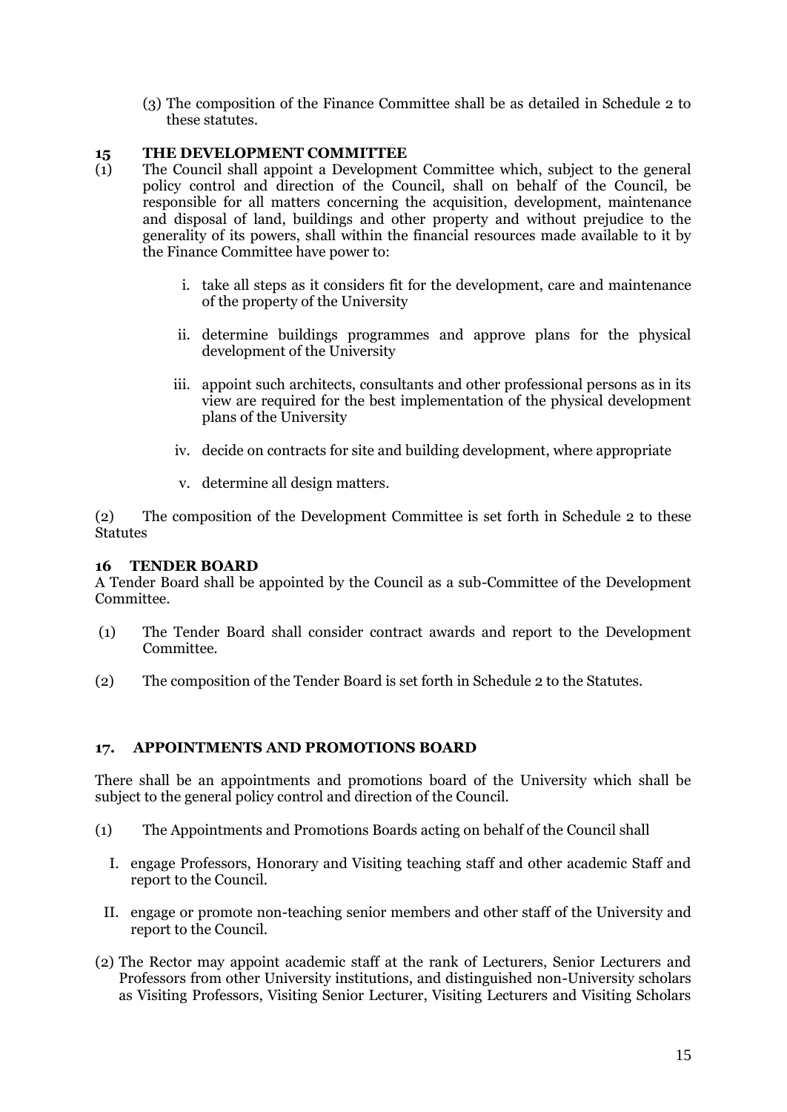(3) The composition of the Finance Committee shall be as detailed in Schedule 2 to these statutes.

# <span id="page-14-0"></span>**15 THE DEVELOPMENT COMMITTEE**

- (1) The Council shall appoint a Development Committee which, subject to the general policy control and direction of the Council, shall on behalf of the Council, be responsible for all matters concerning the acquisition, development, maintenance and disposal of land, buildings and other property and without prejudice to the generality of its powers, shall within the financial resources made available to it by the Finance Committee have power to:
	- i. take all steps as it considers fit for the development, care and maintenance of the property of the University
	- ii. determine buildings programmes and approve plans for the physical development of the University
	- iii. appoint such architects, consultants and other professional persons as in its view are required for the best implementation of the physical development plans of the University
	- iv. decide on contracts for site and building development, where appropriate
	- v. determine all design matters.

(2) The composition of the Development Committee is set forth in Schedule 2 to these **Statutes** 

# <span id="page-14-1"></span>**16 TENDER BOARD**

A Tender Board shall be appointed by the Council as a sub-Committee of the Development Committee.

- (1) The Tender Board shall consider contract awards and report to the Development Committee.
- (2) The composition of the Tender Board is set forth in Schedule 2 to the Statutes.

# <span id="page-14-2"></span>**17. APPOINTMENTS AND PROMOTIONS BOARD**

There shall be an appointments and promotions board of the University which shall be subject to the general policy control and direction of the Council.

- (1) The Appointments and Promotions Boards acting on behalf of the Council shall
	- I. engage Professors, Honorary and Visiting teaching staff and other academic Staff and report to the Council.
- II. engage or promote non-teaching senior members and other staff of the University and report to the Council.
- (2) The Rector may appoint academic staff at the rank of Lecturers, Senior Lecturers and Professors from other University institutions, and distinguished non-University scholars as Visiting Professors, Visiting Senior Lecturer, Visiting Lecturers and Visiting Scholars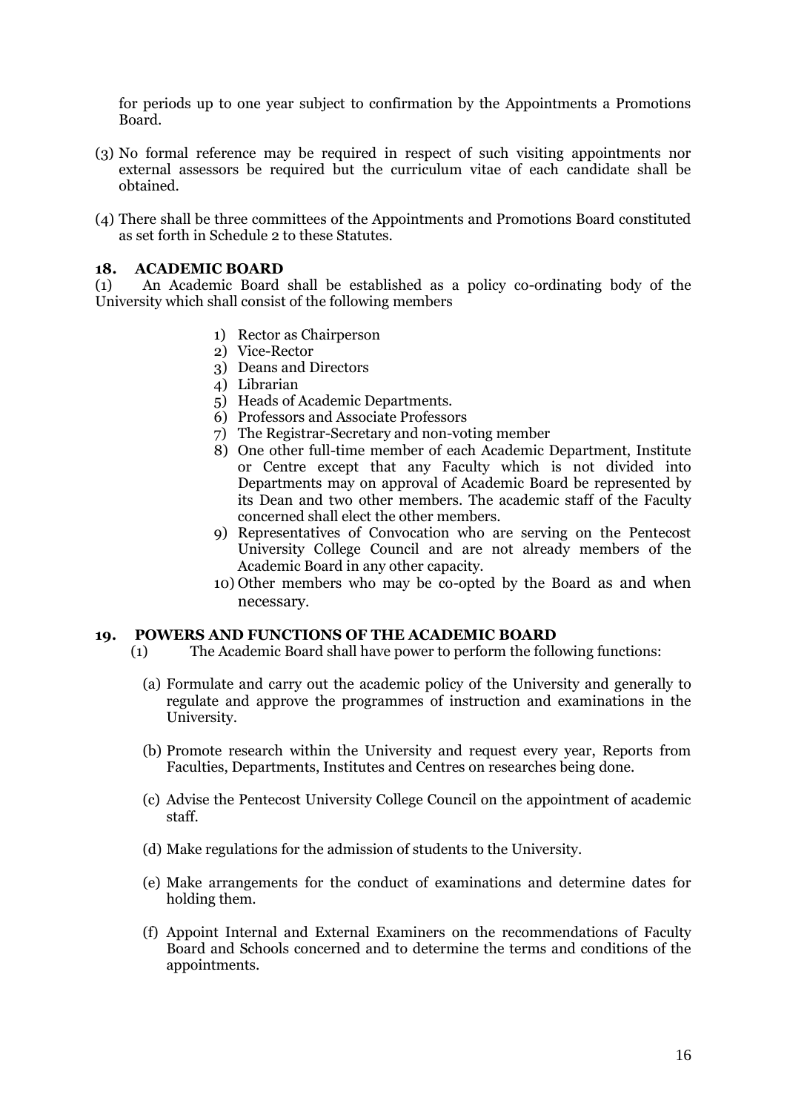for periods up to one year subject to confirmation by the Appointments a Promotions Board.

- (3) No formal reference may be required in respect of such visiting appointments nor external assessors be required but the curriculum vitae of each candidate shall be obtained.
- (4) There shall be three committees of the Appointments and Promotions Board constituted as set forth in Schedule 2 to these Statutes.

# <span id="page-15-0"></span>**18. ACADEMIC BOARD**

(1) An Academic Board shall be established as a policy co-ordinating body of the University which shall consist of the following members

- 1) Rector as Chairperson
- 2) Vice-Rector
- 3) Deans and Directors
- 4) Librarian
- 5) Heads of Academic Departments.
- 6) Professors and Associate Professors
- 7) The Registrar-Secretary and non-voting member
- 8) One other full-time member of each Academic Department, Institute or Centre except that any Faculty which is not divided into Departments may on approval of Academic Board be represented by its Dean and two other members. The academic staff of the Faculty concerned shall elect the other members.
- 9) Representatives of Convocation who are serving on the Pentecost University College Council and are not already members of the Academic Board in any other capacity.
- 10) Other members who may be co-opted by the Board as and when necessary.

### <span id="page-15-1"></span>**19. POWERS AND FUNCTIONS OF THE ACADEMIC BOARD**

- (1) The Academic Board shall have power to perform the following functions:
	- (a) Formulate and carry out the academic policy of the University and generally to regulate and approve the programmes of instruction and examinations in the University.
	- (b) Promote research within the University and request every year, Reports from Faculties, Departments, Institutes and Centres on researches being done.
	- (c) Advise the Pentecost University College Council on the appointment of academic staff.
	- (d) Make regulations for the admission of students to the University.
	- (e) Make arrangements for the conduct of examinations and determine dates for holding them.
	- (f) Appoint Internal and External Examiners on the recommendations of Faculty Board and Schools concerned and to determine the terms and conditions of the appointments.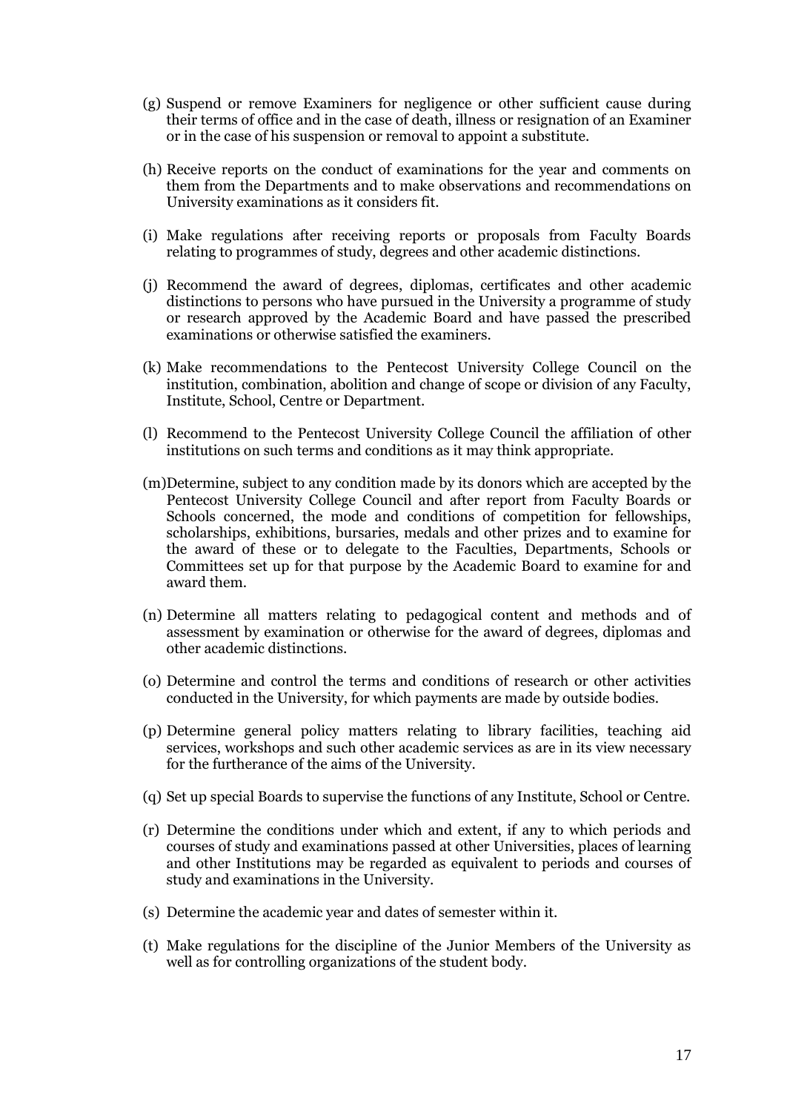- (g) Suspend or remove Examiners for negligence or other sufficient cause during their terms of office and in the case of death, illness or resignation of an Examiner or in the case of his suspension or removal to appoint a substitute.
- (h) Receive reports on the conduct of examinations for the year and comments on them from the Departments and to make observations and recommendations on University examinations as it considers fit.
- (i) Make regulations after receiving reports or proposals from Faculty Boards relating to programmes of study, degrees and other academic distinctions.
- (j) Recommend the award of degrees, diplomas, certificates and other academic distinctions to persons who have pursued in the University a programme of study or research approved by the Academic Board and have passed the prescribed examinations or otherwise satisfied the examiners.
- (k) Make recommendations to the Pentecost University College Council on the institution, combination, abolition and change of scope or division of any Faculty, Institute, School, Centre or Department.
- (l) Recommend to the Pentecost University College Council the affiliation of other institutions on such terms and conditions as it may think appropriate.
- (m)Determine, subject to any condition made by its donors which are accepted by the Pentecost University College Council and after report from Faculty Boards or Schools concerned, the mode and conditions of competition for fellowships, scholarships, exhibitions, bursaries, medals and other prizes and to examine for the award of these or to delegate to the Faculties, Departments, Schools or Committees set up for that purpose by the Academic Board to examine for and award them.
- (n) Determine all matters relating to pedagogical content and methods and of assessment by examination or otherwise for the award of degrees, diplomas and other academic distinctions.
- (o) Determine and control the terms and conditions of research or other activities conducted in the University, for which payments are made by outside bodies.
- (p) Determine general policy matters relating to library facilities, teaching aid services, workshops and such other academic services as are in its view necessary for the furtherance of the aims of the University.
- (q) Set up special Boards to supervise the functions of any Institute, School or Centre.
- (r) Determine the conditions under which and extent, if any to which periods and courses of study and examinations passed at other Universities, places of learning and other Institutions may be regarded as equivalent to periods and courses of study and examinations in the University.
- (s) Determine the academic year and dates of semester within it.
- (t) Make regulations for the discipline of the Junior Members of the University as well as for controlling organizations of the student body.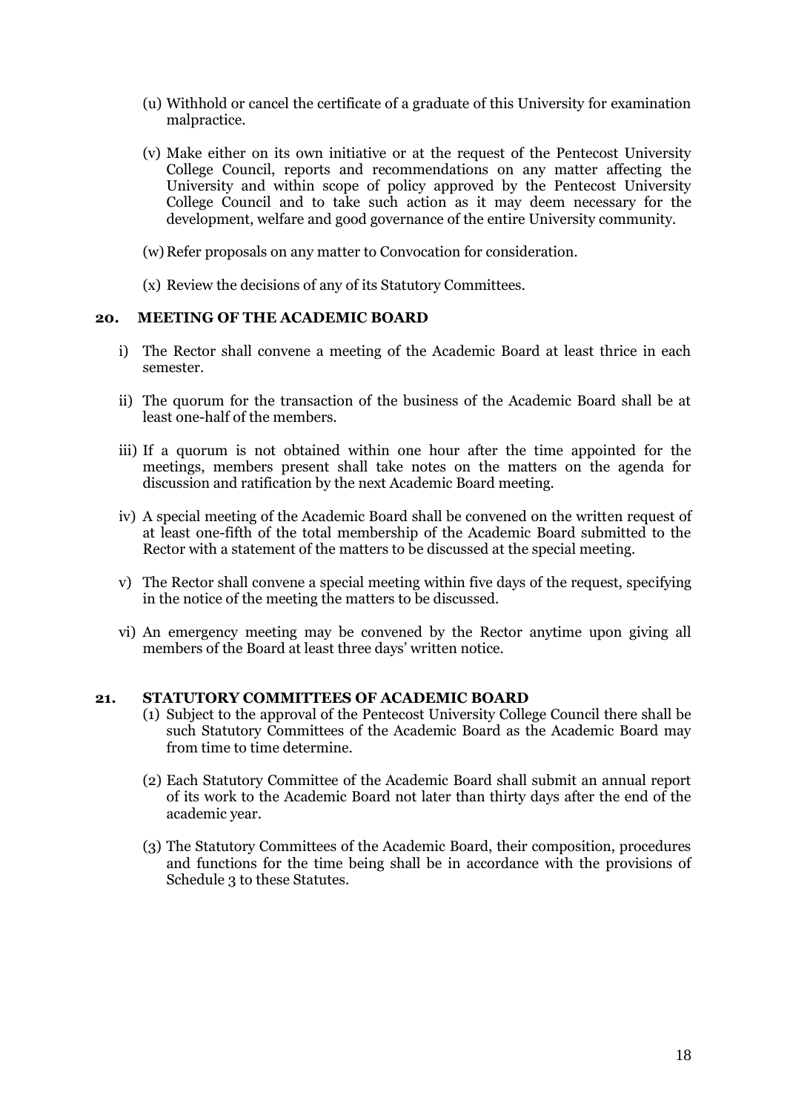- (u) Withhold or cancel the certificate of a graduate of this University for examination malpractice.
- (v) Make either on its own initiative or at the request of the Pentecost University College Council, reports and recommendations on any matter affecting the University and within scope of policy approved by the Pentecost University College Council and to take such action as it may deem necessary for the development, welfare and good governance of the entire University community.
- (w) Refer proposals on any matter to Convocation for consideration.
- (x) Review the decisions of any of its Statutory Committees.

## <span id="page-17-0"></span>**20. MEETING OF THE ACADEMIC BOARD**

- i) The Rector shall convene a meeting of the Academic Board at least thrice in each semester.
- ii) The quorum for the transaction of the business of the Academic Board shall be at least one-half of the members.
- iii) If a quorum is not obtained within one hour after the time appointed for the meetings, members present shall take notes on the matters on the agenda for discussion and ratification by the next Academic Board meeting.
- iv) A special meeting of the Academic Board shall be convened on the written request of at least one-fifth of the total membership of the Academic Board submitted to the Rector with a statement of the matters to be discussed at the special meeting.
- v) The Rector shall convene a special meeting within five days of the request, specifying in the notice of the meeting the matters to be discussed.
- vi) An emergency meeting may be convened by the Rector anytime upon giving all members of the Board at least three days" written notice.

### <span id="page-17-1"></span>**21. STATUTORY COMMITTEES OF ACADEMIC BOARD**

- (1) Subject to the approval of the Pentecost University College Council there shall be such Statutory Committees of the Academic Board as the Academic Board may from time to time determine.
- (2) Each Statutory Committee of the Academic Board shall submit an annual report of its work to the Academic Board not later than thirty days after the end of the academic year.
- <span id="page-17-2"></span>(3) The Statutory Committees of the Academic Board, their composition, procedures and functions for the time being shall be in accordance with the provisions of Schedule 3 to these Statutes.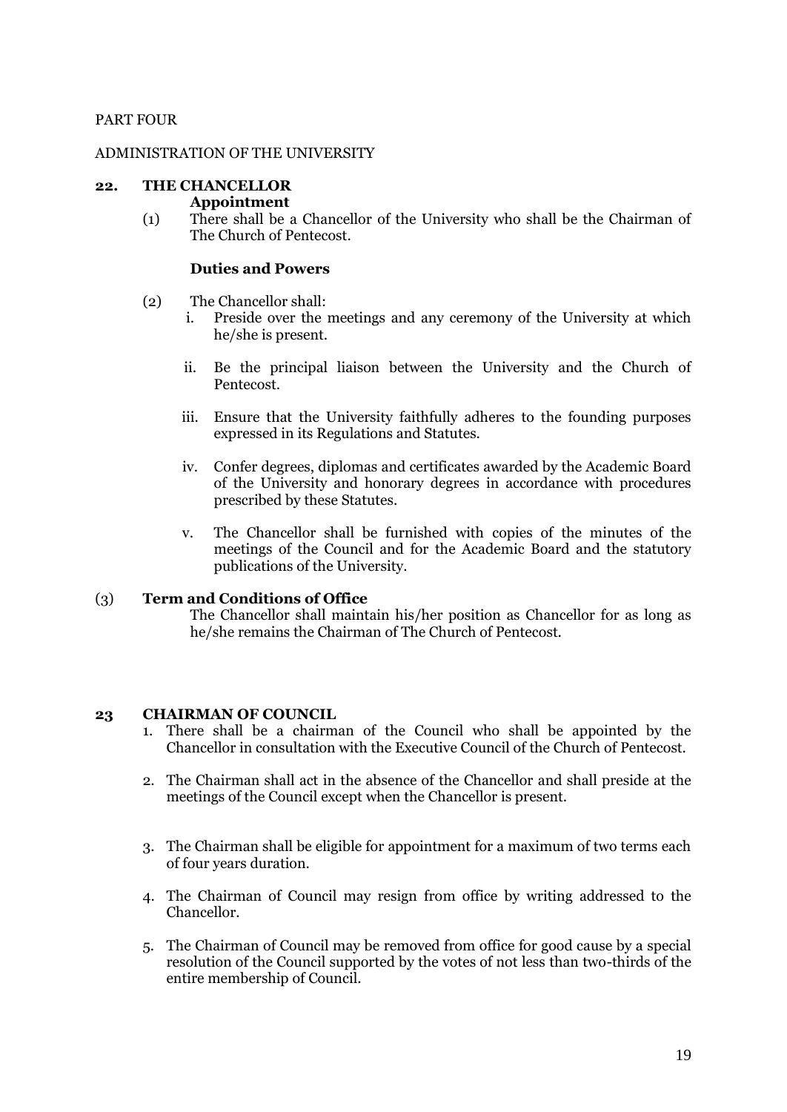# PART FOUR

## <span id="page-18-0"></span>ADMINISTRATION OF THE UNIVERSITY

# <span id="page-18-1"></span>**22. THE CHANCELLOR**

### **Appointment**

(1) There shall be a Chancellor of the University who shall be the Chairman of The Church of Pentecost.

## **Duties and Powers**

- (2) The Chancellor shall:
	- i. Preside over the meetings and any ceremony of the University at which he/she is present.
	- ii. Be the principal liaison between the University and the Church of Pentecost.
	- iii. Ensure that the University faithfully adheres to the founding purposes expressed in its Regulations and Statutes.
	- iv. Confer degrees, diplomas and certificates awarded by the Academic Board of the University and honorary degrees in accordance with procedures prescribed by these Statutes.
	- v. The Chancellor shall be furnished with copies of the minutes of the meetings of the Council and for the Academic Board and the statutory publications of the University.

# (3) **Term and Conditions of Office**

The Chancellor shall maintain his/her position as Chancellor for as long as he/she remains the Chairman of The Church of Pentecost.

### <span id="page-18-2"></span>**23 CHAIRMAN OF COUNCIL**

- 1. There shall be a chairman of the Council who shall be appointed by the Chancellor in consultation with the Executive Council of the Church of Pentecost.
- 2. The Chairman shall act in the absence of the Chancellor and shall preside at the meetings of the Council except when the Chancellor is present.
- 3. The Chairman shall be eligible for appointment for a maximum of two terms each of four years duration.
- 4. The Chairman of Council may resign from office by writing addressed to the Chancellor.
- 5. The Chairman of Council may be removed from office for good cause by a special resolution of the Council supported by the votes of not less than two-thirds of the entire membership of Council.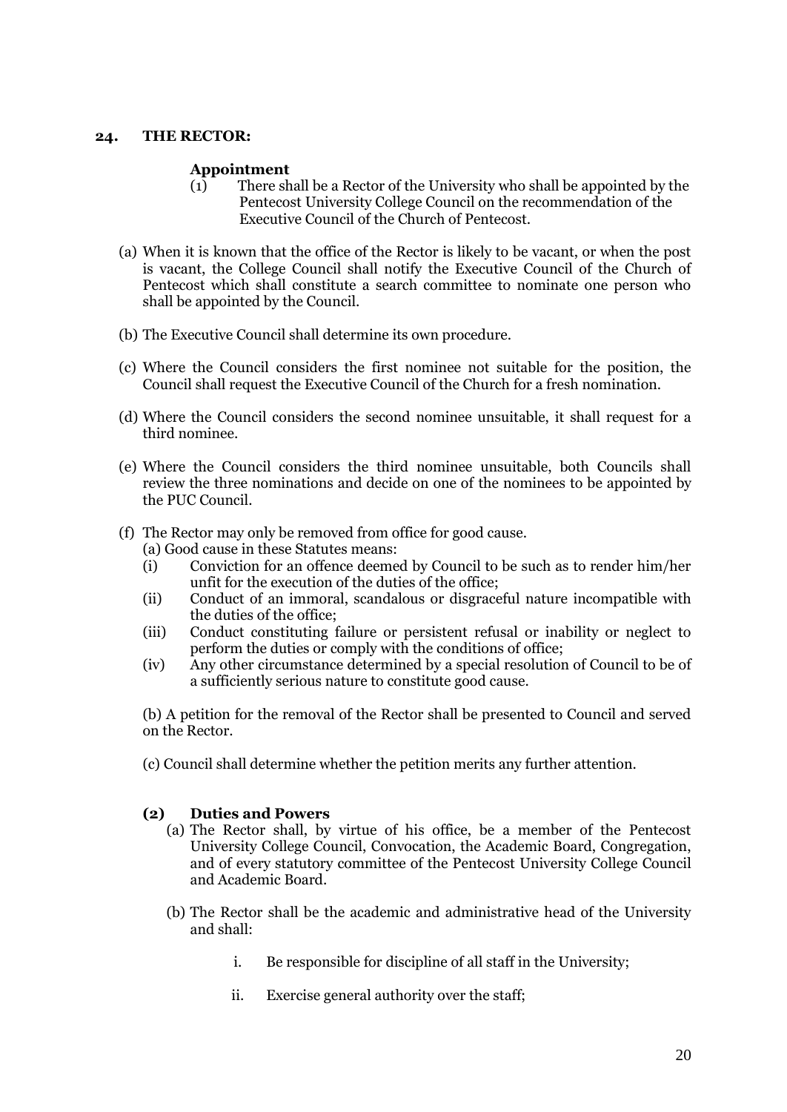## <span id="page-19-1"></span><span id="page-19-0"></span>**24. THE RECTOR:**

### **Appointment**

- (1) There shall be a Rector of the University who shall be appointed by the Pentecost University College Council on the recommendation of the Executive Council of the Church of Pentecost.
- (a) When it is known that the office of the Rector is likely to be vacant, or when the post is vacant, the College Council shall notify the Executive Council of the Church of Pentecost which shall constitute a search committee to nominate one person who shall be appointed by the Council.
- (b) The Executive Council shall determine its own procedure.
- (c) Where the Council considers the first nominee not suitable for the position, the Council shall request the Executive Council of the Church for a fresh nomination.
- (d) Where the Council considers the second nominee unsuitable, it shall request for a third nominee.
- (e) Where the Council considers the third nominee unsuitable, both Councils shall review the three nominations and decide on one of the nominees to be appointed by the PUC Council.
- (f) The Rector may only be removed from office for good cause.
	- (a) Good cause in these Statutes means:
	- (i) Conviction for an offence deemed by Council to be such as to render him/her unfit for the execution of the duties of the office;
	- (ii) Conduct of an immoral, scandalous or disgraceful nature incompatible with the duties of the office;
	- (iii) Conduct constituting failure or persistent refusal or inability or neglect to perform the duties or comply with the conditions of office;
	- (iv) Any other circumstance determined by a special resolution of Council to be of a sufficiently serious nature to constitute good cause.

(b) A petition for the removal of the Rector shall be presented to Council and served on the Rector.

(c) Council shall determine whether the petition merits any further attention.

### <span id="page-19-2"></span>**(2) Duties and Powers**

- (a) The Rector shall, by virtue of his office, be a member of the Pentecost University College Council, Convocation, the Academic Board, Congregation, and of every statutory committee of the Pentecost University College Council and Academic Board.
- (b) The Rector shall be the academic and administrative head of the University and shall:
	- i. Be responsible for discipline of all staff in the University;
	- ii. Exercise general authority over the staff;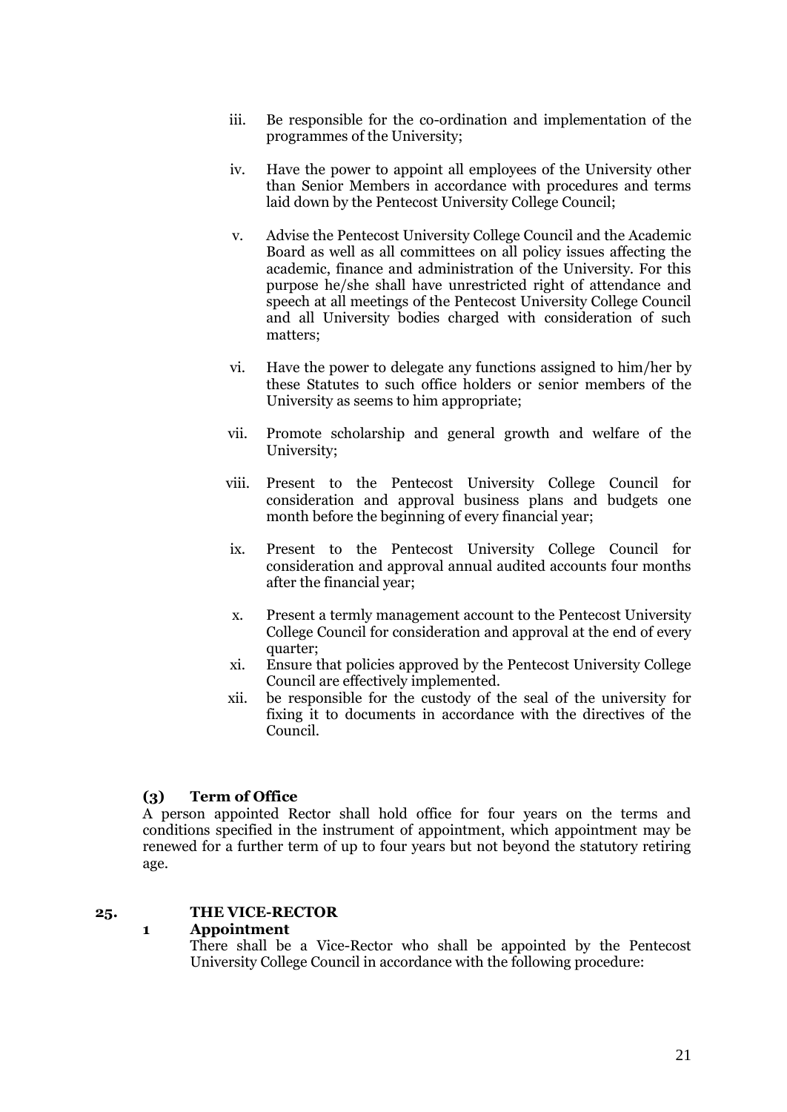- iii. Be responsible for the co-ordination and implementation of the programmes of the University;
- iv. Have the power to appoint all employees of the University other than Senior Members in accordance with procedures and terms laid down by the Pentecost University College Council;
- v. Advise the Pentecost University College Council and the Academic Board as well as all committees on all policy issues affecting the academic, finance and administration of the University. For this purpose he/she shall have unrestricted right of attendance and speech at all meetings of the Pentecost University College Council and all University bodies charged with consideration of such matters;
- vi. Have the power to delegate any functions assigned to him/her by these Statutes to such office holders or senior members of the University as seems to him appropriate;
- vii. Promote scholarship and general growth and welfare of the University;
- viii. Present to the Pentecost University College Council for consideration and approval business plans and budgets one month before the beginning of every financial year;
- ix. Present to the Pentecost University College Council for consideration and approval annual audited accounts four months after the financial year;
- x. Present a termly management account to the Pentecost University College Council for consideration and approval at the end of every quarter;
- xi. Ensure that policies approved by the Pentecost University College Council are effectively implemented.
- xii. be responsible for the custody of the seal of the university for fixing it to documents in accordance with the directives of the Council.

# <span id="page-20-0"></span>**(3) Term of Office**

A person appointed Rector shall hold office for four years on the terms and conditions specified in the instrument of appointment, which appointment may be renewed for a further term of up to four years but not beyond the statutory retiring age.

# <span id="page-20-1"></span>**25. THE VICE-RECTOR**

# <span id="page-20-2"></span>**1 Appointment**

There shall be a Vice-Rector who shall be appointed by the Pentecost University College Council in accordance with the following procedure: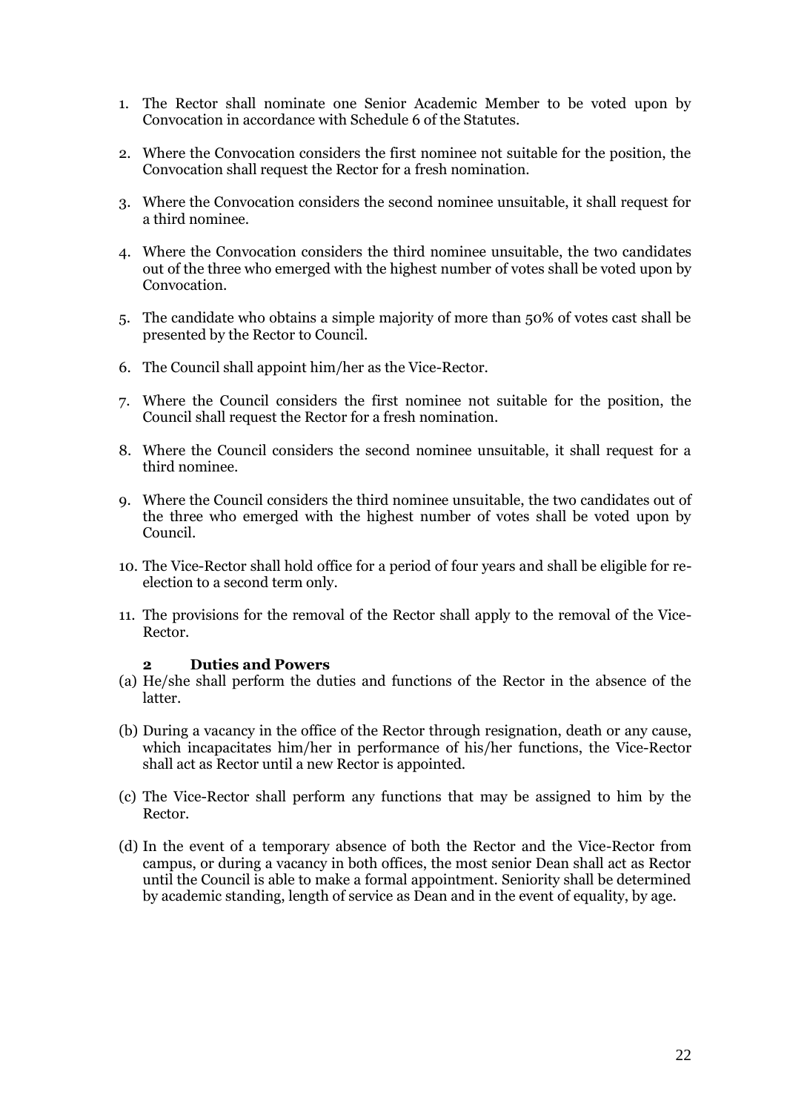- 1. The Rector shall nominate one Senior Academic Member to be voted upon by Convocation in accordance with Schedule 6 of the Statutes.
- 2. Where the Convocation considers the first nominee not suitable for the position, the Convocation shall request the Rector for a fresh nomination.
- 3. Where the Convocation considers the second nominee unsuitable, it shall request for a third nominee.
- 4. Where the Convocation considers the third nominee unsuitable, the two candidates out of the three who emerged with the highest number of votes shall be voted upon by Convocation.
- 5. The candidate who obtains a simple majority of more than 50% of votes cast shall be presented by the Rector to Council.
- 6. The Council shall appoint him/her as the Vice-Rector.
- 7. Where the Council considers the first nominee not suitable for the position, the Council shall request the Rector for a fresh nomination.
- 8. Where the Council considers the second nominee unsuitable, it shall request for a third nominee.
- 9. Where the Council considers the third nominee unsuitable, the two candidates out of the three who emerged with the highest number of votes shall be voted upon by Council.
- 10. The Vice-Rector shall hold office for a period of four years and shall be eligible for reelection to a second term only.
- 11. The provisions for the removal of the Rector shall apply to the removal of the Vice-Rector.

#### **2 Duties and Powers**

- <span id="page-21-0"></span>(a) He/she shall perform the duties and functions of the Rector in the absence of the latter.
- (b) During a vacancy in the office of the Rector through resignation, death or any cause, which incapacitates him/her in performance of his/her functions, the Vice-Rector shall act as Rector until a new Rector is appointed.
- (c) The Vice-Rector shall perform any functions that may be assigned to him by the Rector.
- (d) In the event of a temporary absence of both the Rector and the Vice-Rector from campus, or during a vacancy in both offices, the most senior Dean shall act as Rector until the Council is able to make a formal appointment. Seniority shall be determined by academic standing, length of service as Dean and in the event of equality, by age.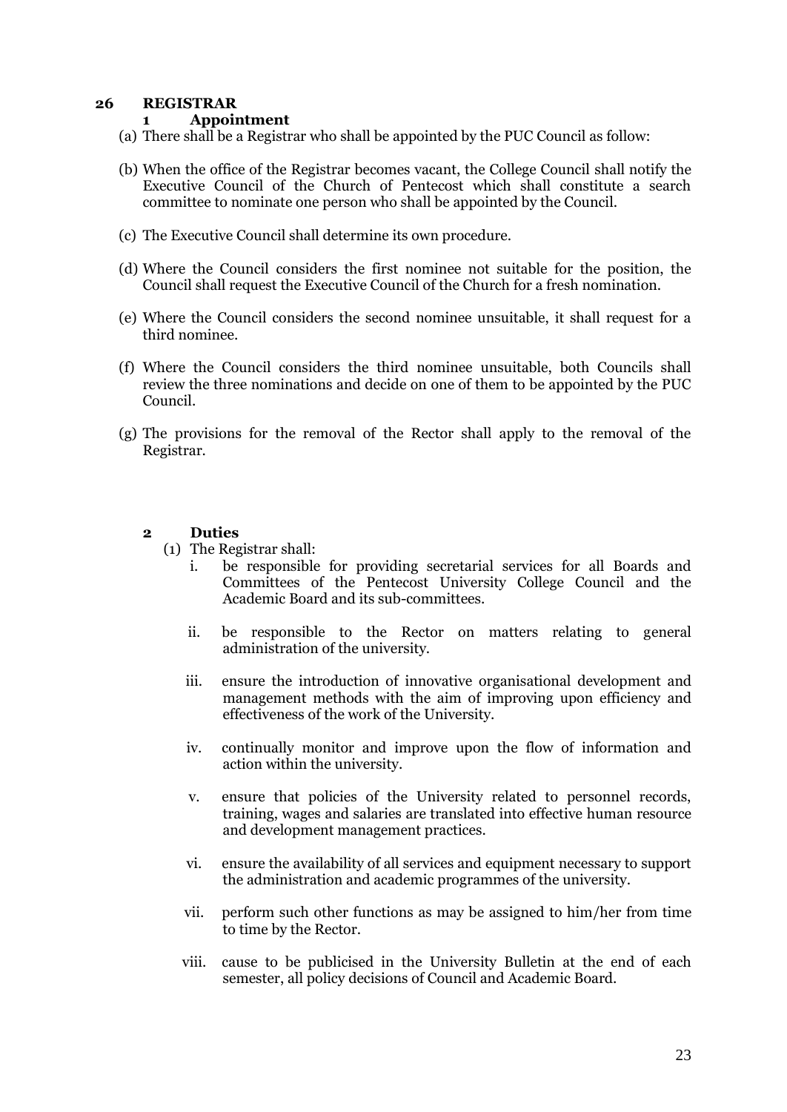# <span id="page-22-1"></span><span id="page-22-0"></span>**26 REGISTRAR**

# **1 Appointment**

- (a) There shall be a Registrar who shall be appointed by the PUC Council as follow:
- (b) When the office of the Registrar becomes vacant, the College Council shall notify the Executive Council of the Church of Pentecost which shall constitute a search committee to nominate one person who shall be appointed by the Council.
- (c) The Executive Council shall determine its own procedure.
- (d) Where the Council considers the first nominee not suitable for the position, the Council shall request the Executive Council of the Church for a fresh nomination.
- (e) Where the Council considers the second nominee unsuitable, it shall request for a third nominee.
- (f) Where the Council considers the third nominee unsuitable, both Councils shall review the three nominations and decide on one of them to be appointed by the PUC Council.
- (g) The provisions for the removal of the Rector shall apply to the removal of the Registrar.

# <span id="page-22-2"></span>**2 Duties**

- (1) The Registrar shall:
	- i. be responsible for providing secretarial services for all Boards and Committees of the Pentecost University College Council and the Academic Board and its sub-committees.
	- ii. be responsible to the Rector on matters relating to general administration of the university.
	- iii. ensure the introduction of innovative organisational development and management methods with the aim of improving upon efficiency and effectiveness of the work of the University.
	- iv. continually monitor and improve upon the flow of information and action within the university.
	- v. ensure that policies of the University related to personnel records, training, wages and salaries are translated into effective human resource and development management practices.
	- vi. ensure the availability of all services and equipment necessary to support the administration and academic programmes of the university.
	- vii. perform such other functions as may be assigned to him/her from time to time by the Rector.
	- viii. cause to be publicised in the University Bulletin at the end of each semester, all policy decisions of Council and Academic Board.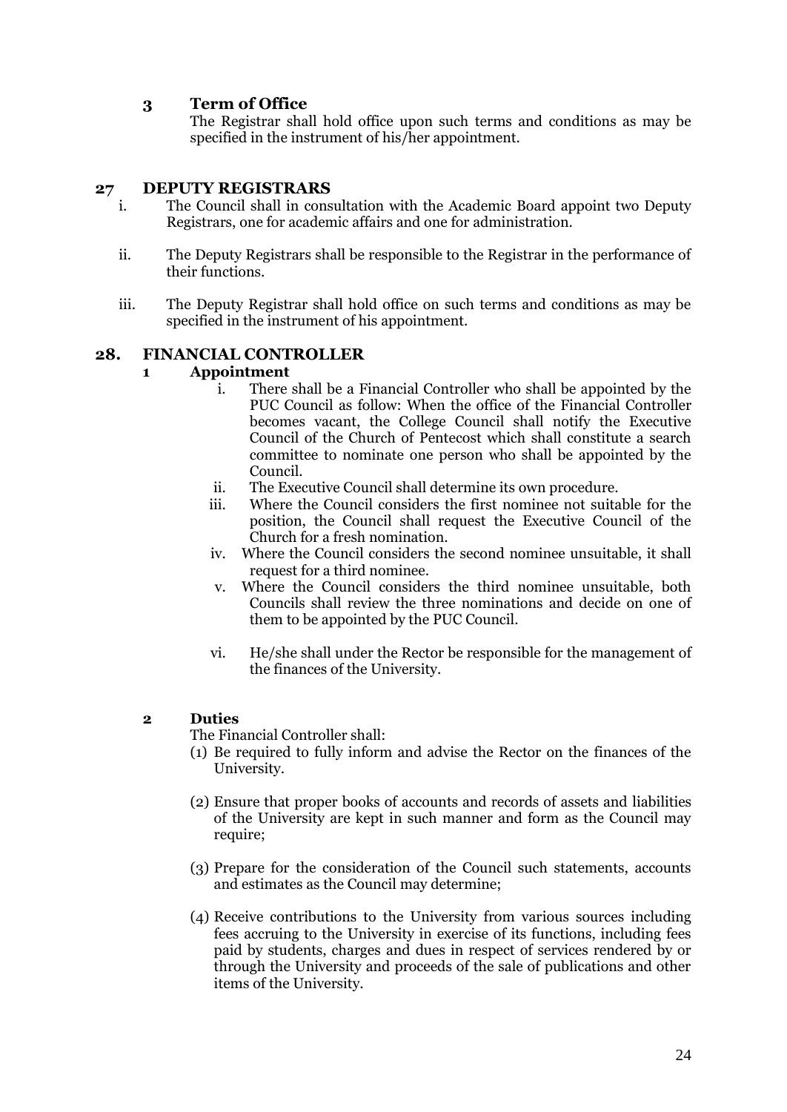# <span id="page-23-0"></span>**3 Term of Office**

The Registrar shall hold office upon such terms and conditions as may be specified in the instrument of his/her appointment.

# <span id="page-23-1"></span>**27 DEPUTY REGISTRARS**

- i. The Council shall in consultation with the Academic Board appoint two Deputy Registrars, one for academic affairs and one for administration.
- ii. The Deputy Registrars shall be responsible to the Registrar in the performance of their functions.
- iii. The Deputy Registrar shall hold office on such terms and conditions as may be specified in the instrument of his appointment.

# <span id="page-23-2"></span>**28. FINANCIAL CONTROLLER**

# <span id="page-23-3"></span>**1 Appointment**

- i. There shall be a Financial Controller who shall be appointed by the PUC Council as follow: When the office of the Financial Controller becomes vacant, the College Council shall notify the Executive Council of the Church of Pentecost which shall constitute a search committee to nominate one person who shall be appointed by the Council.
- ii. The Executive Council shall determine its own procedure.
- iii. Where the Council considers the first nominee not suitable for the position, the Council shall request the Executive Council of the Church for a fresh nomination.
- iv. Where the Council considers the second nominee unsuitable, it shall request for a third nominee.
- v. Where the Council considers the third nominee unsuitable, both Councils shall review the three nominations and decide on one of them to be appointed by the PUC Council.
- vi. He/she shall under the Rector be responsible for the management of the finances of the University.

# <span id="page-23-4"></span>**2 Duties**

The Financial Controller shall:

- (1) Be required to fully inform and advise the Rector on the finances of the University.
- (2) Ensure that proper books of accounts and records of assets and liabilities of the University are kept in such manner and form as the Council may require;
- (3) Prepare for the consideration of the Council such statements, accounts and estimates as the Council may determine;
- (4) Receive contributions to the University from various sources including fees accruing to the University in exercise of its functions, including fees paid by students, charges and dues in respect of services rendered by or through the University and proceeds of the sale of publications and other items of the University.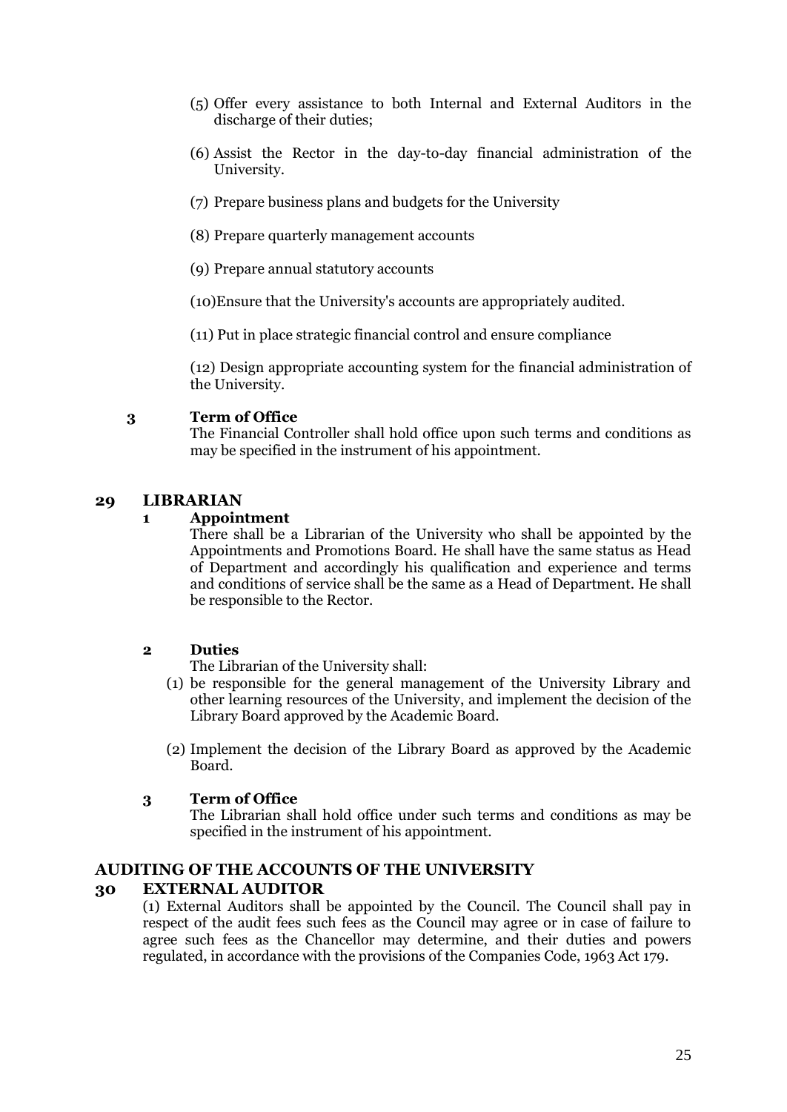- (5) Offer every assistance to both Internal and External Auditors in the discharge of their duties;
- (6) Assist the Rector in the day-to-day financial administration of the University.
- (7) Prepare business plans and budgets for the University
- (8) Prepare quarterly management accounts
- (9) Prepare annual statutory accounts

(10)Ensure that the University's accounts are appropriately audited.

(11) Put in place strategic financial control and ensure compliance

(12) Design appropriate accounting system for the financial administration of the University.

# <span id="page-24-0"></span>**3 Term of Office**

The Financial Controller shall hold office upon such terms and conditions as may be specified in the instrument of his appointment.

## <span id="page-24-1"></span>**29 LIBRARIAN**

## <span id="page-24-2"></span>**1 Appointment**

There shall be a Librarian of the University who shall be appointed by the Appointments and Promotions Board. He shall have the same status as Head of Department and accordingly his qualification and experience and terms and conditions of service shall be the same as a Head of Department. He shall be responsible to the Rector.

# <span id="page-24-3"></span>**2 Duties**

The Librarian of the University shall:

- (1) be responsible for the general management of the University Library and other learning resources of the University, and implement the decision of the Library Board approved by the Academic Board.
- (2) Implement the decision of the Library Board as approved by the Academic Board.

# <span id="page-24-4"></span>**3 Term of Office**

The Librarian shall hold office under such terms and conditions as may be specified in the instrument of his appointment.

# <span id="page-24-5"></span>**AUDITING OF THE ACCOUNTS OF THE UNIVERSITY**

# <span id="page-24-6"></span>**30 EXTERNAL AUDITOR**

(1) External Auditors shall be appointed by the Council. The Council shall pay in respect of the audit fees such fees as the Council may agree or in case of failure to agree such fees as the Chancellor may determine, and their duties and powers regulated, in accordance with the provisions of the Companies Code, 1963 Act 179.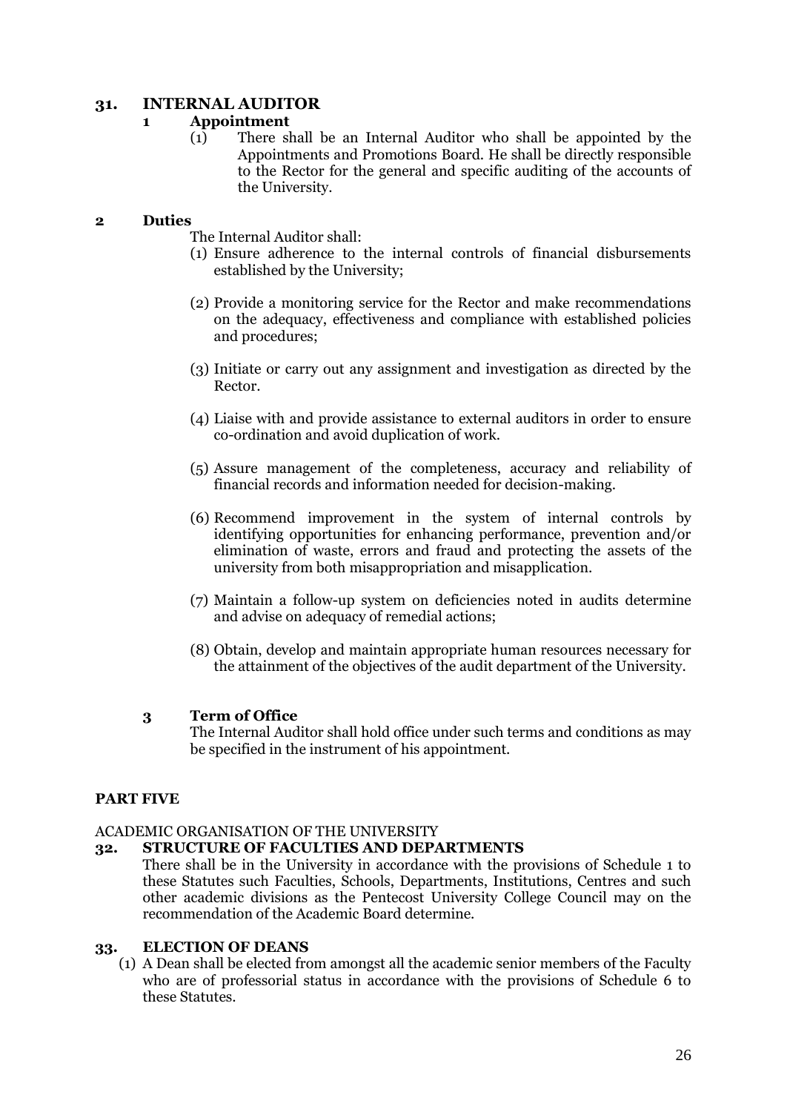# <span id="page-25-1"></span><span id="page-25-0"></span>**31. INTERNAL AUDITOR**

## **1 Appointment**

(1) There shall be an Internal Auditor who shall be appointed by the Appointments and Promotions Board. He shall be directly responsible to the Rector for the general and specific auditing of the accounts of the University.

## <span id="page-25-2"></span>**2 Duties**

The Internal Auditor shall:

- (1) Ensure adherence to the internal controls of financial disbursements established by the University;
- (2) Provide a monitoring service for the Rector and make recommendations on the adequacy, effectiveness and compliance with established policies and procedures;
- (3) Initiate or carry out any assignment and investigation as directed by the Rector.
- (4) Liaise with and provide assistance to external auditors in order to ensure co-ordination and avoid duplication of work.
- (5) Assure management of the completeness, accuracy and reliability of financial records and information needed for decision-making.
- (6) Recommend improvement in the system of internal controls by identifying opportunities for enhancing performance, prevention and/or elimination of waste, errors and fraud and protecting the assets of the university from both misappropriation and misapplication.
- (7) Maintain a follow-up system on deficiencies noted in audits determine and advise on adequacy of remedial actions;
- (8) Obtain, develop and maintain appropriate human resources necessary for the attainment of the objectives of the audit department of the University.

# <span id="page-25-3"></span>**3 Term of Office**

The Internal Auditor shall hold office under such terms and conditions as may be specified in the instrument of his appointment.

# <span id="page-25-4"></span>**PART FIVE**

### <span id="page-25-5"></span>ACADEMIC ORGANISATION OF THE UNIVERSITY

### <span id="page-25-6"></span>**32. STRUCTURE OF FACULTIES AND DEPARTMENTS**

There shall be in the University in accordance with the provisions of Schedule 1 to these Statutes such Faculties, Schools, Departments, Institutions, Centres and such other academic divisions as the Pentecost University College Council may on the recommendation of the Academic Board determine.

### <span id="page-25-7"></span>**33. ELECTION OF DEANS**

(1) A Dean shall be elected from amongst all the academic senior members of the Faculty who are of professorial status in accordance with the provisions of Schedule 6 to these Statutes.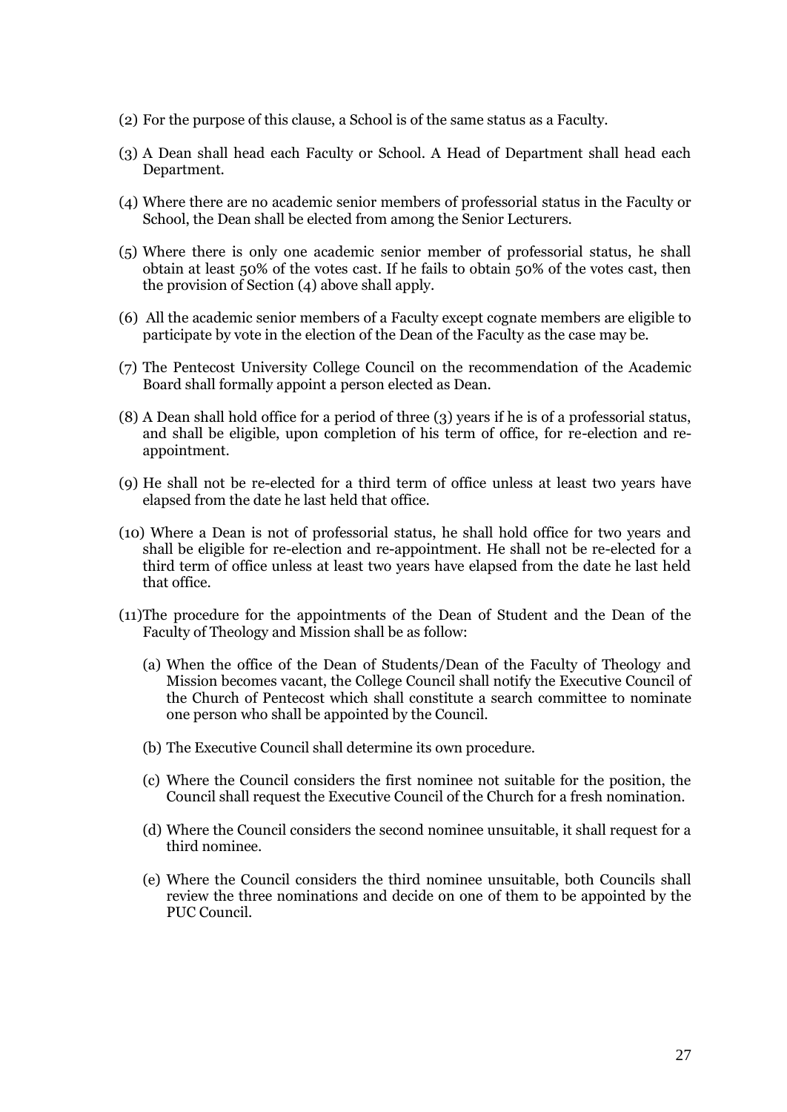- (2) For the purpose of this clause, a School is of the same status as a Faculty.
- (3) A Dean shall head each Faculty or School. A Head of Department shall head each Department.
- (4) Where there are no academic senior members of professorial status in the Faculty or School, the Dean shall be elected from among the Senior Lecturers.
- (5) Where there is only one academic senior member of professorial status, he shall obtain at least 50% of the votes cast. If he fails to obtain 50% of the votes cast, then the provision of Section (4) above shall apply.
- (6) All the academic senior members of a Faculty except cognate members are eligible to participate by vote in the election of the Dean of the Faculty as the case may be.
- (7) The Pentecost University College Council on the recommendation of the Academic Board shall formally appoint a person elected as Dean.
- (8) A Dean shall hold office for a period of three (3) years if he is of a professorial status, and shall be eligible, upon completion of his term of office, for re-election and reappointment.
- (9) He shall not be re-elected for a third term of office unless at least two years have elapsed from the date he last held that office.
- (10) Where a Dean is not of professorial status, he shall hold office for two years and shall be eligible for re-election and re-appointment. He shall not be re-elected for a third term of office unless at least two years have elapsed from the date he last held that office.
- (11)The procedure for the appointments of the Dean of Student and the Dean of the Faculty of Theology and Mission shall be as follow:
	- (a) When the office of the Dean of Students/Dean of the Faculty of Theology and Mission becomes vacant, the College Council shall notify the Executive Council of the Church of Pentecost which shall constitute a search committee to nominate one person who shall be appointed by the Council.
	- (b) The Executive Council shall determine its own procedure.
	- (c) Where the Council considers the first nominee not suitable for the position, the Council shall request the Executive Council of the Church for a fresh nomination.
	- (d) Where the Council considers the second nominee unsuitable, it shall request for a third nominee.
	- (e) Where the Council considers the third nominee unsuitable, both Councils shall review the three nominations and decide on one of them to be appointed by the PUC Council.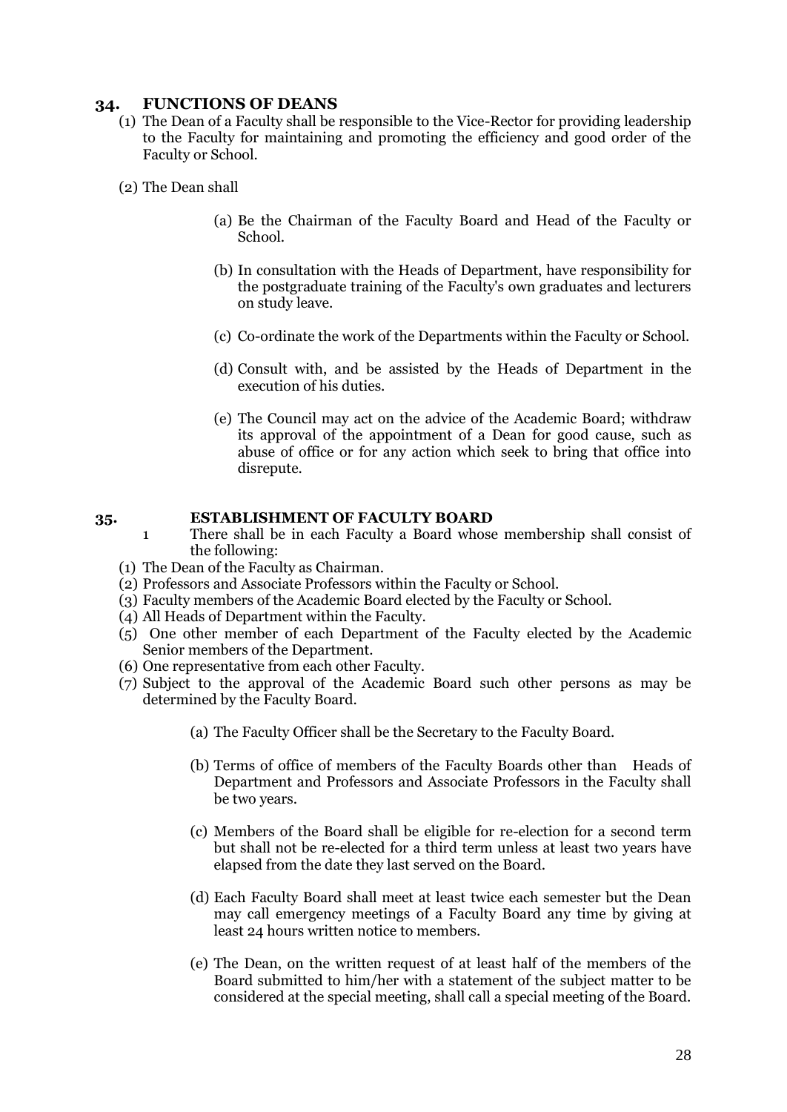# <span id="page-27-0"></span>**34. FUNCTIONS OF DEANS**

- (1) The Dean of a Faculty shall be responsible to the Vice-Rector for providing leadership to the Faculty for maintaining and promoting the efficiency and good order of the Faculty or School.
- (2) The Dean shall
	- (a) Be the Chairman of the Faculty Board and Head of the Faculty or School.
	- (b) In consultation with the Heads of Department, have responsibility for the postgraduate training of the Faculty's own graduates and lecturers on study leave.
	- (c) Co-ordinate the work of the Departments within the Faculty or School.
	- (d) Consult with, and be assisted by the Heads of Department in the execution of his duties.
	- (e) The Council may act on the advice of the Academic Board; withdraw its approval of the appointment of a Dean for good cause, such as abuse of office or for any action which seek to bring that office into disrepute.

### <span id="page-27-1"></span>**35. ESTABLISHMENT OF FACULTY BOARD**

- 1 There shall be in each Faculty a Board whose membership shall consist of the following:
- (1) The Dean of the Faculty as Chairman.
- (2) Professors and Associate Professors within the Faculty or School.
- (3) Faculty members of the Academic Board elected by the Faculty or School.
- (4) All Heads of Department within the Faculty.
- (5) One other member of each Department of the Faculty elected by the Academic Senior members of the Department.
- (6) One representative from each other Faculty.
- (7) Subject to the approval of the Academic Board such other persons as may be determined by the Faculty Board.
	- (a) The Faculty Officer shall be the Secretary to the Faculty Board.
	- (b) Terms of office of members of the Faculty Boards other than Heads of Department and Professors and Associate Professors in the Faculty shall be two years.
	- (c) Members of the Board shall be eligible for re-election for a second term but shall not be re-elected for a third term unless at least two years have elapsed from the date they last served on the Board.
	- (d) Each Faculty Board shall meet at least twice each semester but the Dean may call emergency meetings of a Faculty Board any time by giving at least 24 hours written notice to members.
	- (e) The Dean, on the written request of at least half of the members of the Board submitted to him/her with a statement of the subject matter to be considered at the special meeting, shall call a special meeting of the Board.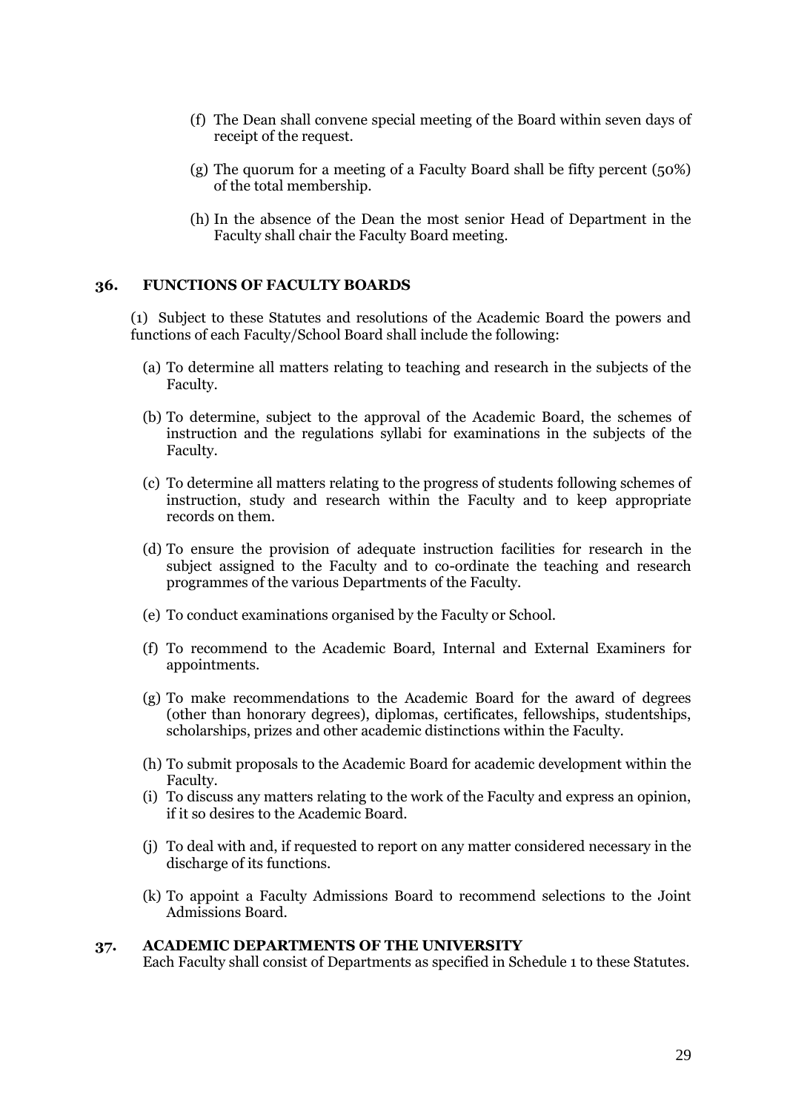- (f) The Dean shall convene special meeting of the Board within seven days of receipt of the request.
- (g) The quorum for a meeting of a Faculty Board shall be fifty percent (50%) of the total membership.
- (h) In the absence of the Dean the most senior Head of Department in the Faculty shall chair the Faculty Board meeting.

## <span id="page-28-0"></span>**36. FUNCTIONS OF FACULTY BOARDS**

(1) Subject to these Statutes and resolutions of the Academic Board the powers and functions of each Faculty/School Board shall include the following:

- (a) To determine all matters relating to teaching and research in the subjects of the Faculty.
- (b) To determine, subject to the approval of the Academic Board, the schemes of instruction and the regulations syllabi for examinations in the subjects of the Faculty.
- (c) To determine all matters relating to the progress of students following schemes of instruction, study and research within the Faculty and to keep appropriate records on them.
- (d) To ensure the provision of adequate instruction facilities for research in the subject assigned to the Faculty and to co-ordinate the teaching and research programmes of the various Departments of the Faculty.
- (e) To conduct examinations organised by the Faculty or School.
- (f) To recommend to the Academic Board, Internal and External Examiners for appointments.
- (g) To make recommendations to the Academic Board for the award of degrees (other than honorary degrees), diplomas, certificates, fellowships, studentships, scholarships, prizes and other academic distinctions within the Faculty.
- (h) To submit proposals to the Academic Board for academic development within the Faculty.
- (i) To discuss any matters relating to the work of the Faculty and express an opinion, if it so desires to the Academic Board.
- (j) To deal with and, if requested to report on any matter considered necessary in the discharge of its functions.
- (k) To appoint a Faculty Admissions Board to recommend selections to the Joint Admissions Board.

#### <span id="page-28-1"></span>**37. ACADEMIC DEPARTMENTS OF THE UNIVERSITY**

Each Faculty shall consist of Departments as specified in Schedule 1 to these Statutes.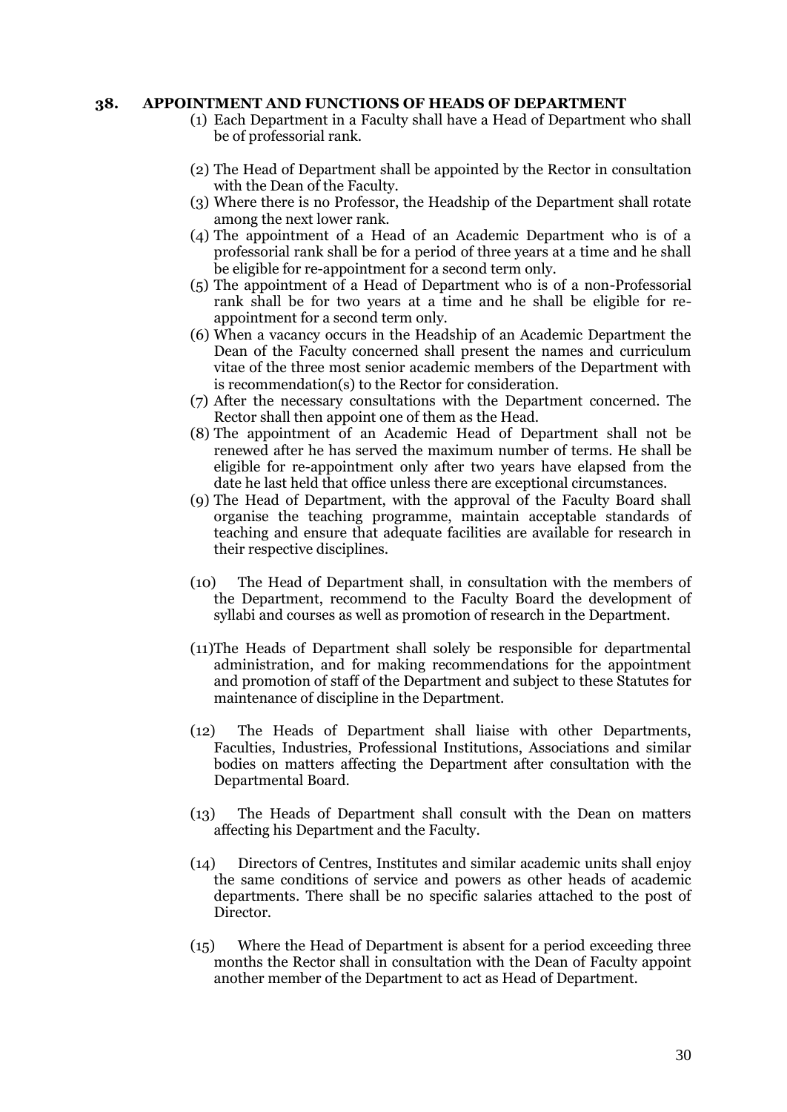#### <span id="page-29-0"></span>**38. APPOINTMENT AND FUNCTIONS OF HEADS OF DEPARTMENT**

- (1) Each Department in a Faculty shall have a Head of Department who shall be of professorial rank.
- (2) The Head of Department shall be appointed by the Rector in consultation with the Dean of the Faculty.
- (3) Where there is no Professor, the Headship of the Department shall rotate among the next lower rank.
- (4) The appointment of a Head of an Academic Department who is of a professorial rank shall be for a period of three years at a time and he shall be eligible for re-appointment for a second term only.
- (5) The appointment of a Head of Department who is of a non-Professorial rank shall be for two years at a time and he shall be eligible for reappointment for a second term only.
- (6) When a vacancy occurs in the Headship of an Academic Department the Dean of the Faculty concerned shall present the names and curriculum vitae of the three most senior academic members of the Department with is recommendation(s) to the Rector for consideration.
- (7) After the necessary consultations with the Department concerned. The Rector shall then appoint one of them as the Head.
- (8) The appointment of an Academic Head of Department shall not be renewed after he has served the maximum number of terms. He shall be eligible for re-appointment only after two years have elapsed from the date he last held that office unless there are exceptional circumstances.
- (9) The Head of Department, with the approval of the Faculty Board shall organise the teaching programme, maintain acceptable standards of teaching and ensure that adequate facilities are available for research in their respective disciplines.
- (10) The Head of Department shall, in consultation with the members of the Department, recommend to the Faculty Board the development of syllabi and courses as well as promotion of research in the Department.
- (11)The Heads of Department shall solely be responsible for departmental administration, and for making recommendations for the appointment and promotion of staff of the Department and subject to these Statutes for maintenance of discipline in the Department.
- (12) The Heads of Department shall liaise with other Departments, Faculties, Industries, Professional Institutions, Associations and similar bodies on matters affecting the Department after consultation with the Departmental Board.
- (13) The Heads of Department shall consult with the Dean on matters affecting his Department and the Faculty.
- (14) Directors of Centres, Institutes and similar academic units shall enjoy the same conditions of service and powers as other heads of academic departments. There shall be no specific salaries attached to the post of Director.
- (15) Where the Head of Department is absent for a period exceeding three months the Rector shall in consultation with the Dean of Faculty appoint another member of the Department to act as Head of Department.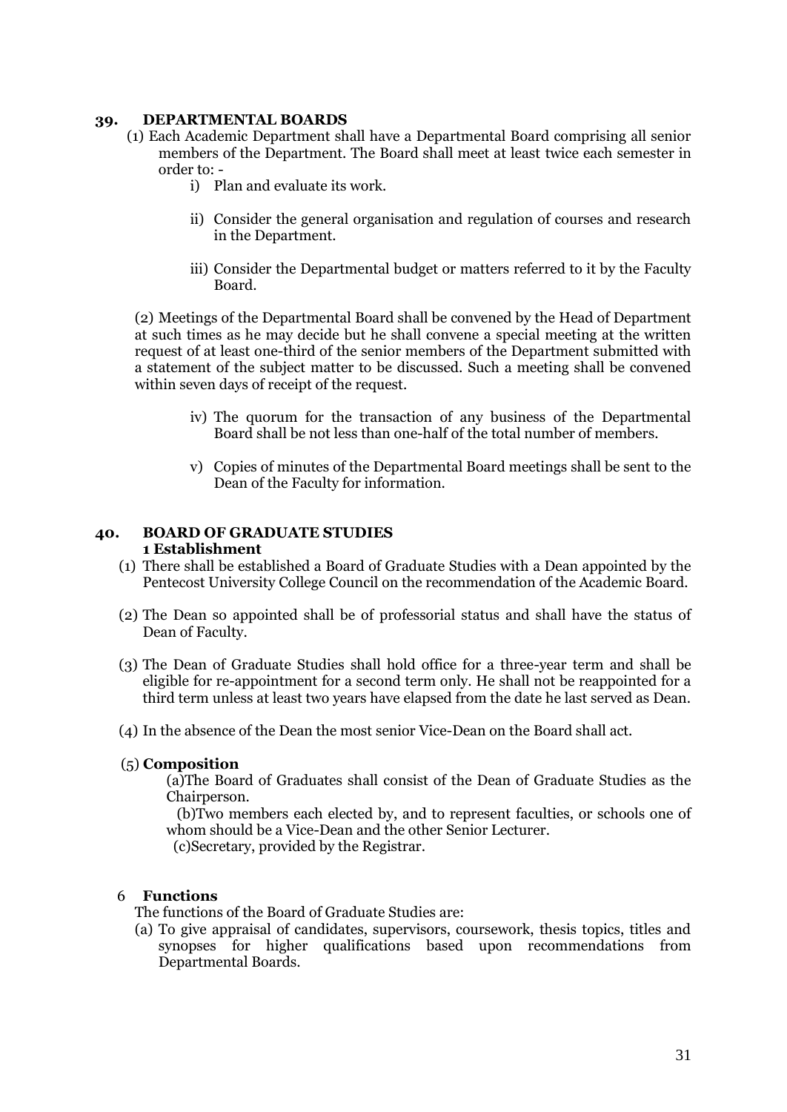### <span id="page-30-0"></span>**39. DEPARTMENTAL BOARDS**

- (1) Each Academic Department shall have a Departmental Board comprising all senior members of the Department. The Board shall meet at least twice each semester in order to:
	- i) Plan and evaluate its work.
	- ii) Consider the general organisation and regulation of courses and research in the Department.
	- iii) Consider the Departmental budget or matters referred to it by the Faculty Board.

(2) Meetings of the Departmental Board shall be convened by the Head of Department at such times as he may decide but he shall convene a special meeting at the written request of at least one-third of the senior members of the Department submitted with a statement of the subject matter to be discussed. Such a meeting shall be convened within seven days of receipt of the request.

- iv) The quorum for the transaction of any business of the Departmental Board shall be not less than one-half of the total number of members.
- v) Copies of minutes of the Departmental Board meetings shall be sent to the Dean of the Faculty for information.

### <span id="page-30-1"></span>**40. BOARD OF GRADUATE STUDIES 1 Establishment**

- <span id="page-30-2"></span>(1) There shall be established a Board of Graduate Studies with a Dean appointed by the Pentecost University College Council on the recommendation of the Academic Board.
- (2) The Dean so appointed shall be of professorial status and shall have the status of Dean of Faculty.
- (3) The Dean of Graduate Studies shall hold office for a three-year term and shall be eligible for re-appointment for a second term only. He shall not be reappointed for a third term unless at least two years have elapsed from the date he last served as Dean.
- (4) In the absence of the Dean the most senior Vice-Dean on the Board shall act.

# <span id="page-30-3"></span>(5) **Composition**

(a)The Board of Graduates shall consist of the Dean of Graduate Studies as the Chairperson.

 (b)Two members each elected by, and to represent faculties, or schools one of whom should be a Vice-Dean and the other Senior Lecturer.

(c)Secretary, provided by the Registrar.

### <span id="page-30-4"></span>6 **Functions**

The functions of the Board of Graduate Studies are:

(a) To give appraisal of candidates, supervisors, coursework, thesis topics, titles and synopses for higher qualifications based upon recommendations from Departmental Boards.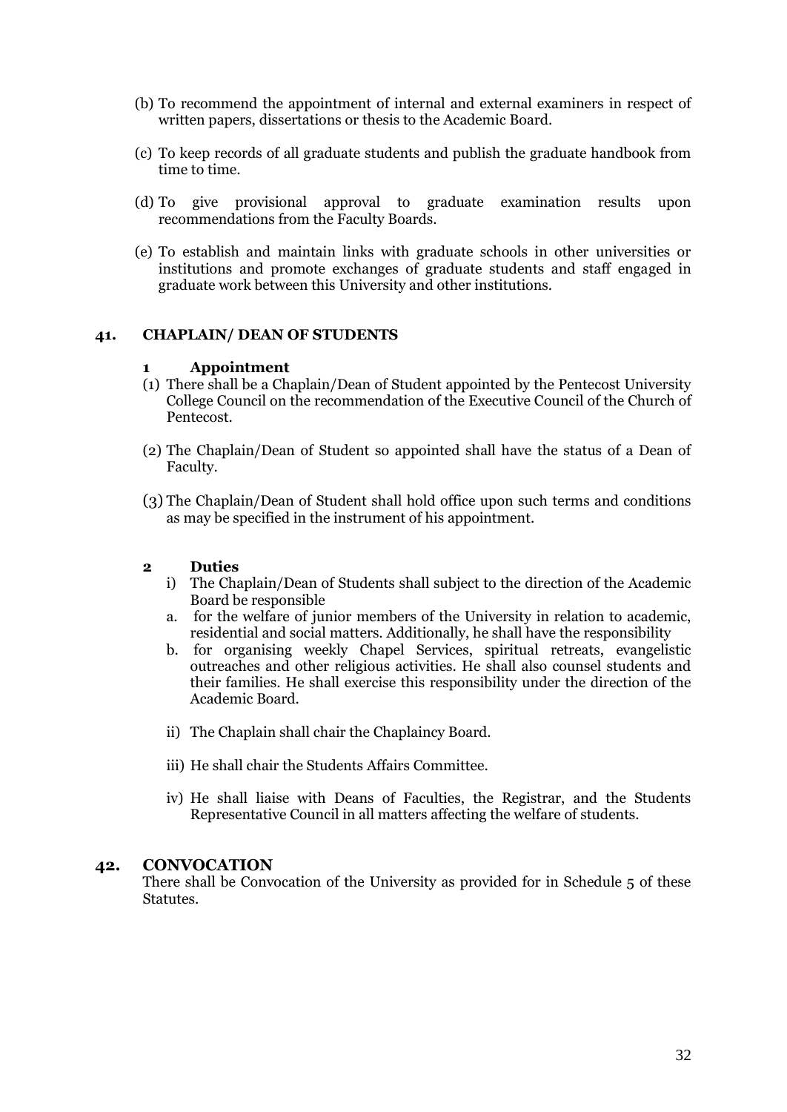- (b) To recommend the appointment of internal and external examiners in respect of written papers, dissertations or thesis to the Academic Board.
- (c) To keep records of all graduate students and publish the graduate handbook from time to time.
- (d) To give provisional approval to graduate examination results upon recommendations from the Faculty Boards.
- (e) To establish and maintain links with graduate schools in other universities or institutions and promote exchanges of graduate students and staff engaged in graduate work between this University and other institutions.

## <span id="page-31-0"></span>**41. CHAPLAIN/ DEAN OF STUDENTS**

### <span id="page-31-1"></span>**1 Appointment**

- (1) There shall be a Chaplain/Dean of Student appointed by the Pentecost University College Council on the recommendation of the Executive Council of the Church of Pentecost.
- (2) The Chaplain/Dean of Student so appointed shall have the status of a Dean of Faculty.
- (3) The Chaplain/Dean of Student shall hold office upon such terms and conditions as may be specified in the instrument of his appointment.

### <span id="page-31-2"></span>**2 Duties**

- i) The Chaplain/Dean of Students shall subject to the direction of the Academic Board be responsible
- a. for the welfare of junior members of the University in relation to academic, residential and social matters. Additionally, he shall have the responsibility
- b. for organising weekly Chapel Services, spiritual retreats, evangelistic outreaches and other religious activities. He shall also counsel students and their families. He shall exercise this responsibility under the direction of the Academic Board.
- ii) The Chaplain shall chair the Chaplaincy Board.
- iii) He shall chair the Students Affairs Committee.
- iv) He shall liaise with Deans of Faculties, the Registrar, and the Students Representative Council in all matters affecting the welfare of students.

## <span id="page-31-3"></span>**42. CONVOCATION**

There shall be Convocation of the University as provided for in Schedule 5 of these Statutes.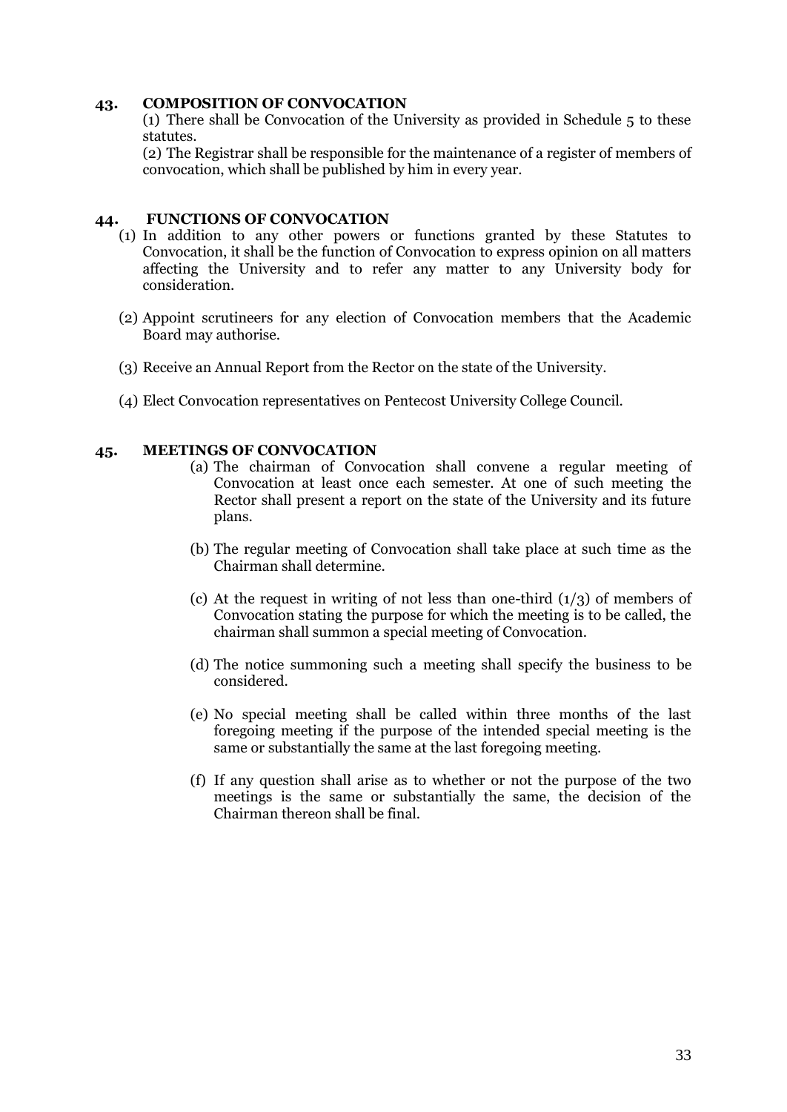### <span id="page-32-0"></span>**43. COMPOSITION OF CONVOCATION**

(1) There shall be Convocation of the University as provided in Schedule 5 to these statutes.

(2) The Registrar shall be responsible for the maintenance of a register of members of convocation, which shall be published by him in every year.

### <span id="page-32-1"></span>**44. FUNCTIONS OF CONVOCATION**

- (1) In addition to any other powers or functions granted by these Statutes to Convocation, it shall be the function of Convocation to express opinion on all matters affecting the University and to refer any matter to any University body for consideration.
- (2) Appoint scrutineers for any election of Convocation members that the Academic Board may authorise.
- (3) Receive an Annual Report from the Rector on the state of the University.
- (4) Elect Convocation representatives on Pentecost University College Council.

## <span id="page-32-2"></span>**45. MEETINGS OF CONVOCATION**

- (a) The chairman of Convocation shall convene a regular meeting of Convocation at least once each semester. At one of such meeting the Rector shall present a report on the state of the University and its future plans.
- (b) The regular meeting of Convocation shall take place at such time as the Chairman shall determine.
- (c) At the request in writing of not less than one-third  $(1/3)$  of members of Convocation stating the purpose for which the meeting is to be called, the chairman shall summon a special meeting of Convocation.
- (d) The notice summoning such a meeting shall specify the business to be considered.
- (e) No special meeting shall be called within three months of the last foregoing meeting if the purpose of the intended special meeting is the same or substantially the same at the last foregoing meeting.
- (f) If any question shall arise as to whether or not the purpose of the two meetings is the same or substantially the same, the decision of the Chairman thereon shall be final.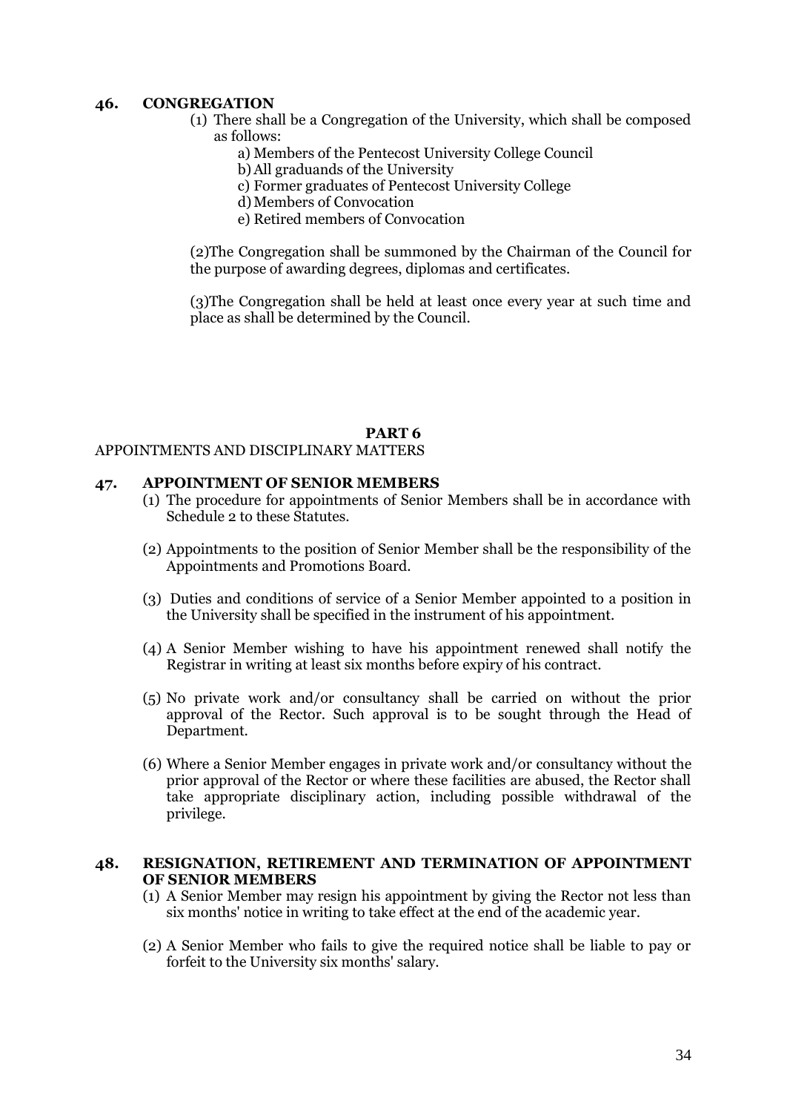### <span id="page-33-0"></span>**46. CONGREGATION**

- (1) There shall be a Congregation of the University, which shall be composed as follows:
	- a) Members of the Pentecost University College Council
	- b)All graduands of the University
	- c) Former graduates of Pentecost University College
	- d)Members of Convocation
	- e) Retired members of Convocation

(2)The Congregation shall be summoned by the Chairman of the Council for the purpose of awarding degrees, diplomas and certificates.

(3)The Congregation shall be held at least once every year at such time and place as shall be determined by the Council.

#### **PART 6**

# <span id="page-33-2"></span><span id="page-33-1"></span>APPOINTMENTS AND DISCIPLINARY MATTERS

#### <span id="page-33-3"></span>**47. APPOINTMENT OF SENIOR MEMBERS**

- (1) The procedure for appointments of Senior Members shall be in accordance with Schedule 2 to these Statutes.
- (2) Appointments to the position of Senior Member shall be the responsibility of the Appointments and Promotions Board.
- (3) Duties and conditions of service of a Senior Member appointed to a position in the University shall be specified in the instrument of his appointment.
- (4) A Senior Member wishing to have his appointment renewed shall notify the Registrar in writing at least six months before expiry of his contract.
- (5) No private work and/or consultancy shall be carried on without the prior approval of the Rector. Such approval is to be sought through the Head of Department.
- (6) Where a Senior Member engages in private work and/or consultancy without the prior approval of the Rector or where these facilities are abused, the Rector shall take appropriate disciplinary action, including possible withdrawal of the privilege.

#### <span id="page-33-4"></span>**48. RESIGNATION, RETIREMENT AND TERMINATION OF APPOINTMENT OF SENIOR MEMBERS**

- (1) A Senior Member may resign his appointment by giving the Rector not less than six months' notice in writing to take effect at the end of the academic year.
- (2) A Senior Member who fails to give the required notice shall be liable to pay or forfeit to the University six months' salary.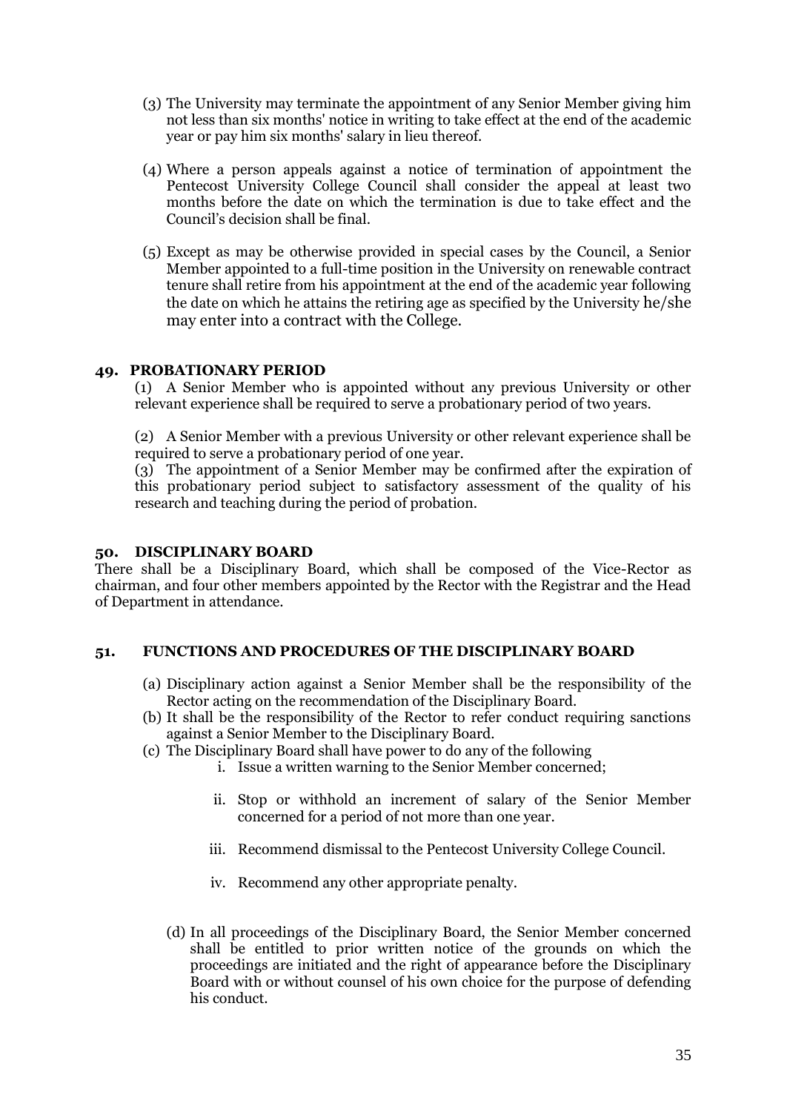- (3) The University may terminate the appointment of any Senior Member giving him not less than six months' notice in writing to take effect at the end of the academic year or pay him six months' salary in lieu thereof.
- (4) Where a person appeals against a notice of termination of appointment the Pentecost University College Council shall consider the appeal at least two months before the date on which the termination is due to take effect and the Council"s decision shall be final.
- (5) Except as may be otherwise provided in special cases by the Council, a Senior Member appointed to a full-time position in the University on renewable contract tenure shall retire from his appointment at the end of the academic year following the date on which he attains the retiring age as specified by the University he/she may enter into a contract with the College.

## <span id="page-34-0"></span>**49. PROBATIONARY PERIOD**

(1) A Senior Member who is appointed without any previous University or other relevant experience shall be required to serve a probationary period of two years.

(2) A Senior Member with a previous University or other relevant experience shall be required to serve a probationary period of one year.

(3) The appointment of a Senior Member may be confirmed after the expiration of this probationary period subject to satisfactory assessment of the quality of his research and teaching during the period of probation.

## <span id="page-34-1"></span>**50. DISCIPLINARY BOARD**

There shall be a Disciplinary Board, which shall be composed of the Vice-Rector as chairman, and four other members appointed by the Rector with the Registrar and the Head of Department in attendance.

# <span id="page-34-2"></span>**51. FUNCTIONS AND PROCEDURES OF THE DISCIPLINARY BOARD**

- (a) Disciplinary action against a Senior Member shall be the responsibility of the Rector acting on the recommendation of the Disciplinary Board.
- (b) It shall be the responsibility of the Rector to refer conduct requiring sanctions against a Senior Member to the Disciplinary Board.
- (c) The Disciplinary Board shall have power to do any of the following
	- i. Issue a written warning to the Senior Member concerned;
	- ii. Stop or withhold an increment of salary of the Senior Member concerned for a period of not more than one year.
	- iii. Recommend dismissal to the Pentecost University College Council.
	- iv. Recommend any other appropriate penalty.
	- (d) In all proceedings of the Disciplinary Board, the Senior Member concerned shall be entitled to prior written notice of the grounds on which the proceedings are initiated and the right of appearance before the Disciplinary Board with or without counsel of his own choice for the purpose of defending his conduct.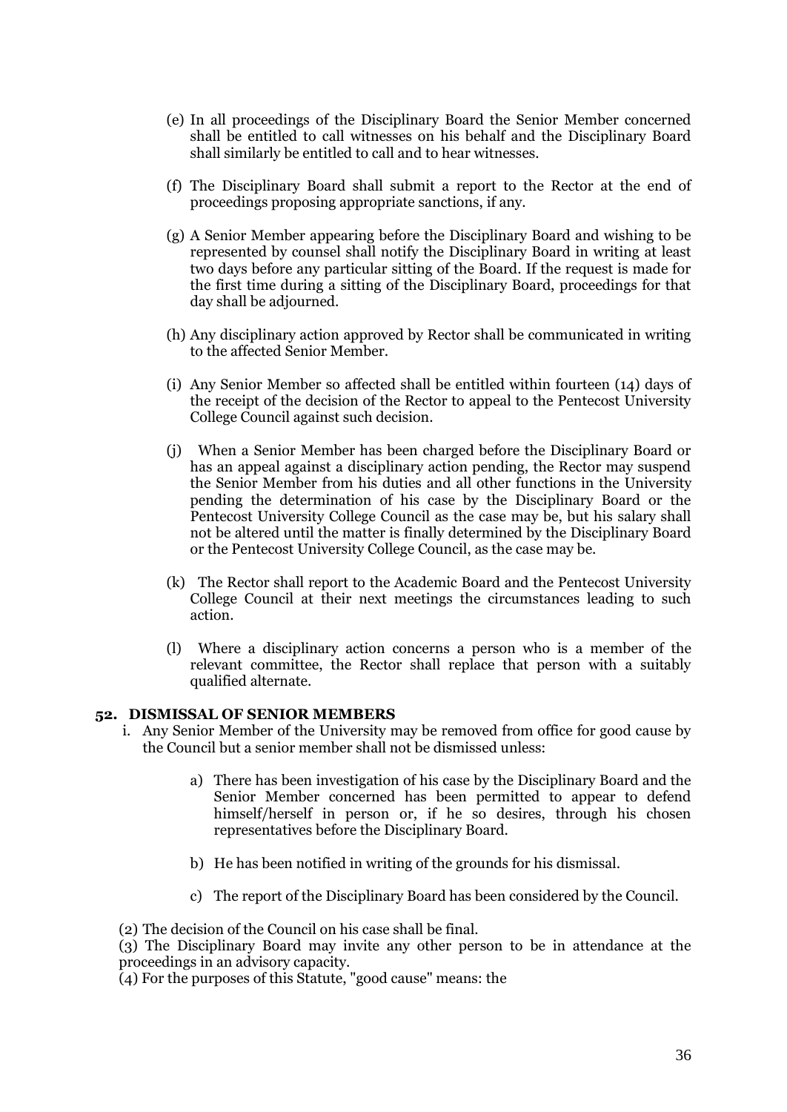- (e) In all proceedings of the Disciplinary Board the Senior Member concerned shall be entitled to call witnesses on his behalf and the Disciplinary Board shall similarly be entitled to call and to hear witnesses.
- (f) The Disciplinary Board shall submit a report to the Rector at the end of proceedings proposing appropriate sanctions, if any.
- (g) A Senior Member appearing before the Disciplinary Board and wishing to be represented by counsel shall notify the Disciplinary Board in writing at least two days before any particular sitting of the Board. If the request is made for the first time during a sitting of the Disciplinary Board, proceedings for that day shall be adjourned.
- (h) Any disciplinary action approved by Rector shall be communicated in writing to the affected Senior Member.
- (i) Any Senior Member so affected shall be entitled within fourteen (14) days of the receipt of the decision of the Rector to appeal to the Pentecost University College Council against such decision.
- (j) When a Senior Member has been charged before the Disciplinary Board or has an appeal against a disciplinary action pending, the Rector may suspend the Senior Member from his duties and all other functions in the University pending the determination of his case by the Disciplinary Board or the Pentecost University College Council as the case may be, but his salary shall not be altered until the matter is finally determined by the Disciplinary Board or the Pentecost University College Council, as the case may be.
- (k) The Rector shall report to the Academic Board and the Pentecost University College Council at their next meetings the circumstances leading to such action.
- (l) Where a disciplinary action concerns a person who is a member of the relevant committee, the Rector shall replace that person with a suitably qualified alternate.

### <span id="page-35-0"></span>**52. DISMISSAL OF SENIOR MEMBERS**

- i. Any Senior Member of the University may be removed from office for good cause by the Council but a senior member shall not be dismissed unless:
	- a) There has been investigation of his case by the Disciplinary Board and the Senior Member concerned has been permitted to appear to defend himself/herself in person or, if he so desires, through his chosen representatives before the Disciplinary Board.
	- b) He has been notified in writing of the grounds for his dismissal.
	- c) The report of the Disciplinary Board has been considered by the Council.
- (2) The decision of the Council on his case shall be final.

(3) The Disciplinary Board may invite any other person to be in attendance at the proceedings in an advisory capacity.

(4) For the purposes of this Statute, "good cause" means: the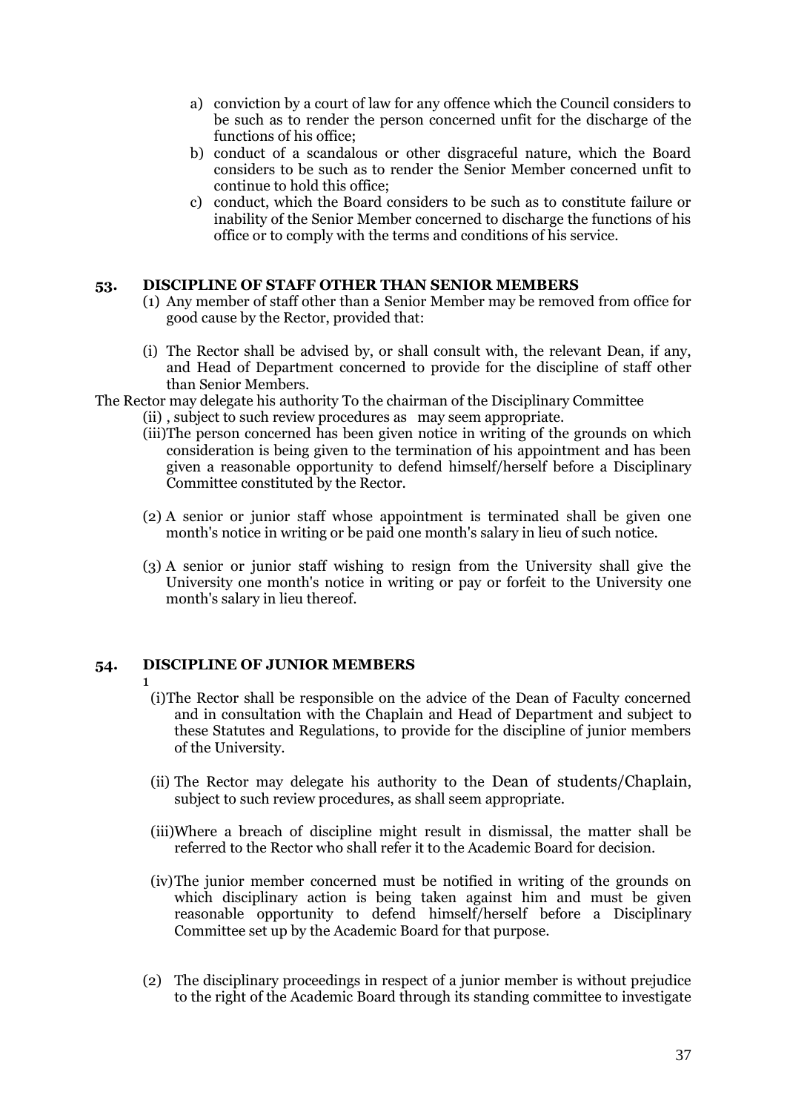- a) conviction by a court of law for any offence which the Council considers to be such as to render the person concerned unfit for the discharge of the functions of his office;
- b) conduct of a scandalous or other disgraceful nature, which the Board considers to be such as to render the Senior Member concerned unfit to continue to hold this office;
- c) conduct, which the Board considers to be such as to constitute failure or inability of the Senior Member concerned to discharge the functions of his office or to comply with the terms and conditions of his service.

### <span id="page-36-0"></span>**53. DISCIPLINE OF STAFF OTHER THAN SENIOR MEMBERS**

- (1) Any member of staff other than a Senior Member may be removed from office for good cause by the Rector, provided that:
- (i) The Rector shall be advised by, or shall consult with, the relevant Dean, if any, and Head of Department concerned to provide for the discipline of staff other than Senior Members.
- The Rector may delegate his authority To the chairman of the Disciplinary Committee
	- (ii) , subject to such review procedures as may seem appropriate.
	- (iii)The person concerned has been given notice in writing of the grounds on which consideration is being given to the termination of his appointment and has been given a reasonable opportunity to defend himself/herself before a Disciplinary Committee constituted by the Rector.
	- (2) A senior or junior staff whose appointment is terminated shall be given one month's notice in writing or be paid one month's salary in lieu of such notice.
	- (3) A senior or junior staff wishing to resign from the University shall give the University one month's notice in writing or pay or forfeit to the University one month's salary in lieu thereof.

# <span id="page-36-1"></span>**54. DISCIPLINE OF JUNIOR MEMBERS**

- 
- 1 (i)The Rector shall be responsible on the advice of the Dean of Faculty concerned and in consultation with the Chaplain and Head of Department and subject to these Statutes and Regulations, to provide for the discipline of junior members of the University.
- (ii) The Rector may delegate his authority to the Dean of students/Chaplain, subject to such review procedures, as shall seem appropriate.
- (iii)Where a breach of discipline might result in dismissal, the matter shall be referred to the Rector who shall refer it to the Academic Board for decision.
- (iv)The junior member concerned must be notified in writing of the grounds on which disciplinary action is being taken against him and must be given reasonable opportunity to defend himself/herself before a Disciplinary Committee set up by the Academic Board for that purpose.
- (2) The disciplinary proceedings in respect of a junior member is without prejudice to the right of the Academic Board through its standing committee to investigate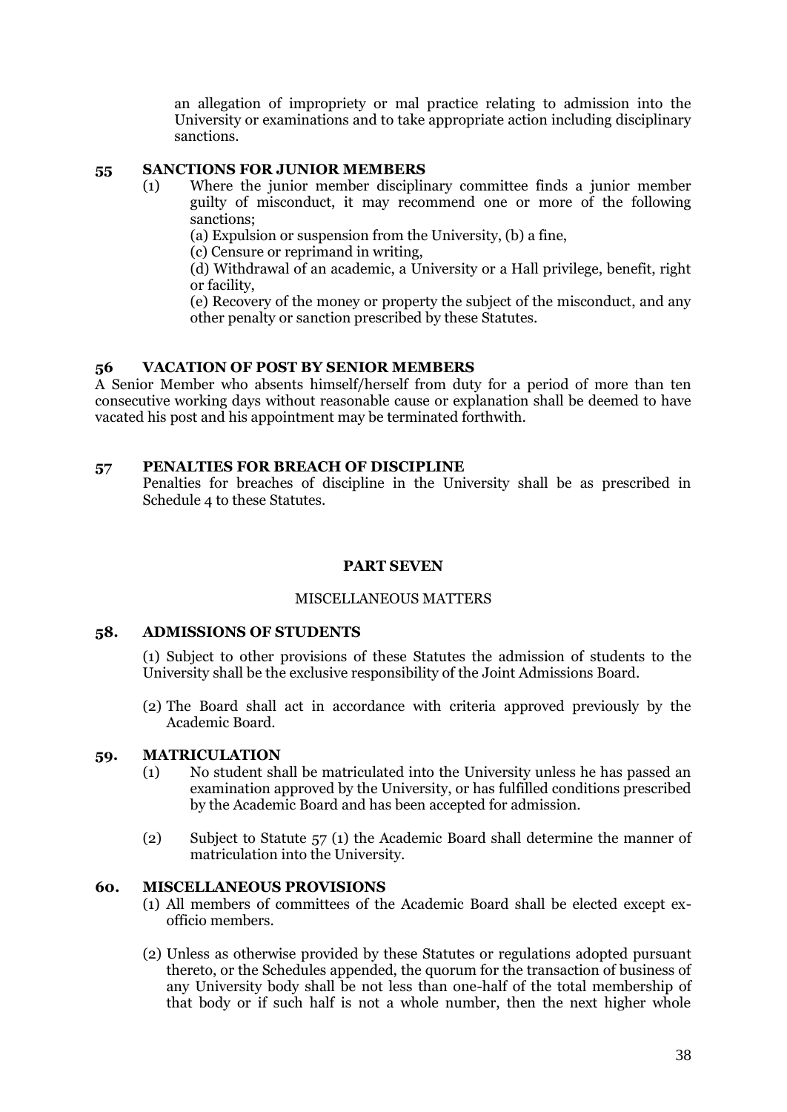an allegation of impropriety or mal practice relating to admission into the University or examinations and to take appropriate action including disciplinary sanctions.

## <span id="page-37-0"></span>**55 SANCTIONS FOR JUNIOR MEMBERS**

(1) Where the junior member disciplinary committee finds a junior member guilty of misconduct, it may recommend one or more of the following sanctions;

(a) Expulsion or suspension from the University, (b) a fine,

(c) Censure or reprimand in writing,

(d) Withdrawal of an academic, a University or a Hall privilege, benefit, right or facility,

(e) Recovery of the money or property the subject of the misconduct, and any other penalty or sanction prescribed by these Statutes.

## <span id="page-37-1"></span>**56 VACATION OF POST BY SENIOR MEMBERS**

A Senior Member who absents himself/herself from duty for a period of more than ten consecutive working days without reasonable cause or explanation shall be deemed to have vacated his post and his appointment may be terminated forthwith.

## <span id="page-37-2"></span>**57 PENALTIES FOR BREACH OF DISCIPLINE**

Penalties for breaches of discipline in the University shall be as prescribed in Schedule 4 to these Statutes.

# **PART SEVEN**

### MISCELLANEOUS MATTERS

### <span id="page-37-5"></span><span id="page-37-4"></span><span id="page-37-3"></span>**58. ADMISSIONS OF STUDENTS**

(1) Subject to other provisions of these Statutes the admission of students to the University shall be the exclusive responsibility of the Joint Admissions Board.

(2) The Board shall act in accordance with criteria approved previously by the Academic Board.

### <span id="page-37-6"></span>**59. MATRICULATION**

- (1) No student shall be matriculated into the University unless he has passed an examination approved by the University, or has fulfilled conditions prescribed by the Academic Board and has been accepted for admission.
- (2) Subject to Statute 57 (1) the Academic Board shall determine the manner of matriculation into the University.

### <span id="page-37-7"></span>**60. MISCELLANEOUS PROVISIONS**

- (1) All members of committees of the Academic Board shall be elected except exofficio members.
- (2) Unless as otherwise provided by these Statutes or regulations adopted pursuant thereto, or the Schedules appended, the quorum for the transaction of business of any University body shall be not less than one-half of the total membership of that body or if such half is not a whole number, then the next higher whole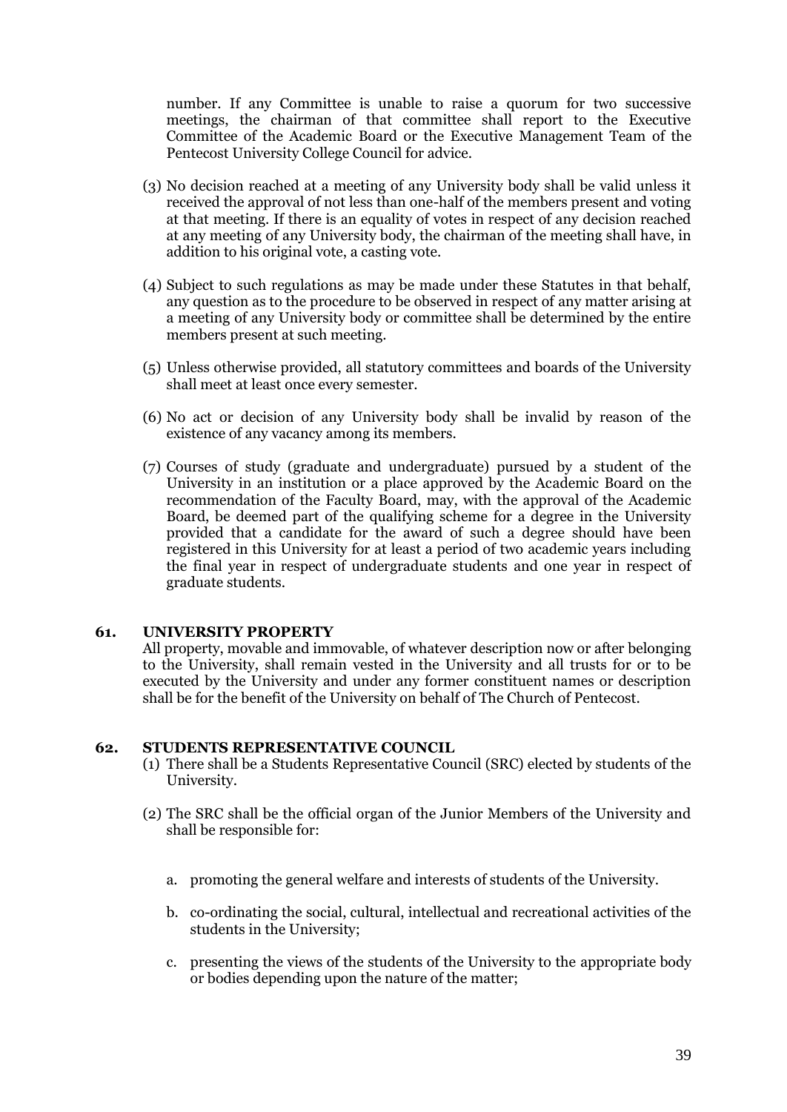number. If any Committee is unable to raise a quorum for two successive meetings, the chairman of that committee shall report to the Executive Committee of the Academic Board or the Executive Management Team of the Pentecost University College Council for advice.

- (3) No decision reached at a meeting of any University body shall be valid unless it received the approval of not less than one-half of the members present and voting at that meeting. If there is an equality of votes in respect of any decision reached at any meeting of any University body, the chairman of the meeting shall have, in addition to his original vote, a casting vote.
- (4) Subject to such regulations as may be made under these Statutes in that behalf, any question as to the procedure to be observed in respect of any matter arising at a meeting of any University body or committee shall be determined by the entire members present at such meeting.
- (5) Unless otherwise provided, all statutory committees and boards of the University shall meet at least once every semester.
- (6) No act or decision of any University body shall be invalid by reason of the existence of any vacancy among its members.
- (7) Courses of study (graduate and undergraduate) pursued by a student of the University in an institution or a place approved by the Academic Board on the recommendation of the Faculty Board, may, with the approval of the Academic Board, be deemed part of the qualifying scheme for a degree in the University provided that a candidate for the award of such a degree should have been registered in this University for at least a period of two academic years including the final year in respect of undergraduate students and one year in respect of graduate students.

### <span id="page-38-0"></span>**61. UNIVERSITY PROPERTY**

All property, movable and immovable, of whatever description now or after belonging to the University, shall remain vested in the University and all trusts for or to be executed by the University and under any former constituent names or description shall be for the benefit of the University on behalf of The Church of Pentecost.

### <span id="page-38-1"></span>**62. STUDENTS REPRESENTATIVE COUNCIL**

- (1) There shall be a Students Representative Council (SRC) elected by students of the University.
- (2) The SRC shall be the official organ of the Junior Members of the University and shall be responsible for:
	- a. promoting the general welfare and interests of students of the University.
	- b. co-ordinating the social, cultural, intellectual and recreational activities of the students in the University;
	- c. presenting the views of the students of the University to the appropriate body or bodies depending upon the nature of the matter;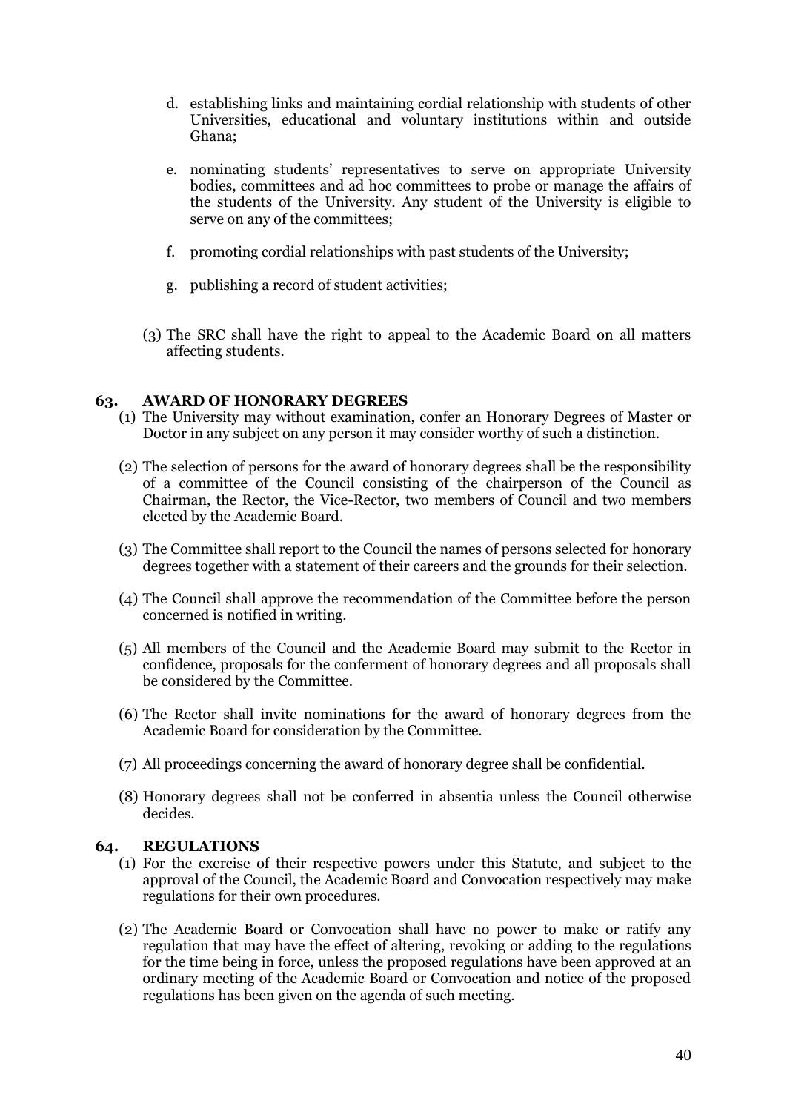- d. establishing links and maintaining cordial relationship with students of other Universities, educational and voluntary institutions within and outside Ghana;
- e. nominating students" representatives to serve on appropriate University bodies, committees and ad hoc committees to probe or manage the affairs of the students of the University. Any student of the University is eligible to serve on any of the committees;
- f. promoting cordial relationships with past students of the University;
- g. publishing a record of student activities;
- (3) The SRC shall have the right to appeal to the Academic Board on all matters affecting students.

# <span id="page-39-0"></span>**63. AWARD OF HONORARY DEGREES**

- (1) The University may without examination, confer an Honorary Degrees of Master or Doctor in any subject on any person it may consider worthy of such a distinction.
- (2) The selection of persons for the award of honorary degrees shall be the responsibility of a committee of the Council consisting of the chairperson of the Council as Chairman, the Rector, the Vice-Rector, two members of Council and two members elected by the Academic Board.
- (3) The Committee shall report to the Council the names of persons selected for honorary degrees together with a statement of their careers and the grounds for their selection.
- (4) The Council shall approve the recommendation of the Committee before the person concerned is notified in writing.
- (5) All members of the Council and the Academic Board may submit to the Rector in confidence, proposals for the conferment of honorary degrees and all proposals shall be considered by the Committee.
- (6) The Rector shall invite nominations for the award of honorary degrees from the Academic Board for consideration by the Committee.
- (7) All proceedings concerning the award of honorary degree shall be confidential.
- (8) Honorary degrees shall not be conferred in absentia unless the Council otherwise decides.

# <span id="page-39-1"></span>**64. REGULATIONS**

- (1) For the exercise of their respective powers under this Statute, and subject to the approval of the Council, the Academic Board and Convocation respectively may make regulations for their own procedures.
- (2) The Academic Board or Convocation shall have no power to make or ratify any regulation that may have the effect of altering, revoking or adding to the regulations for the time being in force, unless the proposed regulations have been approved at an ordinary meeting of the Academic Board or Convocation and notice of the proposed regulations has been given on the agenda of such meeting.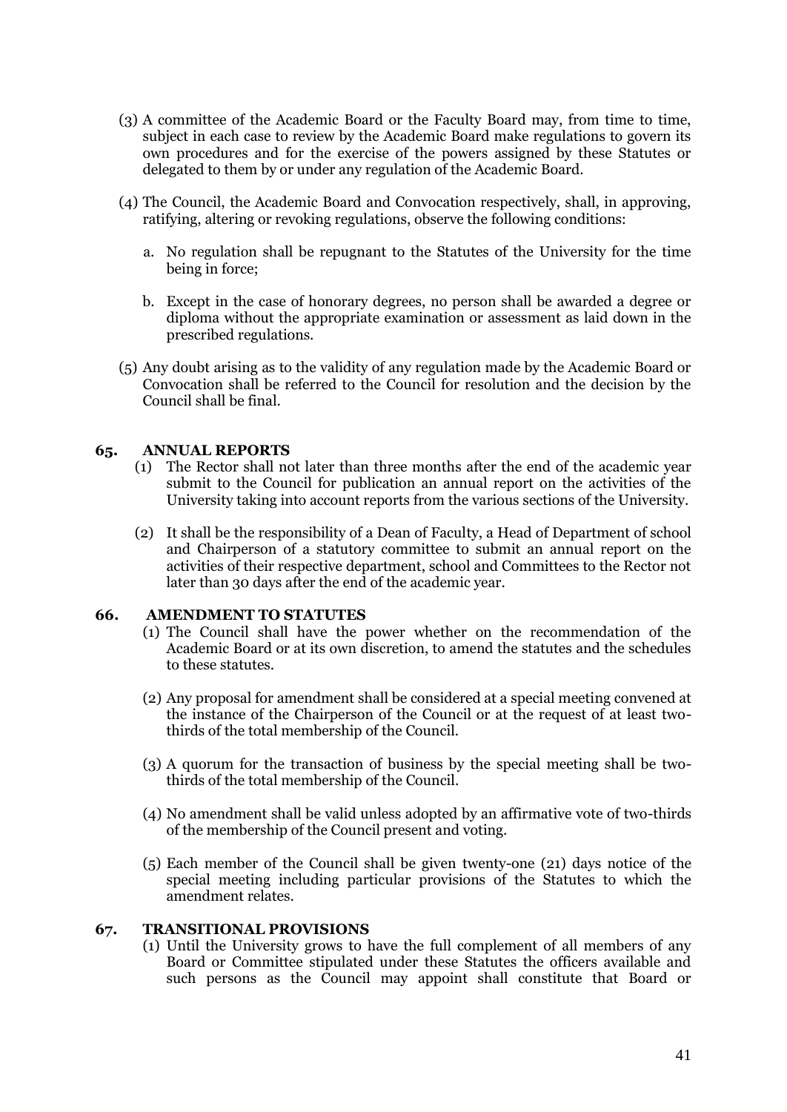- (3) A committee of the Academic Board or the Faculty Board may, from time to time, subject in each case to review by the Academic Board make regulations to govern its own procedures and for the exercise of the powers assigned by these Statutes or delegated to them by or under any regulation of the Academic Board.
- (4) The Council, the Academic Board and Convocation respectively, shall, in approving, ratifying, altering or revoking regulations, observe the following conditions:
	- a. No regulation shall be repugnant to the Statutes of the University for the time being in force;
	- b. Except in the case of honorary degrees, no person shall be awarded a degree or diploma without the appropriate examination or assessment as laid down in the prescribed regulations.
- (5) Any doubt arising as to the validity of any regulation made by the Academic Board or Convocation shall be referred to the Council for resolution and the decision by the Council shall be final.

## <span id="page-40-0"></span>**65. ANNUAL REPORTS**

- (1) The Rector shall not later than three months after the end of the academic year submit to the Council for publication an annual report on the activities of the University taking into account reports from the various sections of the University.
- (2) It shall be the responsibility of a Dean of Faculty, a Head of Department of school and Chairperson of a statutory committee to submit an annual report on the activities of their respective department, school and Committees to the Rector not later than 30 days after the end of the academic year.

### <span id="page-40-1"></span>**66. AMENDMENT TO STATUTES**

- (1) The Council shall have the power whether on the recommendation of the Academic Board or at its own discretion, to amend the statutes and the schedules to these statutes.
- (2) Any proposal for amendment shall be considered at a special meeting convened at the instance of the Chairperson of the Council or at the request of at least twothirds of the total membership of the Council.
- (3) A quorum for the transaction of business by the special meeting shall be twothirds of the total membership of the Council.
- (4) No amendment shall be valid unless adopted by an affirmative vote of two-thirds of the membership of the Council present and voting.
- (5) Each member of the Council shall be given twenty-one (21) days notice of the special meeting including particular provisions of the Statutes to which the amendment relates.

#### <span id="page-40-2"></span>**67. TRANSITIONAL PROVISIONS**

(1) Until the University grows to have the full complement of all members of any Board or Committee stipulated under these Statutes the officers available and such persons as the Council may appoint shall constitute that Board or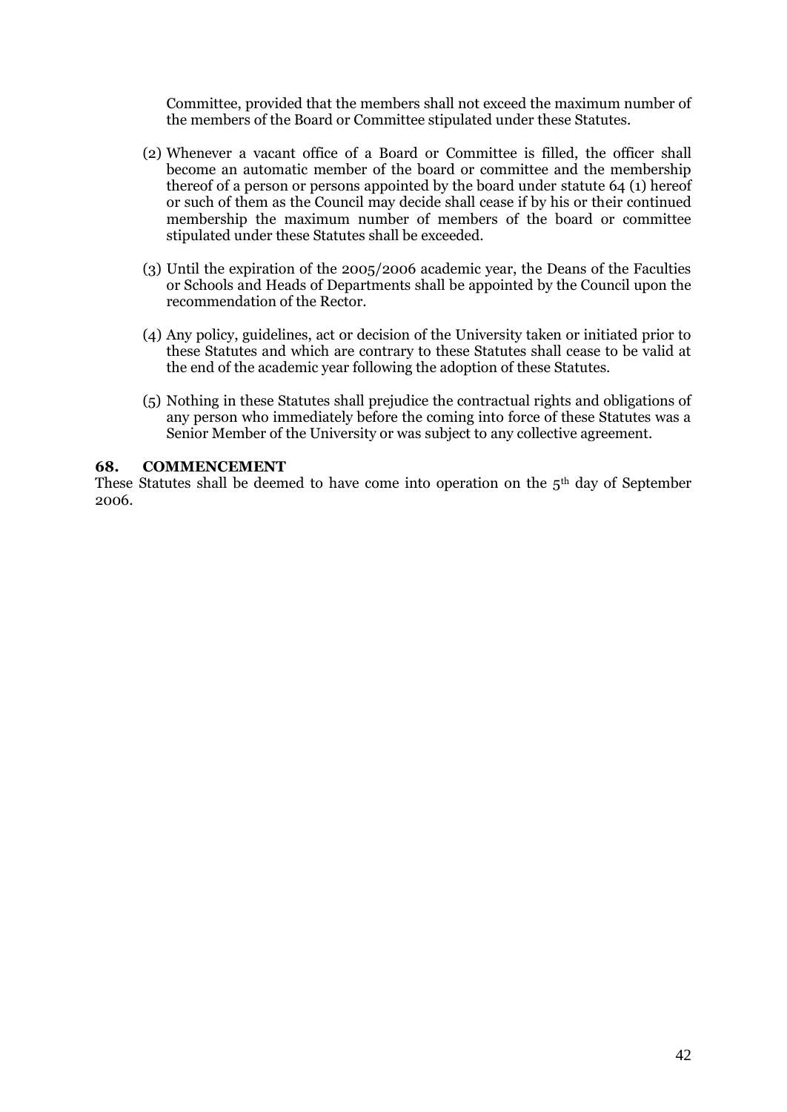Committee, provided that the members shall not exceed the maximum number of the members of the Board or Committee stipulated under these Statutes.

- (2) Whenever a vacant office of a Board or Committee is filled, the officer shall become an automatic member of the board or committee and the membership thereof of a person or persons appointed by the board under statute 64 (1) hereof or such of them as the Council may decide shall cease if by his or their continued membership the maximum number of members of the board or committee stipulated under these Statutes shall be exceeded.
- (3) Until the expiration of the 2005/2006 academic year, the Deans of the Faculties or Schools and Heads of Departments shall be appointed by the Council upon the recommendation of the Rector.
- (4) Any policy, guidelines, act or decision of the University taken or initiated prior to these Statutes and which are contrary to these Statutes shall cease to be valid at the end of the academic year following the adoption of these Statutes.
- (5) Nothing in these Statutes shall prejudice the contractual rights and obligations of any person who immediately before the coming into force of these Statutes was a Senior Member of the University or was subject to any collective agreement.

### <span id="page-41-0"></span>**68. COMMENCEMENT**

These Statutes shall be deemed to have come into operation on the  $5<sup>th</sup>$  day of September 2006.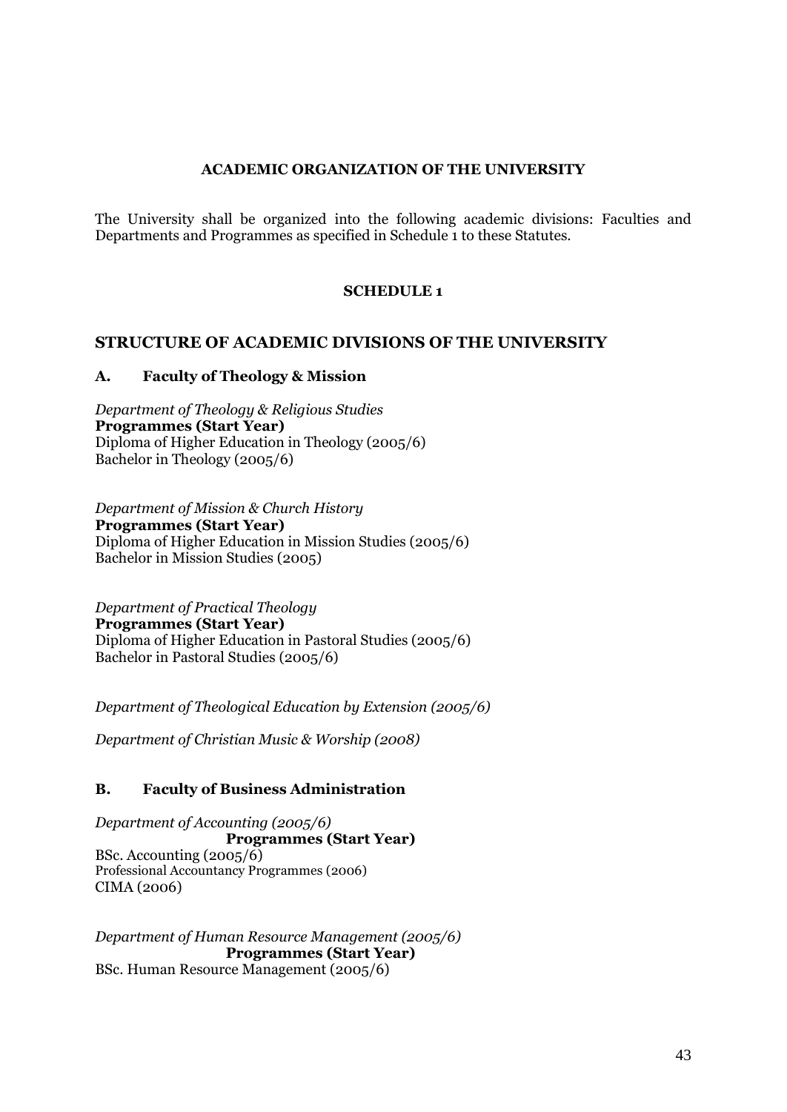# **ACADEMIC ORGANIZATION OF THE UNIVERSITY**

<span id="page-42-0"></span>The University shall be organized into the following academic divisions: Faculties and Departments and Programmes as specified in Schedule 1 to these Statutes.

# **SCHEDULE 1**

# <span id="page-42-2"></span><span id="page-42-1"></span>**STRUCTURE OF ACADEMIC DIVISIONS OF THE UNIVERSITY**

# <span id="page-42-3"></span>**A. Faculty of Theology & Mission**

*Department of Theology & Religious Studies* **Programmes (Start Year)** Diploma of Higher Education in Theology (2005/6) Bachelor in Theology (2005/6)

*Department of Mission & Church History* **Programmes (Start Year)** Diploma of Higher Education in Mission Studies (2005/6) Bachelor in Mission Studies (2005)

*Department of Practical Theology* **Programmes (Start Year)** Diploma of Higher Education in Pastoral Studies (2005/6) Bachelor in Pastoral Studies (2005/6)

*Department of Theological Education by Extension (2005/6)*

*Department of Christian Music & Worship (2008)*

# <span id="page-42-4"></span>**B. Faculty of Business Administration**

*Department of Accounting (2005/6)* **Programmes (Start Year)** BSc. Accounting (2005/6) Professional Accountancy Programmes (2006) CIMA (2006)

*Department of Human Resource Management (2005/6)* **Programmes (Start Year)** BSc. Human Resource Management (2005/6)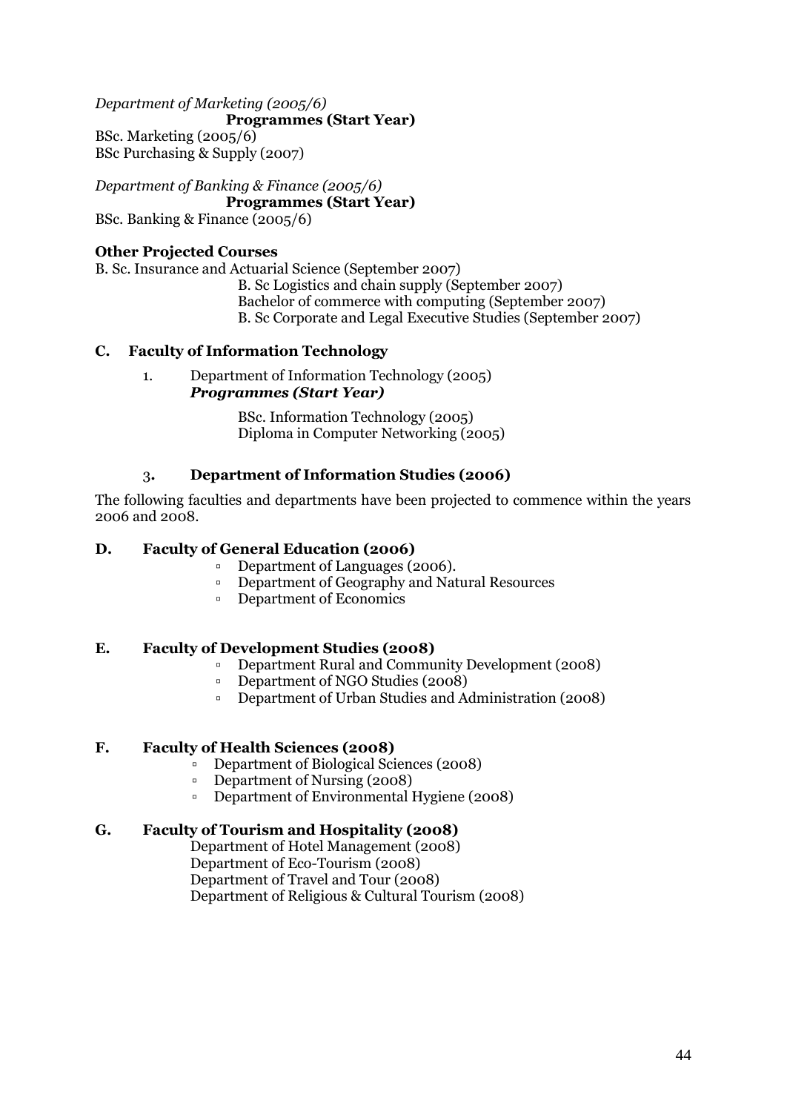*Department of Marketing (2005/6)* **Programmes (Start Year)** BSc. Marketing (2005/6) BSc Purchasing & Supply (2007)

*Department of Banking & Finance (2005/6)* **Programmes (Start Year)** BSc. Banking & Finance (2005/6)

# **Other Projected Courses**

B. Sc. Insurance and Actuarial Science (September 2007)

B. Sc Logistics and chain supply (September 2007) Bachelor of commerce with computing (September 2007) B. Sc Corporate and Legal Executive Studies (September 2007)

# <span id="page-43-0"></span>**C. Faculty of Information Technology**

1. Department of Information Technology (2005) *Programmes (Start Year)*

> BSc. Information Technology (2005) Diploma in Computer Networking (2005)

# 3**. Department of Information Studies (2006)**

The following faculties and departments have been projected to commence within the years 2006 and 2008.

# <span id="page-43-1"></span>**D. Faculty of General Education (2006)**

- Department of Languages (2006).
- Department of Geography and Natural Resources
- Department of Economics

# <span id="page-43-2"></span>**E. Faculty of Development Studies (2008)**

- Department Rural and Community Development (2008)
- Department of NGO Studies (2008)
- Department of Urban Studies and Administration (2008)

# <span id="page-43-3"></span>**F. Faculty of Health Sciences (2008)**

- Department of Biological Sciences (2008)
- Department of Nursing (2008)
- Department of Environmental Hygiene (2008)

# <span id="page-43-4"></span>**G. Faculty of Tourism and Hospitality (2008)**

Department of Hotel Management (2008) Department of Eco-Tourism (2008) Department of Travel and Tour (2008) Department of Religious & Cultural Tourism (2008)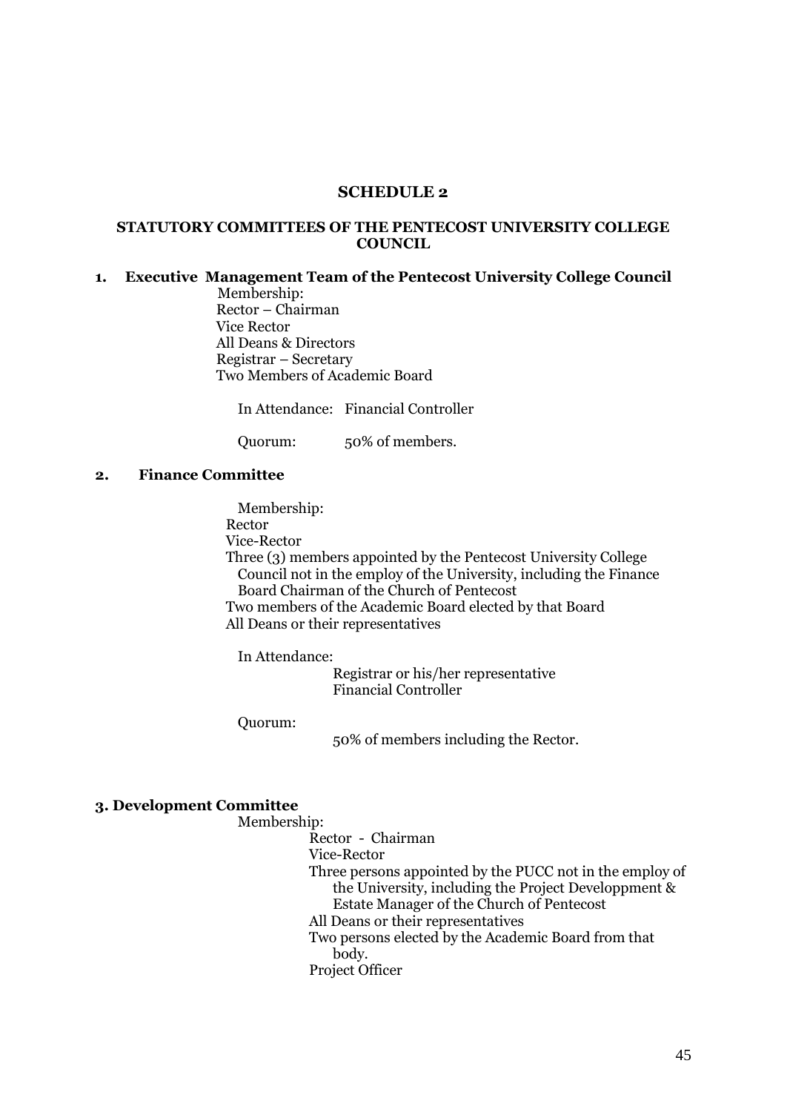## **SCHEDULE 2**

### <span id="page-44-1"></span><span id="page-44-0"></span>**STATUTORY COMMITTEES OF THE PENTECOST UNIVERSITY COLLEGE COUNCIL**

## <span id="page-44-2"></span>**1. Executive Management Team of the Pentecost University College Council**

 Membership: Rector – Chairman Vice Rector All Deans & Directors Registrar – Secretary Two Members of Academic Board

In Attendance: Financial Controller

Quorum: 50% of members.

### <span id="page-44-3"></span>**2. Finance Committee**

Membership:

Rector

Vice-Rector

Three (3) members appointed by the Pentecost University College Council not in the employ of the University, including the Finance Board Chairman of the Church of Pentecost

Two members of the Academic Board elected by that Board All Deans or their representatives

In Attendance:

Registrar or his/her representative Financial Controller

Quorum:

50% of members including the Rector.

### <span id="page-44-4"></span>**3. Development Committee**

## Membership:

Rector - Chairman

Vice-Rector

- Three persons appointed by the PUCC not in the employ of the University, including the Project Developpment & Estate Manager of the Church of Pentecost
- All Deans or their representatives

Two persons elected by the Academic Board from that body.

Project Officer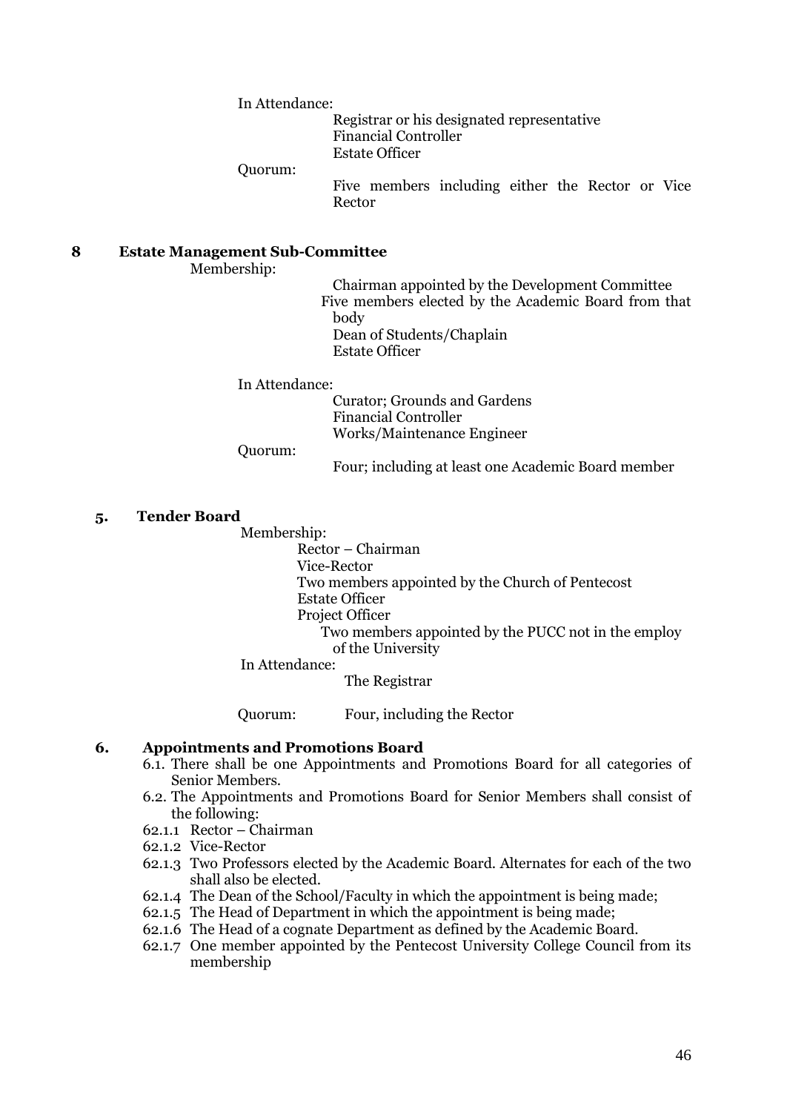In Attendance:

Registrar or his designated representative Financial Controller Estate Officer

Quorum:

Five members including either the Rector or Vice Rector

## <span id="page-45-0"></span>**8 Estate Management Sub-Committee**

Membership:

Chairman appointed by the Development Committee Five members elected by the Academic Board from that body Dean of Students/Chaplain Estate Officer

In Attendance:

Curator; Grounds and Gardens Financial Controller Works/Maintenance Engineer

Quorum:

Four; including at least one Academic Board member

### <span id="page-45-1"></span>**5. Tender Board**

Membership:

Rector – Chairman Vice-Rector Two members appointed by the Church of Pentecost Estate Officer Project Officer Two members appointed by the PUCC not in the employ of the University

In Attendance:

The Registrar

Quorum: Four, including the Rector

## <span id="page-45-2"></span>**6. Appointments and Promotions Board**

- 6.1. There shall be one Appointments and Promotions Board for all categories of Senior Members.
- 6.2. The Appointments and Promotions Board for Senior Members shall consist of the following:
- 62.1.1 Rector Chairman
- 62.1.2 Vice-Rector
- 62.1.3 Two Professors elected by the Academic Board. Alternates for each of the two shall also be elected.
- 62.1.4 The Dean of the School/Faculty in which the appointment is being made;
- 62.1.5 The Head of Department in which the appointment is being made;
- 62.1.6 The Head of a cognate Department as defined by the Academic Board.
- 62.1.7 One member appointed by the Pentecost University College Council from its membership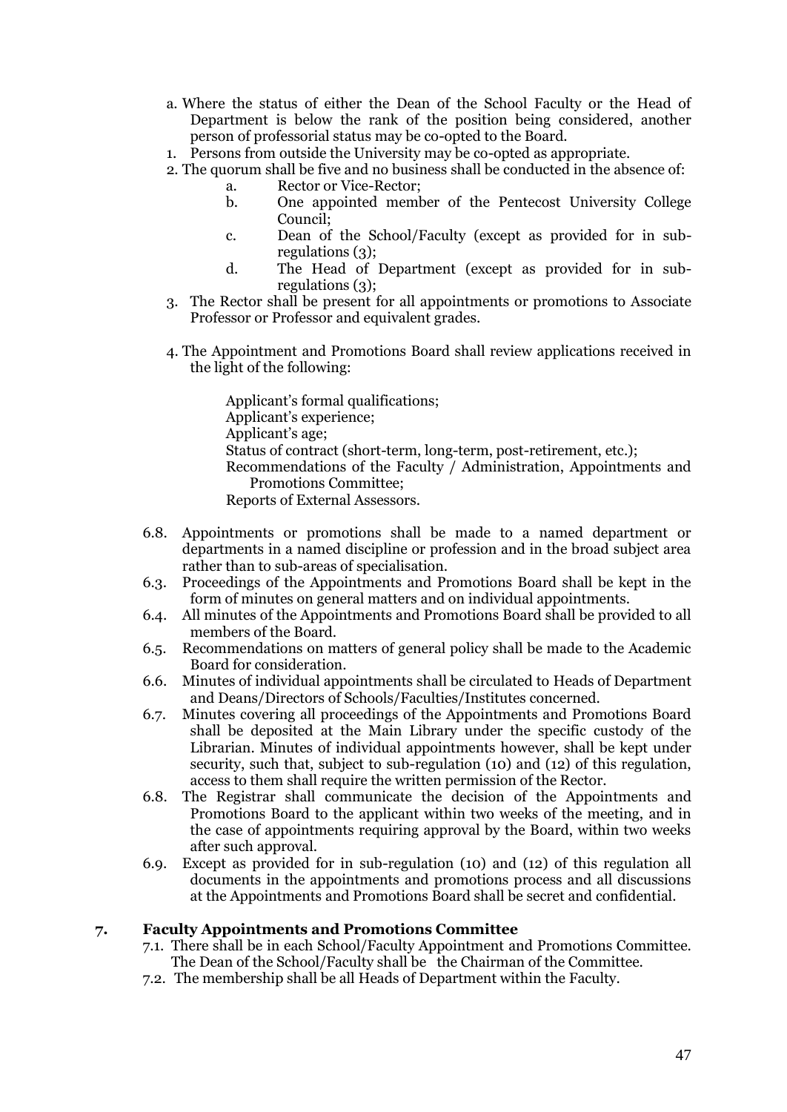- a. Where the status of either the Dean of the School Faculty or the Head of Department is below the rank of the position being considered, another person of professorial status may be co-opted to the Board.
- 1. Persons from outside the University may be co-opted as appropriate.
- 2. The quorum shall be five and no business shall be conducted in the absence of:
	- a. Rector or Vice-Rector;
	- b. One appointed member of the Pentecost University College Council;
	- c. Dean of the School/Faculty (except as provided for in subregulations (3);
	- d. The Head of Department (except as provided for in subregulations (3);
- 3. The Rector shall be present for all appointments or promotions to Associate Professor or Professor and equivalent grades.
- 4. The Appointment and Promotions Board shall review applications received in the light of the following:

Applicant's formal qualifications; Applicant"s experience; Applicant's age; Status of contract (short-term, long-term, post-retirement, etc.); Recommendations of the Faculty / Administration, Appointments and Promotions Committee; Reports of External Assessors.

- 6.8. Appointments or promotions shall be made to a named department or departments in a named discipline or profession and in the broad subject area rather than to sub-areas of specialisation.
- 6.3. Proceedings of the Appointments and Promotions Board shall be kept in the form of minutes on general matters and on individual appointments.
- 6.4. All minutes of the Appointments and Promotions Board shall be provided to all members of the Board.
- 6.5. Recommendations on matters of general policy shall be made to the Academic Board for consideration.
- 6.6. Minutes of individual appointments shall be circulated to Heads of Department and Deans/Directors of Schools/Faculties/Institutes concerned.
- 6.7. Minutes covering all proceedings of the Appointments and Promotions Board shall be deposited at the Main Library under the specific custody of the Librarian. Minutes of individual appointments however, shall be kept under security, such that, subject to sub-regulation (10) and (12) of this regulation, access to them shall require the written permission of the Rector.
- 6.8. The Registrar shall communicate the decision of the Appointments and Promotions Board to the applicant within two weeks of the meeting, and in the case of appointments requiring approval by the Board, within two weeks after such approval.
- 6.9. Except as provided for in sub-regulation (10) and (12) of this regulation all documents in the appointments and promotions process and all discussions at the Appointments and Promotions Board shall be secret and confidential.

### <span id="page-46-0"></span>**7. Faculty Appointments and Promotions Committee**

- 7.1. There shall be in each School/Faculty Appointment and Promotions Committee. The Dean of the School/Faculty shall be the Chairman of the Committee.
- 7.2. The membership shall be all Heads of Department within the Faculty.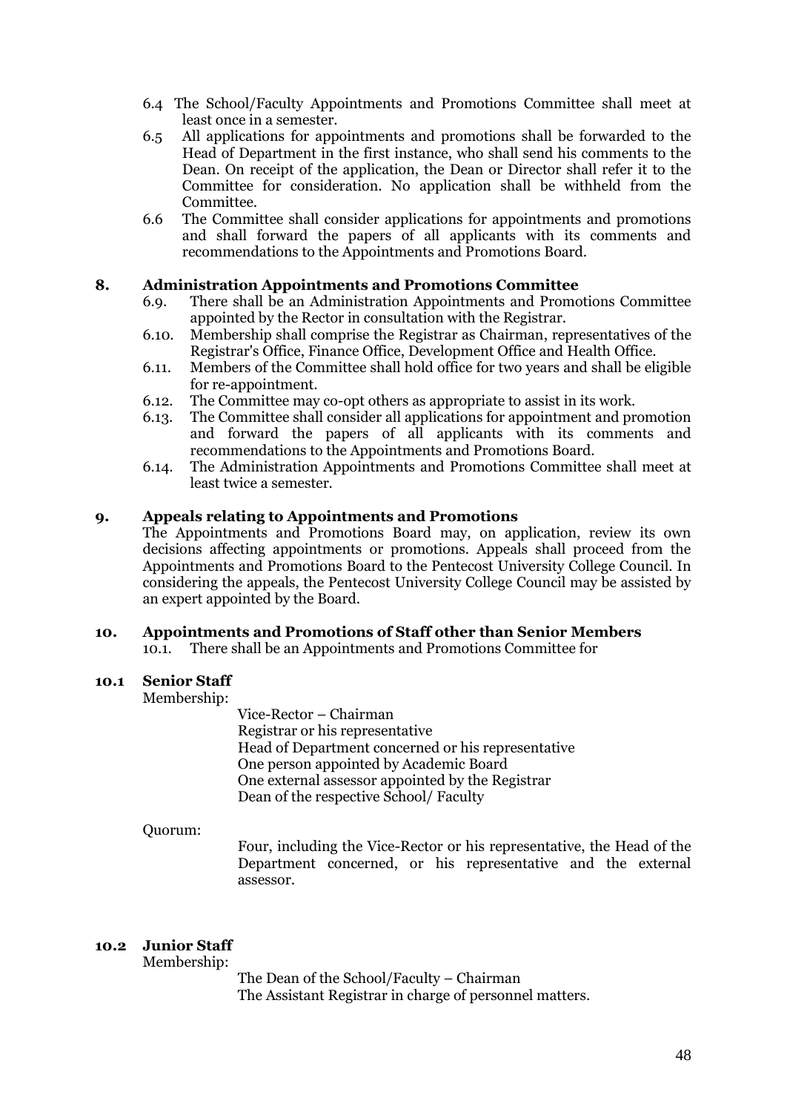- 6.4 The School/Faculty Appointments and Promotions Committee shall meet at least once in a semester.
- 6.5 All applications for appointments and promotions shall be forwarded to the Head of Department in the first instance, who shall send his comments to the Dean. On receipt of the application, the Dean or Director shall refer it to the Committee for consideration. No application shall be withheld from the Committee.
- 6.6 The Committee shall consider applications for appointments and promotions and shall forward the papers of all applicants with its comments and recommendations to the Appointments and Promotions Board.

## <span id="page-47-0"></span>**8. Administration Appointments and Promotions Committee**

- 6.9. There shall be an Administration Appointments and Promotions Committee appointed by the Rector in consultation with the Registrar.
- 6.10. Membership shall comprise the Registrar as Chairman, representatives of the Registrar's Office, Finance Office, Development Office and Health Office.
- 6.11. Members of the Committee shall hold office for two years and shall be eligible for re-appointment.
- 6.12. The Committee may co-opt others as appropriate to assist in its work.
- 6.13. The Committee shall consider all applications for appointment and promotion and forward the papers of all applicants with its comments and recommendations to the Appointments and Promotions Board.
- 6.14. The Administration Appointments and Promotions Committee shall meet at least twice a semester.

## <span id="page-47-1"></span>**9. Appeals relating to Appointments and Promotions**

The Appointments and Promotions Board may, on application, review its own decisions affecting appointments or promotions. Appeals shall proceed from the Appointments and Promotions Board to the Pentecost University College Council. In considering the appeals, the Pentecost University College Council may be assisted by an expert appointed by the Board.

### <span id="page-47-2"></span>**10. Appointments and Promotions of Staff other than Senior Members**

10.1. There shall be an Appointments and Promotions Committee for

### **10.1 Senior Staff**

Membership:

Vice-Rector – Chairman Registrar or his representative Head of Department concerned or his representative One person appointed by Academic Board One external assessor appointed by the Registrar Dean of the respective School/ Faculty

### Quorum:

Four, including the Vice-Rector or his representative, the Head of the Department concerned, or his representative and the external assessor.

# **10.2 Junior Staff**

Membership:

The Dean of the School/Faculty – Chairman The Assistant Registrar in charge of personnel matters.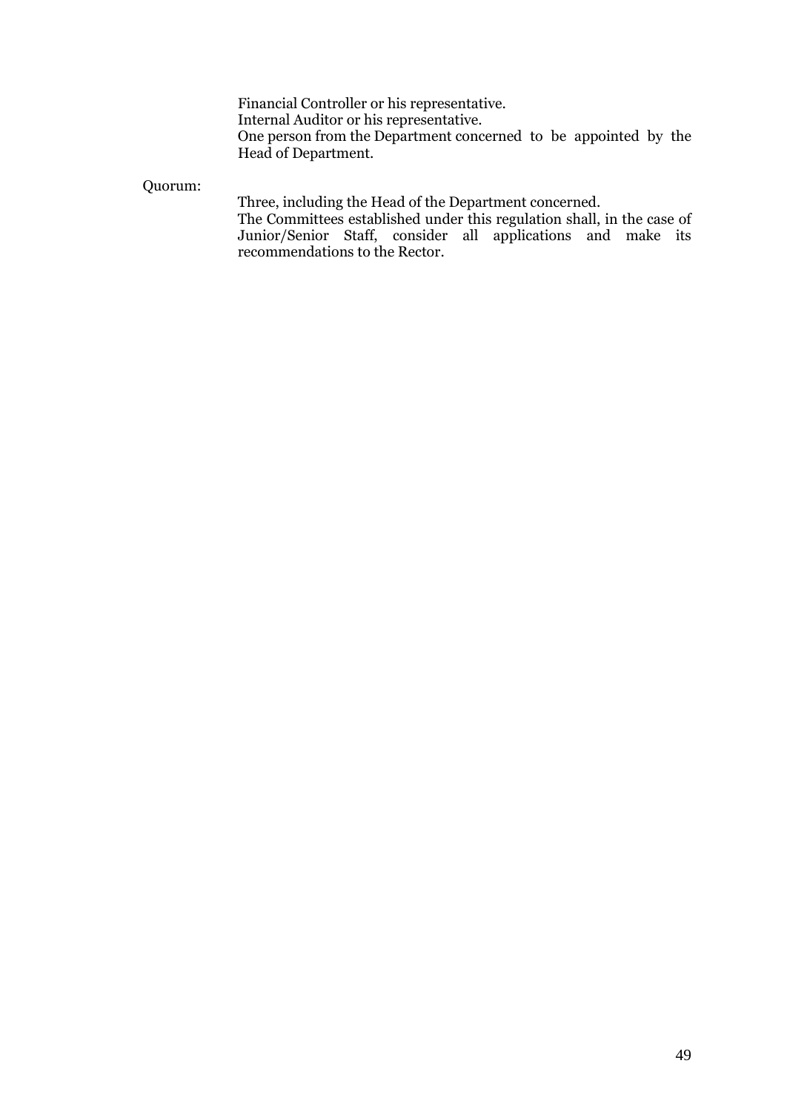Financial Controller or his representative. Internal Auditor or his representative. One person from the Department concerned to be appointed by the Head of Department.

Quorum:

Three, including the Head of the Department concerned.

The Committees established under this regulation shall, in the case of Junior/Senior Staff, consider all applications and make its recommendations to the Rector.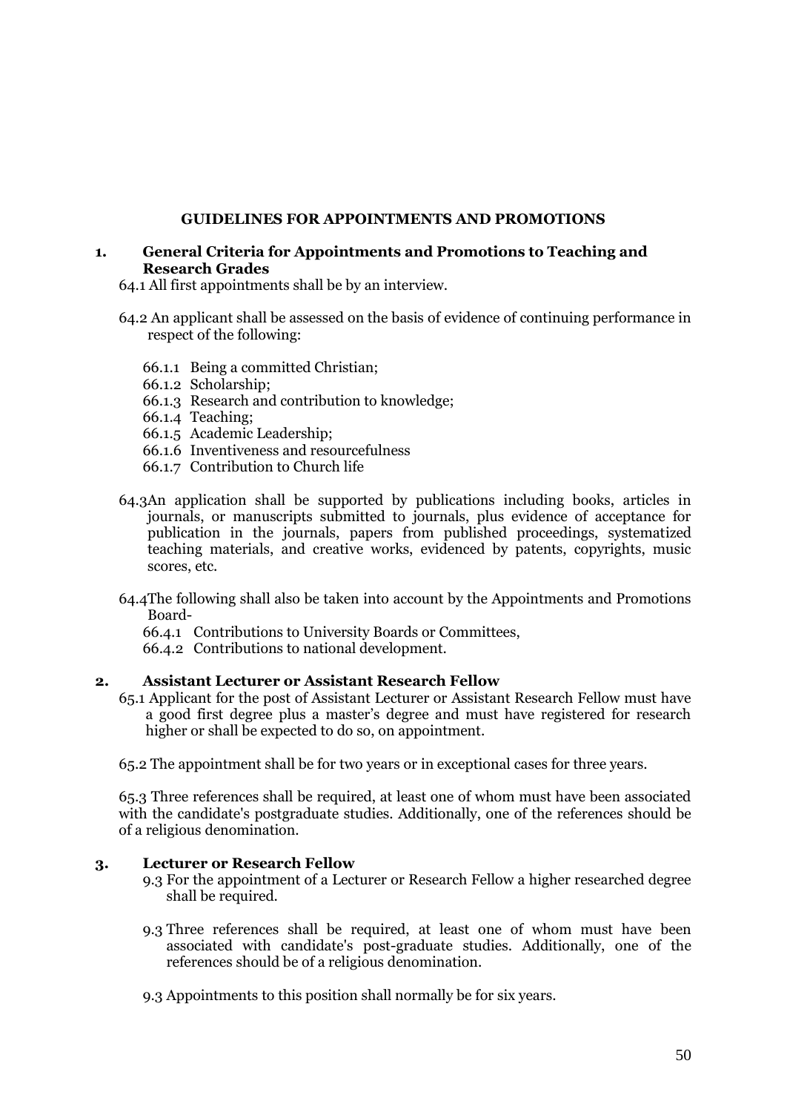## **GUIDELINES FOR APPOINTMENTS AND PROMOTIONS**

### <span id="page-49-1"></span><span id="page-49-0"></span>**1. General Criteria for Appointments and Promotions to Teaching and Research Grades**

64.1 All first appointments shall be by an interview.

- 64.2 An applicant shall be assessed on the basis of evidence of continuing performance in respect of the following:
	- 66.1.1 Being a committed Christian;
	- 66.1.2 Scholarship;
	- 66.1.3 Research and contribution to knowledge;
	- 66.1.4 Teaching;
	- 66.1.5 Academic Leadership;
	- 66.1.6 Inventiveness and resourcefulness
	- 66.1.7 Contribution to Church life
- 64.3An application shall be supported by publications including books, articles in journals, or manuscripts submitted to journals, plus evidence of acceptance for publication in the journals, papers from published proceedings, systematized teaching materials, and creative works, evidenced by patents, copyrights, music scores, etc.
- 64.4The following shall also be taken into account by the Appointments and Promotions Board-
	- 66.4.1 Contributions to University Boards or Committees,
	- 66.4.2 Contributions to national development.

### <span id="page-49-2"></span>**2. Assistant Lecturer or Assistant Research Fellow**

65.1 Applicant for the post of Assistant Lecturer or Assistant Research Fellow must have a good first degree plus a master"s degree and must have registered for research higher or shall be expected to do so, on appointment.

65.2 The appointment shall be for two years or in exceptional cases for three years.

65.3 Three references shall be required, at least one of whom must have been associated with the candidate's postgraduate studies. Additionally, one of the references should be of a religious denomination.

# <span id="page-49-3"></span>**3. Lecturer or Research Fellow**

- 9.3 For the appointment of a Lecturer or Research Fellow a higher researched degree shall be required.
- 9.3 Three references shall be required, at least one of whom must have been associated with candidate's post-graduate studies. Additionally, one of the references should be of a religious denomination.
- 9.3 Appointments to this position shall normally be for six years.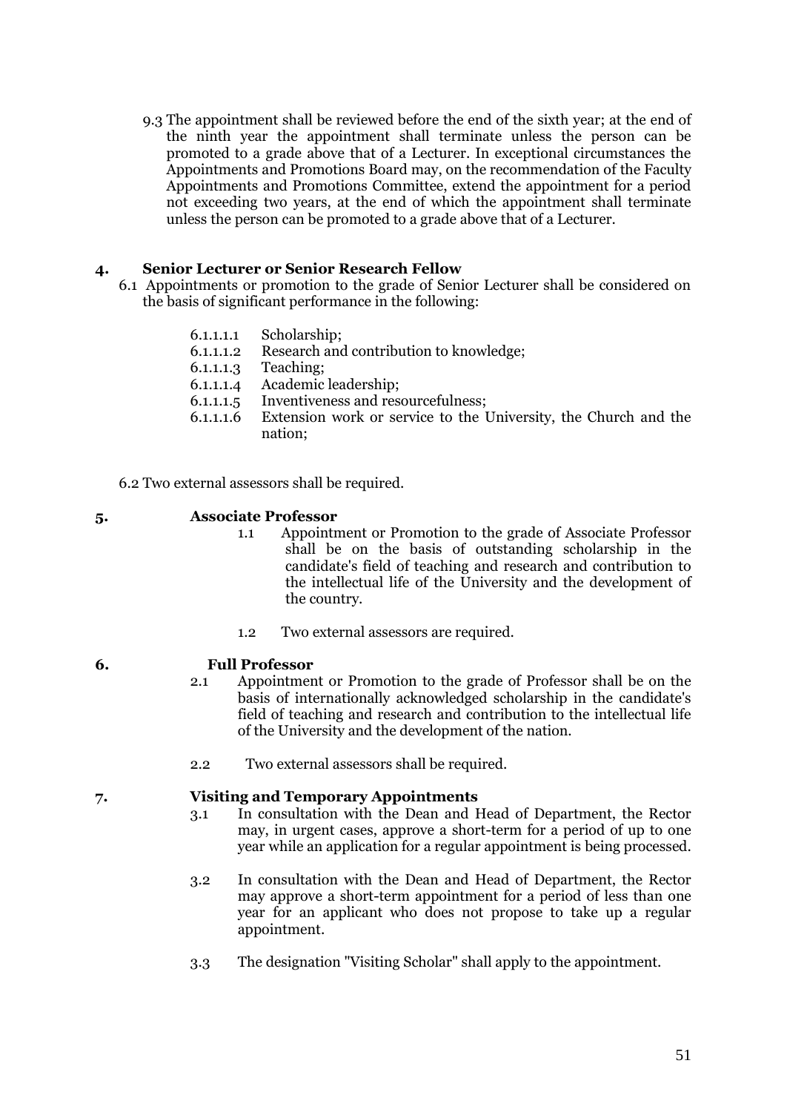9.3 The appointment shall be reviewed before the end of the sixth year; at the end of the ninth year the appointment shall terminate unless the person can be promoted to a grade above that of a Lecturer. In exceptional circumstances the Appointments and Promotions Board may, on the recommendation of the Faculty Appointments and Promotions Committee, extend the appointment for a period not exceeding two years, at the end of which the appointment shall terminate unless the person can be promoted to a grade above that of a Lecturer.

# <span id="page-50-0"></span>**4. Senior Lecturer or Senior Research Fellow**

- 6.1 Appointments or promotion to the grade of Senior Lecturer shall be considered on the basis of significant performance in the following:
	- 6.1.1.1.1 Scholarship;
	- 6.1.1.1.2 Research and contribution to knowledge;
	- 6.1.1.1.3 Teaching;
	- 6.1.1.1.4 Academic leadership;
	- 6.1.1.1.5 Inventiveness and resourcefulness;
	- 6.1.1.1.6 Extension work or service to the University, the Church and the nation;

6.2 Two external assessors shall be required.

- <span id="page-50-1"></span>**5. Associate Professor**
	- 1.1 Appointment or Promotion to the grade of Associate Professor shall be on the basis of outstanding scholarship in the candidate's field of teaching and research and contribution to the intellectual life of the University and the development of the country.
	- 1.2 Two external assessors are required.
- <span id="page-50-2"></span>**6. Full Professor**
	- 2.1 Appointment or Promotion to the grade of Professor shall be on the basis of internationally acknowledged scholarship in the candidate's field of teaching and research and contribution to the intellectual life of the University and the development of the nation.
	- 2.2 Two external assessors shall be required.

### <span id="page-50-3"></span>**7. Visiting and Temporary Appointments**

- 3.1 In consultation with the Dean and Head of Department, the Rector may, in urgent cases, approve a short-term for a period of up to one year while an application for a regular appointment is being processed.
- 3.2 In consultation with the Dean and Head of Department, the Rector may approve a short-term appointment for a period of less than one year for an applicant who does not propose to take up a regular appointment.
- 3.3 The designation "Visiting Scholar" shall apply to the appointment.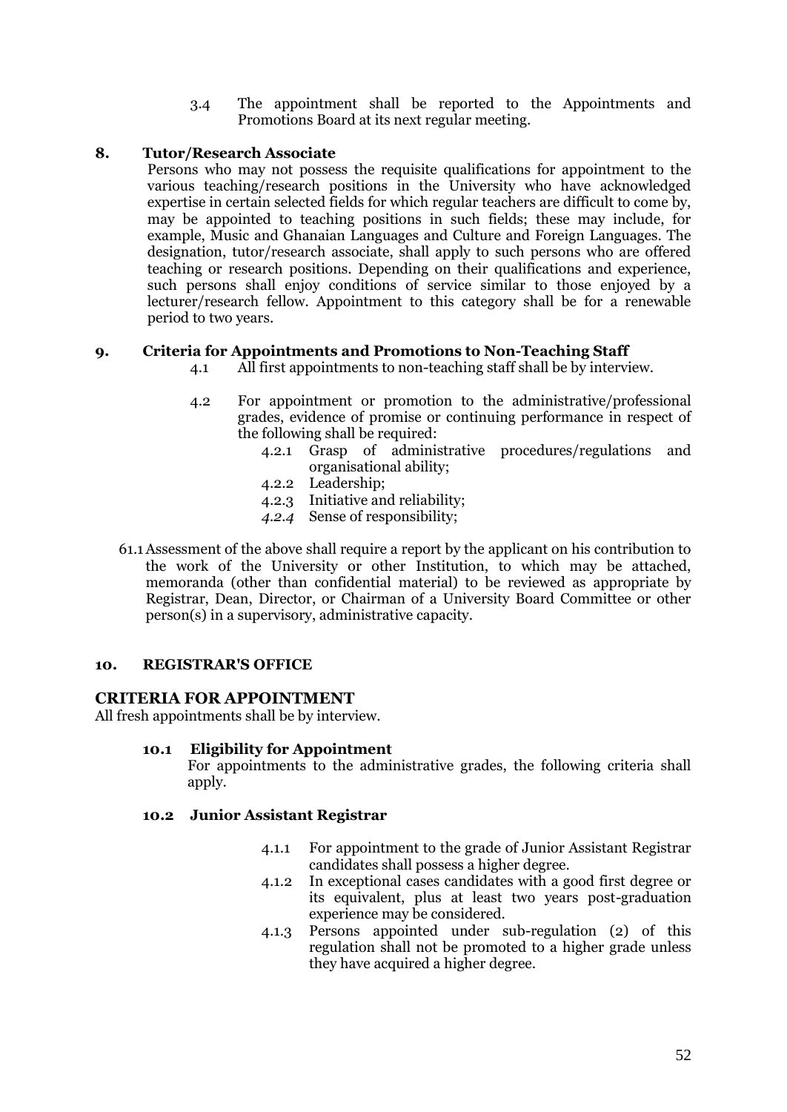3.4 The appointment shall be reported to the Appointments and Promotions Board at its next regular meeting.

# <span id="page-51-0"></span>**8. Tutor/Research Associate**

Persons who may not possess the requisite qualifications for appointment to the various teaching/research positions in the University who have acknowledged expertise in certain selected fields for which regular teachers are difficult to come by, may be appointed to teaching positions in such fields; these may include, for example, Music and Ghanaian Languages and Culture and Foreign Languages. The designation, tutor/research associate, shall apply to such persons who are offered teaching or research positions. Depending on their qualifications and experience, such persons shall enjoy conditions of service similar to those enjoyed by a lecturer/research fellow. Appointment to this category shall be for a renewable period to two years.

# <span id="page-51-1"></span>**9. Criteria for Appointments and Promotions to Non-Teaching Staff**

- 4.1 All first appointments to non-teaching staff shall be by interview.
- 4.2 For appointment or promotion to the administrative/professional grades, evidence of promise or continuing performance in respect of the following shall be required:
	- 4.2.1 Grasp of administrative procedures/regulations and organisational ability;
	- 4.2.2 Leadership;
	- 4.2.3 Initiative and reliability;
	- *4.2.4* Sense of responsibility;
- 61.1Assessment of the above shall require a report by the applicant on his contribution to the work of the University or other Institution, to which may be attached, memoranda (other than confidential material) to be reviewed as appropriate by Registrar, Dean, Director, or Chairman of a University Board Committee or other person(s) in a supervisory, administrative capacity.

# <span id="page-51-2"></span>**10. REGISTRAR'S OFFICE**

# <span id="page-51-3"></span>**CRITERIA FOR APPOINTMENT**

All fresh appointments shall be by interview.

# **10.1 Eligibility for Appointment**

For appointments to the administrative grades, the following criteria shall apply.

### **10.2 Junior Assistant Registrar**

- 4.1.1 For appointment to the grade of Junior Assistant Registrar candidates shall possess a higher degree.
- 4.1.2 In exceptional cases candidates with a good first degree or its equivalent, plus at least two years post-graduation experience may be considered.
- 4.1.3 Persons appointed under sub-regulation (2) of this regulation shall not be promoted to a higher grade unless they have acquired a higher degree.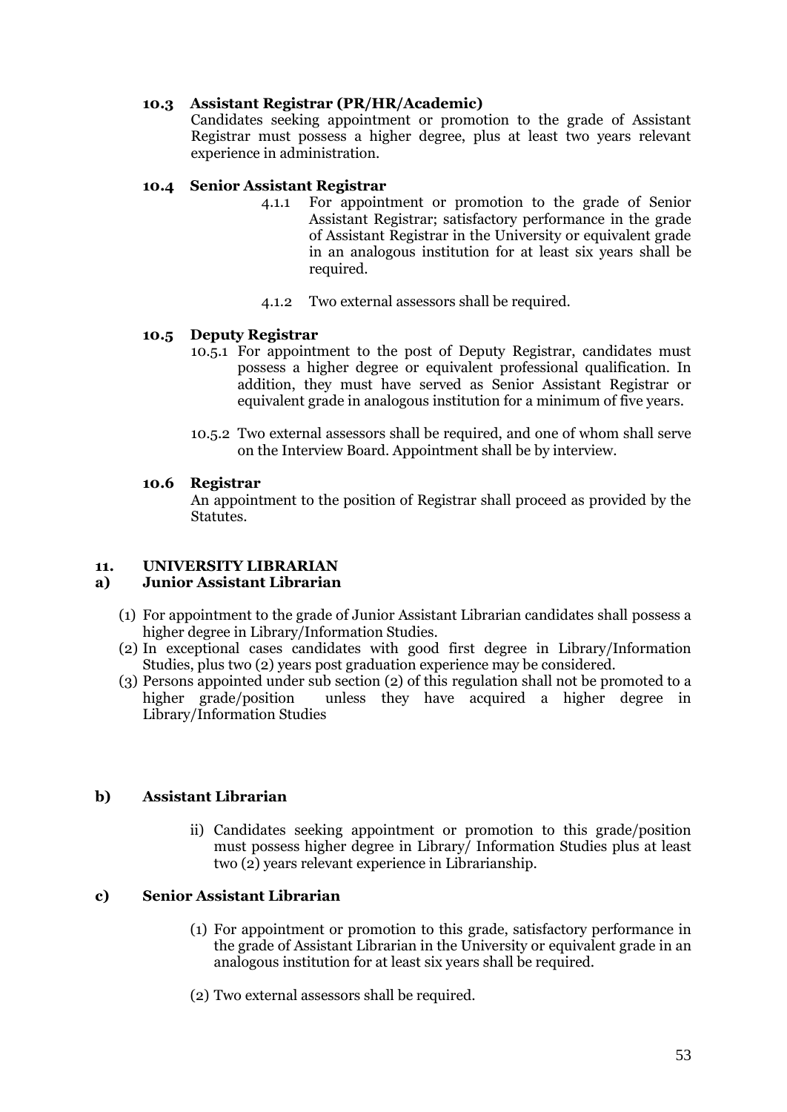# **10.3 Assistant Registrar (PR/HR/Academic)**

Candidates seeking appointment or promotion to the grade of Assistant Registrar must possess a higher degree, plus at least two years relevant experience in administration.

## **10.4 Senior Assistant Registrar**

- 4.1.1 For appointment or promotion to the grade of Senior Assistant Registrar; satisfactory performance in the grade of Assistant Registrar in the University or equivalent grade in an analogous institution for at least six years shall be required.
- 4.1.2 Two external assessors shall be required.

## **10.5 Deputy Registrar**

- 10.5.1 For appointment to the post of Deputy Registrar, candidates must possess a higher degree or equivalent professional qualification. In addition, they must have served as Senior Assistant Registrar or equivalent grade in analogous institution for a minimum of five years.
- 10.5.2 Two external assessors shall be required, and one of whom shall serve on the Interview Board. Appointment shall be by interview.

## **10.6 Registrar**

An appointment to the position of Registrar shall proceed as provided by the Statutes.

## <span id="page-52-0"></span>**11. UNIVERSITY LIBRARIAN**

# <span id="page-52-1"></span>**a) Junior Assistant Librarian**

- (1) For appointment to the grade of Junior Assistant Librarian candidates shall possess a higher degree in Library/Information Studies.
- (2) In exceptional cases candidates with good first degree in Library/Information Studies, plus two (2) years post graduation experience may be considered.
- (3) Persons appointed under sub section (2) of this regulation shall not be promoted to a higher grade/position unless they have acquired a higher degree in Library/Information Studies

# <span id="page-52-2"></span>**b) Assistant Librarian**

ii) Candidates seeking appointment or promotion to this grade/position must possess higher degree in Library/ Information Studies plus at least two (2) years relevant experience in Librarianship.

# <span id="page-52-3"></span>**c) Senior Assistant Librarian**

- (1) For appointment or promotion to this grade, satisfactory performance in the grade of Assistant Librarian in the University or equivalent grade in an analogous institution for at least six years shall be required.
- (2) Two external assessors shall be required.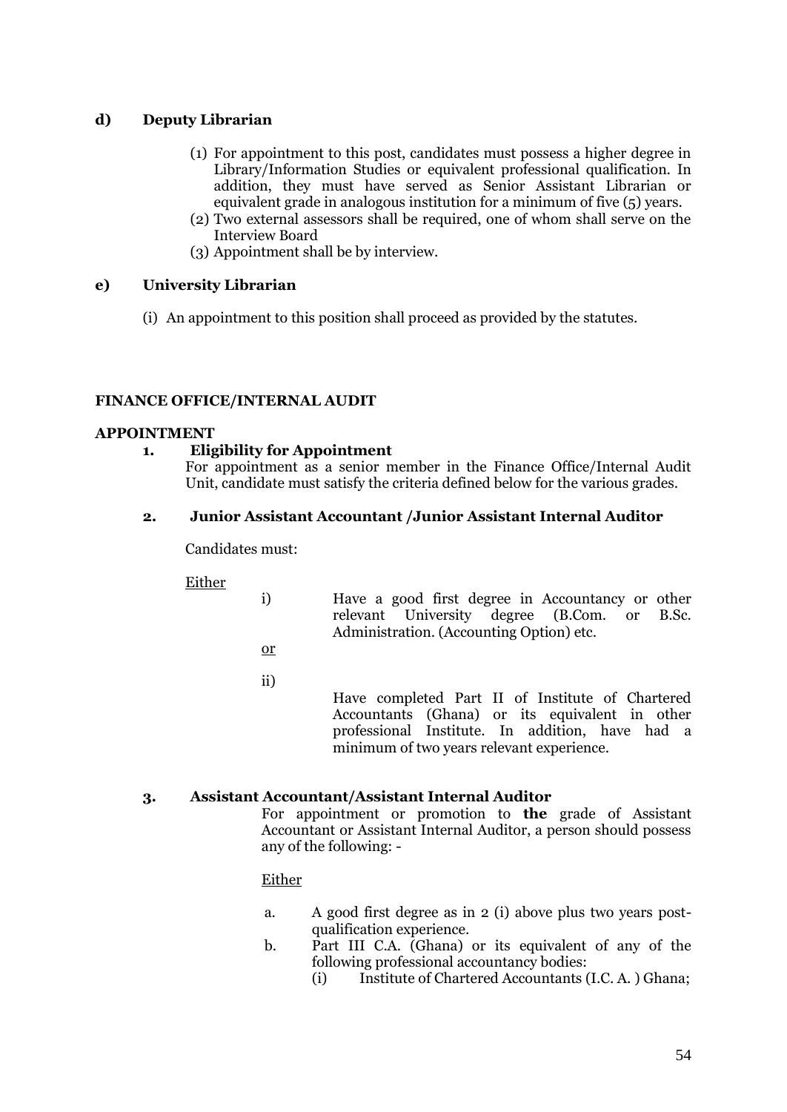# <span id="page-53-0"></span>**d) Deputy Librarian**

- (1) For appointment to this post, candidates must possess a higher degree in Library/Information Studies or equivalent professional qualification. In addition, they must have served as Senior Assistant Librarian or equivalent grade in analogous institution for a minimum of five (5) years.
- (2) Two external assessors shall be required, one of whom shall serve on the Interview Board
- (3) Appointment shall be by interview.

# <span id="page-53-1"></span>**e) University Librarian**

(i) An appointment to this position shall proceed as provided by the statutes.

# <span id="page-53-2"></span>**FINANCE OFFICE/INTERNAL AUDIT**

# <span id="page-53-4"></span><span id="page-53-3"></span>**APPOINTMENT**

# **1. Eligibility for Appointment**

For appointment as a senior member in the Finance Office/Internal Audit Unit, candidate must satisfy the criteria defined below for the various grades.

# <span id="page-53-5"></span>**2. Junior Assistant Accountant /Junior Assistant Internal Auditor**

Candidates must:

Either

- i) Have a good first degree in Accountancy or other relevant University degree (B.Com. or B.Sc. Administration. (Accounting Option) etc.
- or

ii)

Have completed Part II of Institute of Chartered Accountants (Ghana) or its equivalent in other professional Institute. In addition, have had a minimum of two years relevant experience.

# <span id="page-53-6"></span>**3. Assistant Accountant/Assistant Internal Auditor**

For appointment or promotion to **the** grade of Assistant Accountant or Assistant Internal Auditor, a person should possess any of the following: -

# Either

- a. A good first degree as in 2 (i) above plus two years postqualification experience.
- b. Part III C.A. (Ghana) or its equivalent of any of the following professional accountancy bodies:
	- (i) Institute of Chartered Accountants (I.C. A. ) Ghana;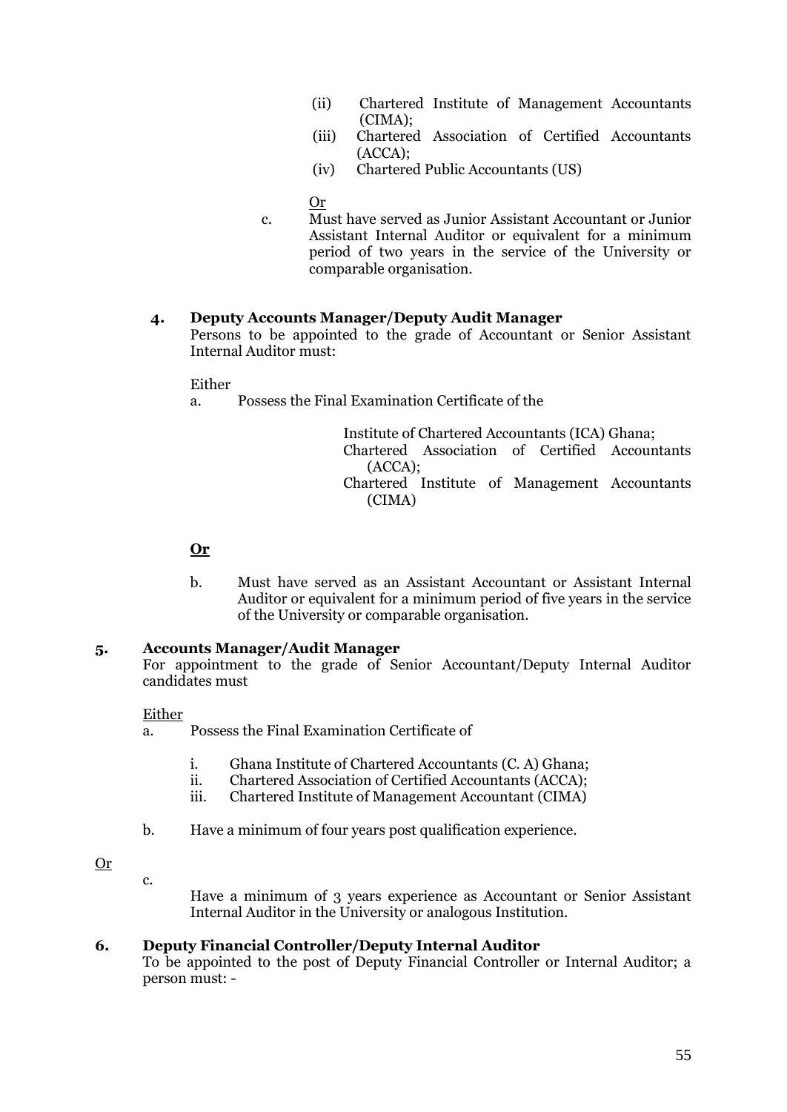- (ii) Chartered Institute of Management Accountants (CIMA);
- (iii) Chartered Association of Certified Accountants (ACCA);
- (iv) Chartered Public Accountants (US)

Or

c. Must have served as Junior Assistant Accountant or Junior Assistant Internal Auditor or equivalent for a minimum period of two years in the service of the University or comparable organisation.

## <span id="page-54-0"></span>**4. Deputy Accounts Manager/Deputy Audit Manager**

Persons to be appointed to the grade of Accountant or Senior Assistant Internal Auditor must:

## Either

a. Possess the Final Examination Certificate of the

Institute of Chartered Accountants (ICA) Ghana; Chartered Association of Certified Accountants (ACCA); Chartered Institute of Management Accountants (CIMA)

# **Or**

b. Must have served as an Assistant Accountant or Assistant Internal Auditor or equivalent for a minimum period of five years in the service of the University or comparable organisation.

#### <span id="page-54-1"></span>**5. Accounts Manager/Audit Manager**

For appointment to the grade of Senior Accountant/Deputy Internal Auditor candidates must

#### Either

a. Possess the Final Examination Certificate of

- i. Ghana Institute of Chartered Accountants (C. A) Ghana;
- ii. Chartered Association of Certified Accountants (ACCA);
- iii. Chartered Institute of Management Accountant (CIMA)
- b. Have a minimum of four years post qualification experience.

#### Or

 $\mathbf{c}$ .

Have a minimum of 3 years experience as Accountant or Senior Assistant Internal Auditor in the University or analogous Institution.

### <span id="page-54-2"></span>**6. Deputy Financial Controller/Deputy Internal Auditor**

To be appointed to the post of Deputy Financial Controller or Internal Auditor; a person must: -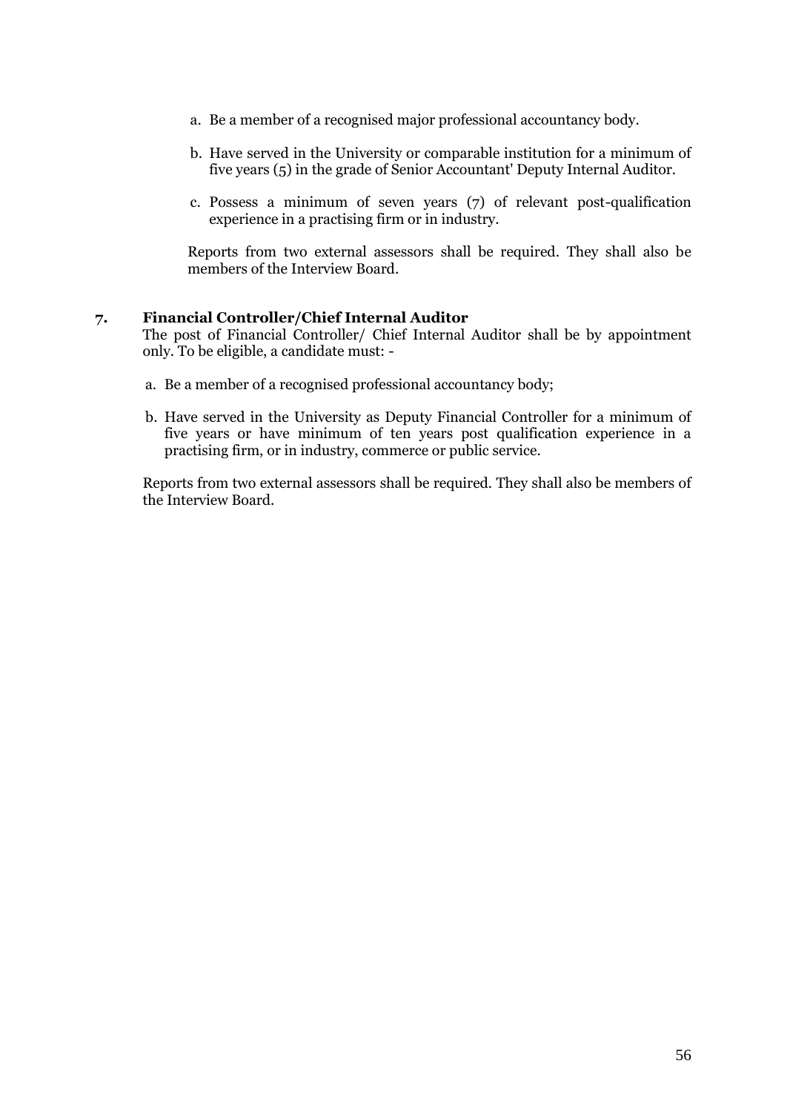- a. Be a member of a recognised major professional accountancy body.
- b. Have served in the University or comparable institution for a minimum of five years (5) in the grade of Senior Accountant' Deputy Internal Auditor.
- c. Possess a minimum of seven years (7) of relevant post-qualification experience in a practising firm or in industry.

Reports from two external assessors shall be required. They shall also be members of the Interview Board.

### <span id="page-55-0"></span>**7. Financial Controller/Chief Internal Auditor**

The post of Financial Controller/ Chief Internal Auditor shall be by appointment only. To be eligible, a candidate must: -

- a. Be a member of a recognised professional accountancy body;
- b. Have served in the University as Deputy Financial Controller for a minimum of five years or have minimum of ten years post qualification experience in a practising firm, or in industry, commerce or public service.

Reports from two external assessors shall be required. They shall also be members of the Interview Board.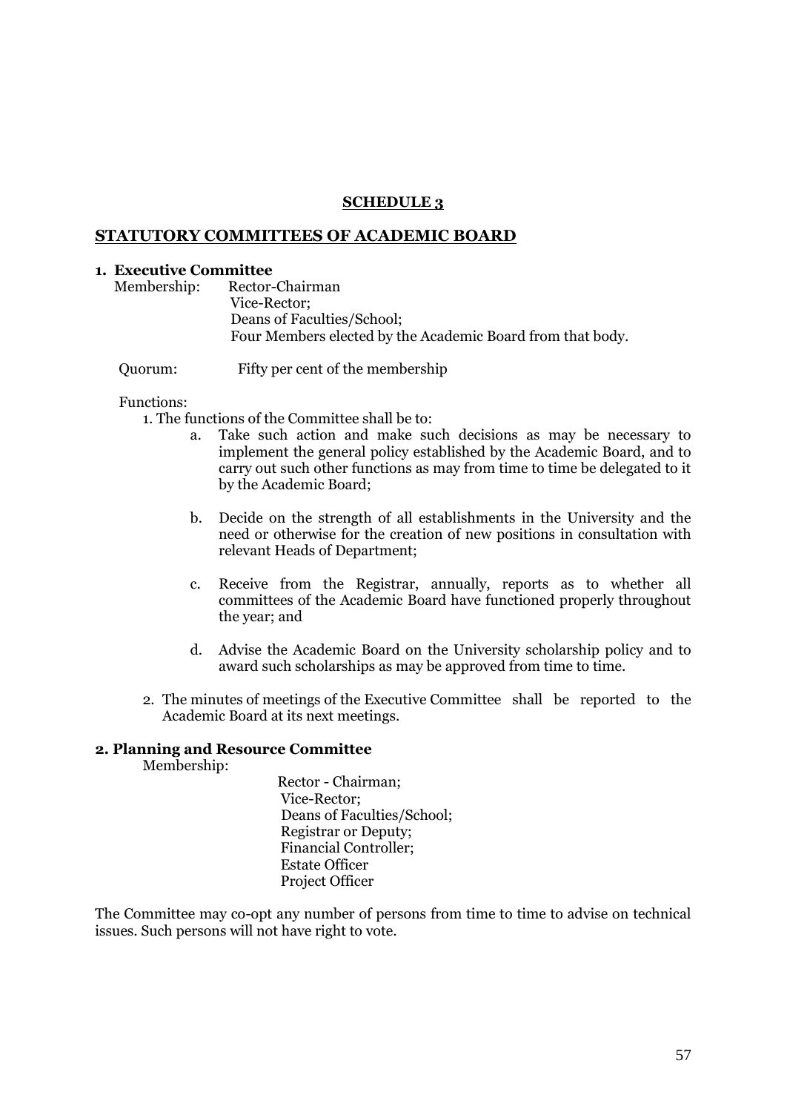### **SCHEDULE 3**

### <span id="page-56-1"></span><span id="page-56-0"></span>**STATUTORY COMMITTEES OF ACADEMIC BOARD**

#### <span id="page-56-2"></span>**1. Executive Committee**

Membership: Rector-Chairman Vice-Rector; Deans of Faculties/School; Four Members elected by the Academic Board from that body.

Quorum: Fifty per cent of the membership

## Functions:

1. The functions of the Committee shall be to:

- a. Take such action and make such decisions as may be necessary to implement the general policy established by the Academic Board, and to carry out such other functions as may from time to time be delegated to it by the Academic Board;
- b. Decide on the strength of all establishments in the University and the need or otherwise for the creation of new positions in consultation with relevant Heads of Department;
- c. Receive from the Registrar, annually, reports as to whether all committees of the Academic Board have functioned properly throughout the year; and
- d. Advise the Academic Board on the University scholarship policy and to award such scholarships as may be approved from time to time.
- 2. The minutes of meetings of the Executive Committee shall be reported to the Academic Board at its next meetings.

## <span id="page-56-3"></span>**2. Planning and Resource Committee**

Membership:

Rector - Chairman; Vice-Rector; Deans of Faculties/School; Registrar or Deputy; Financial Controller; Estate Officer Project Officer

The Committee may co-opt any number of persons from time to time to advise on technical issues. Such persons will not have right to vote.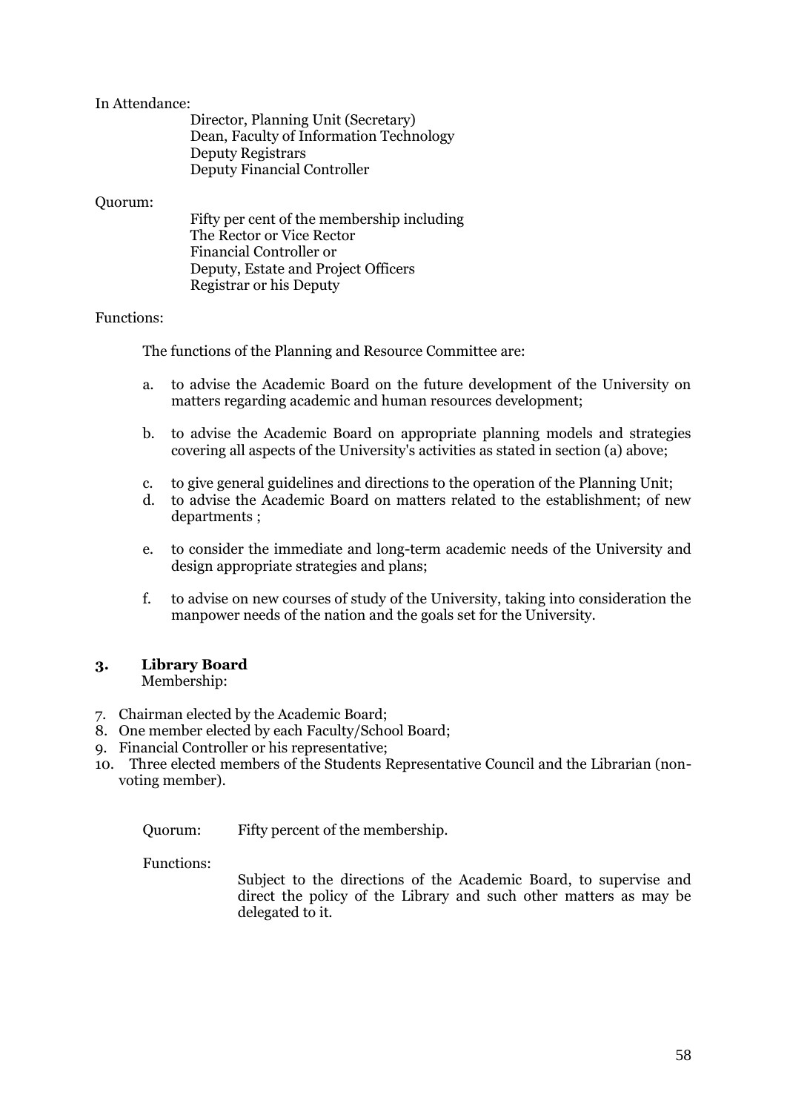## In Attendance:

| Director, Planning Unit (Secretary)     |
|-----------------------------------------|
| Dean, Faculty of Information Technology |
| <b>Deputy Registrars</b>                |
| <b>Deputy Financial Controller</b>      |

## Quorum:

## Functions:

The functions of the Planning and Resource Committee are:

- a. to advise the Academic Board on the future development of the University on matters regarding academic and human resources development;
- b. to advise the Academic Board on appropriate planning models and strategies covering all aspects of the University's activities as stated in section (a) above;
- c. to give general guidelines and directions to the operation of the Planning Unit;
- d. to advise the Academic Board on matters related to the establishment; of new departments ;
- e. to consider the immediate and long-term academic needs of the University and design appropriate strategies and plans;
- f. to advise on new courses of study of the University, taking into consideration the manpower needs of the nation and the goals set for the University.

#### <span id="page-57-0"></span>**3. Library Board** Membership:

- 7. Chairman elected by the Academic Board;
- 8. One member elected by each Faculty/School Board;
- 9. Financial Controller or his representative;
- 10. Three elected members of the Students Representative Council and the Librarian (nonvoting member).

Quorum: Fifty percent of the membership.

Functions:

Subject to the directions of the Academic Board, to supervise and direct the policy of the Library and such other matters as may be delegated to it.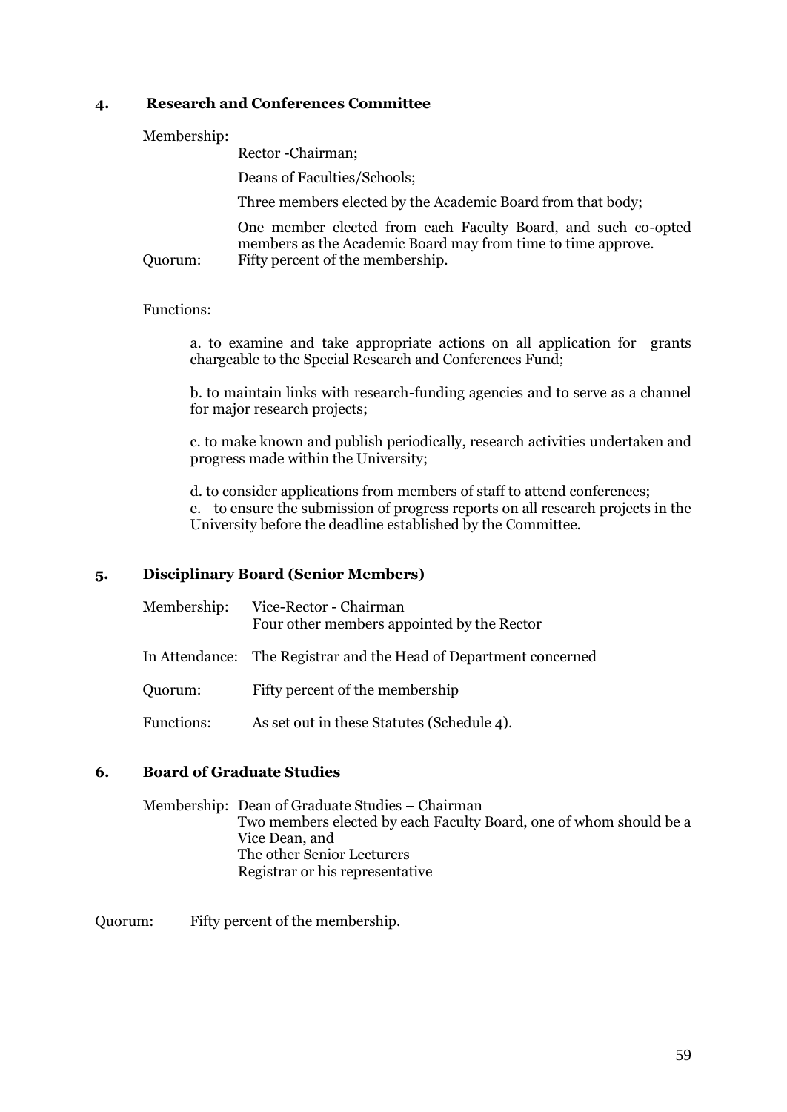# <span id="page-58-0"></span>**4. Research and Conferences Committee**

## Membership:

Rector -Chairman;

Deans of Faculties/Schools;

Three members elected by the Academic Board from that body;

One member elected from each Faculty Board, and such co-opted members as the Academic Board may from time to time approve. Quorum: Fifty percent of the membership.

# Functions:

a. to examine and take appropriate actions on all application for grants chargeable to the Special Research and Conferences Fund;

b. to maintain links with research-funding agencies and to serve as a channel for major research projects;

c. to make known and publish periodically, research activities undertaken and progress made within the University;

d. to consider applications from members of staff to attend conferences; e. to ensure the submission of progress reports on all research projects in the University before the deadline established by the Committee.

# <span id="page-58-1"></span>**5. Disciplinary Board (Senior Members)**

| Membership:       | Vice-Rector - Chairman<br>Four other members appointed by the Rector |
|-------------------|----------------------------------------------------------------------|
|                   | In Attendance: The Registrar and the Head of Department concerned    |
| Quorum:           | Fifty percent of the membership                                      |
| <b>Functions:</b> | As set out in these Statutes (Schedule 4).                           |

# <span id="page-58-2"></span>**6. Board of Graduate Studies**

Membership: Dean of Graduate Studies – Chairman Two members elected by each Faculty Board, one of whom should be a Vice Dean, and The other Senior Lecturers Registrar or his representative

Quorum: Fifty percent of the membership.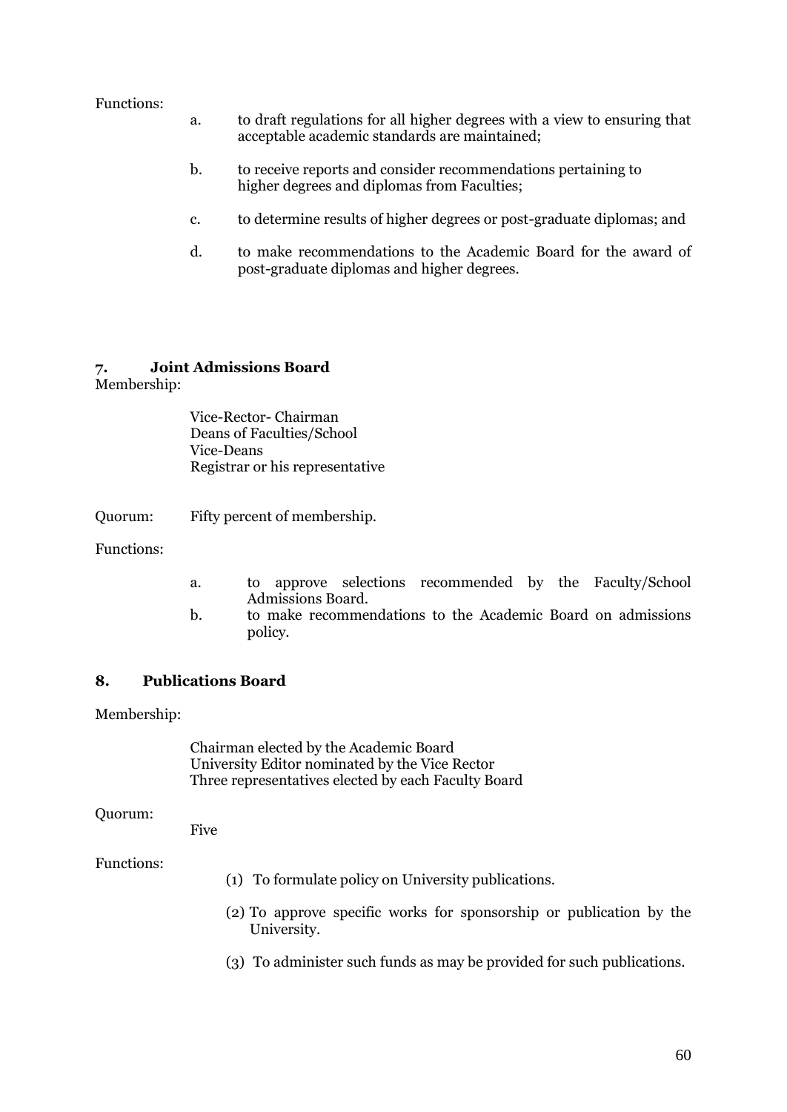## Functions:

- a. to draft regulations for all higher degrees with a view to ensuring that acceptable academic standards are maintained;
- b. to receive reports and consider recommendations pertaining to higher degrees and diplomas from Faculties;
- c. to determine results of higher degrees or post-graduate diplomas; and
- d. to make recommendations to the Academic Board for the award of post-graduate diplomas and higher degrees.

## <span id="page-59-0"></span>**7. Joint Admissions Board**

Membership:

Vice-Rector- Chairman Deans of Faculties/School Vice-Deans Registrar or his representative

Quorum: Fifty percent of membership.

Functions:

- a. to approve selections recommended by the Faculty/School Admissions Board.
- b. to make recommendations to the Academic Board on admissions policy.

# <span id="page-59-1"></span>**8. Publications Board**

Membership:

Chairman elected by the Academic Board University Editor nominated by the Vice Rector Three representatives elected by each Faculty Board

#### Quorum:

Five

# Functions:

- (1) To formulate policy on University publications.
- (2) To approve specific works for sponsorship or publication by the University.
- (3) To administer such funds as may be provided for such publications.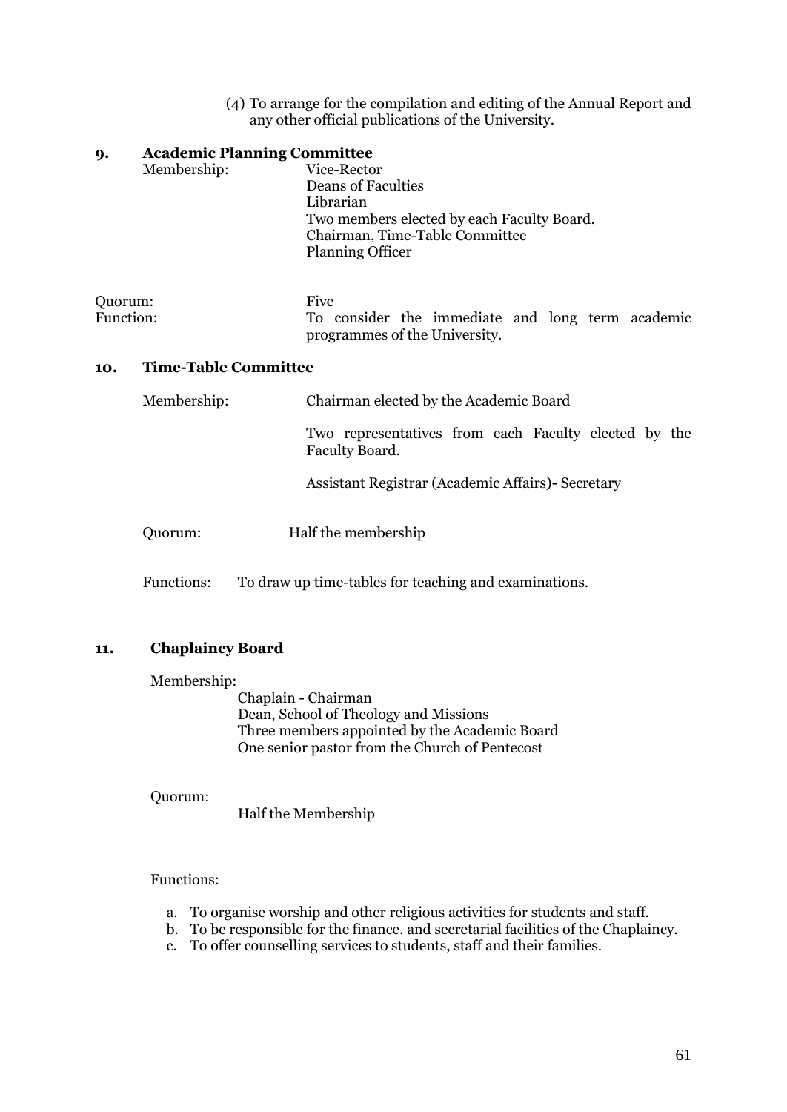(4) To arrange for the compilation and editing of the Annual Report and any other official publications of the University.

<span id="page-60-0"></span>

| 9.                                 | <b>Academic Planning Committee</b><br>Membership: | Vice-Rector<br><b>Deans of Faculties</b><br>Librarian<br>Two members elected by each Faculty Board.<br>Chairman, Time-Table Committee<br><b>Planning Officer</b> |
|------------------------------------|---------------------------------------------------|------------------------------------------------------------------------------------------------------------------------------------------------------------------|
| Quorum:<br>Function:               |                                                   | <b>Five</b><br>To consider the immediate and long term academic<br>programmes of the University.                                                                 |
| <b>Time-Table Committee</b><br>10. |                                                   |                                                                                                                                                                  |
|                                    | Membership:                                       | Chairman elected by the Academic Board                                                                                                                           |
|                                    |                                                   | Two representatives from each Faculty elected by the<br>Faculty Board.                                                                                           |
|                                    |                                                   | Assistant Registrar (Academic Affairs) - Secretary                                                                                                               |

<span id="page-60-1"></span>Quorum: Half the membership

Functions: To draw up time-tables for teaching and examinations.

# <span id="page-60-2"></span>**11. Chaplaincy Board**

Membership:

Chaplain - Chairman Dean, School of Theology and Missions Three members appointed by the Academic Board One senior pastor from the Church of Pentecost

### Quorum:

Half the Membership

### Functions:

- a. To organise worship and other religious activities for students and staff.
- b. To be responsible for the finance. and secretarial facilities of the Chaplaincy.
- c. To offer counselling services to students, staff and their families.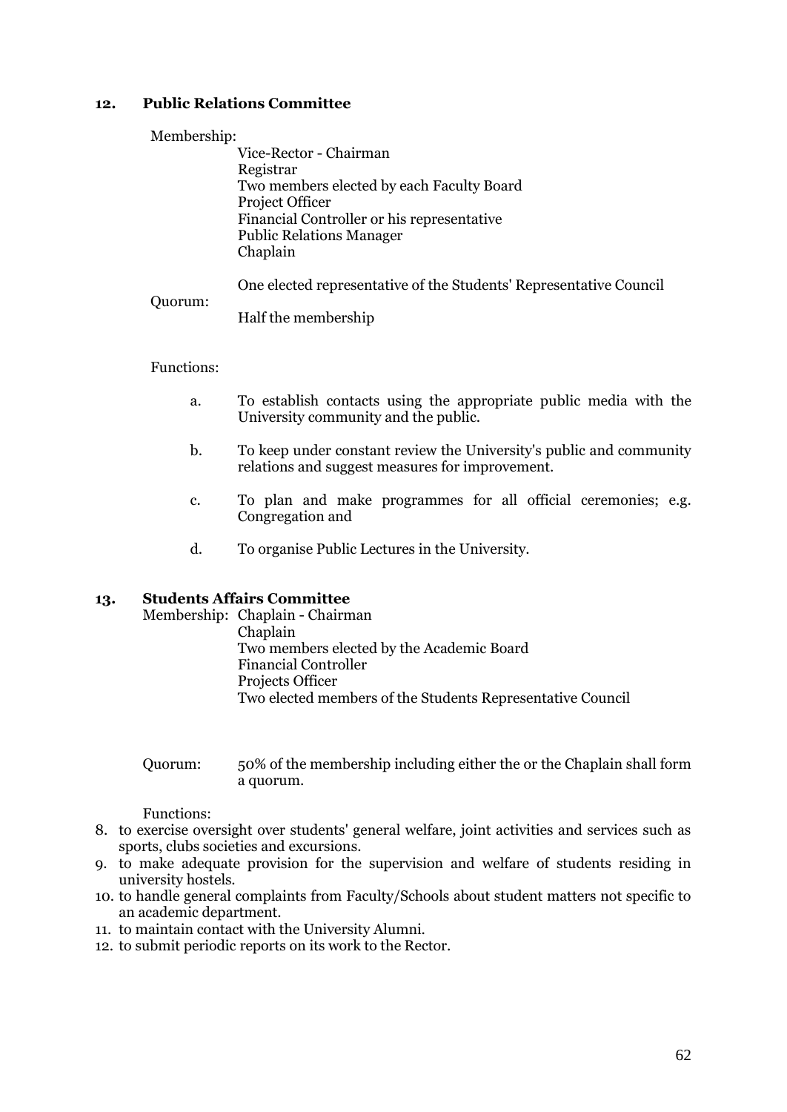# <span id="page-61-0"></span>**12. Public Relations Committee**

#### Membership:

Vice-Rector - Chairman Registrar Two members elected by each Faculty Board Project Officer Financial Controller or his representative Public Relations Manager Chaplain

One elected representative of the Students' Representative Council

Quorum: Half the membership

### Functions:

- a. To establish contacts using the appropriate public media with the University community and the public.
- b. To keep under constant review the University's public and community relations and suggest measures for improvement.
- c. To plan and make programmes for all official ceremonies; e.g. Congregation and
- d. To organise Public Lectures in the University.

# <span id="page-61-1"></span>**13. Students Affairs Committee**

Membership: Chaplain - Chairman Chaplain Two members elected by the Academic Board Financial Controller Projects Officer Two elected members of the Students Representative Council

Quorum: 50% of the membership including either the or the Chaplain shall form a quorum.

Functions:

- 8. to exercise oversight over students' general welfare, joint activities and services such as sports, clubs societies and excursions.
- 9. to make adequate provision for the supervision and welfare of students residing in university hostels.
- 10. to handle general complaints from Faculty/Schools about student matters not specific to an academic department.
- 11. to maintain contact with the University Alumni.
- 12. to submit periodic reports on its work to the Rector.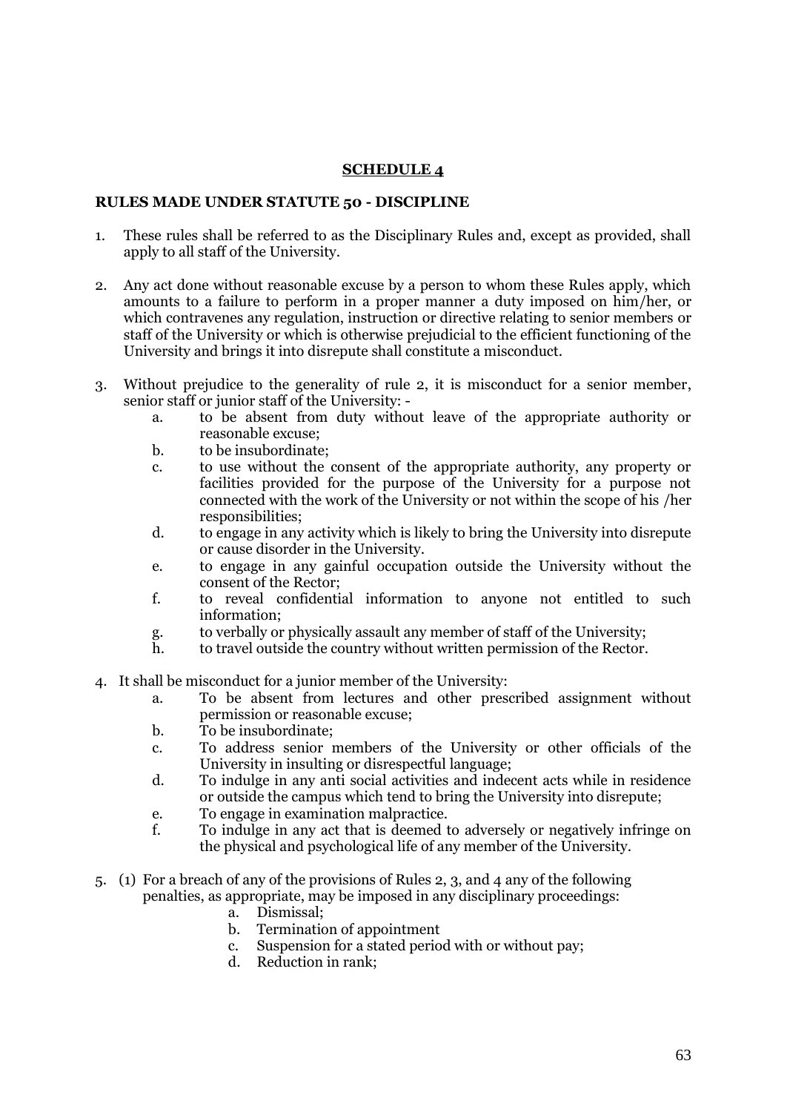# **SCHEDULE 4**

### <span id="page-62-1"></span><span id="page-62-0"></span>**RULES MADE UNDER STATUTE 50 - DISCIPLINE**

- 1. These rules shall be referred to as the Disciplinary Rules and, except as provided, shall apply to all staff of the University.
- 2. Any act done without reasonable excuse by a person to whom these Rules apply, which amounts to a failure to perform in a proper manner a duty imposed on him/her, or which contravenes any regulation, instruction or directive relating to senior members or staff of the University or which is otherwise prejudicial to the efficient functioning of the University and brings it into disrepute shall constitute a misconduct.
- 3. Without prejudice to the generality of rule 2, it is misconduct for a senior member, senior staff or junior staff of the University:
	- a. to be absent from duty without leave of the appropriate authority or reasonable excuse;
	- b. to be insubordinate;
	- c. to use without the consent of the appropriate authority, any property or facilities provided for the purpose of the University for a purpose not connected with the work of the University or not within the scope of his /her responsibilities;
	- d. to engage in any activity which is likely to bring the University into disrepute or cause disorder in the University.
	- e. to engage in any gainful occupation outside the University without the consent of the Rector;
	- f. to reveal confidential information to anyone not entitled to such information;
	- g. to verbally or physically assault any member of staff of the University;
	- h. to travel outside the country without written permission of the Rector.
- 4. It shall be misconduct for a junior member of the University:
	- a. To be absent from lectures and other prescribed assignment without permission or reasonable excuse;
	- b. To be insubordinate;
	- c. To address senior members of the University or other officials of the University in insulting or disrespectful language;
	- d. To indulge in any anti social activities and indecent acts while in residence or outside the campus which tend to bring the University into disrepute;
	- e. To engage in examination malpractice.
	- f. To indulge in any act that is deemed to adversely or negatively infringe on the physical and psychological life of any member of the University.
- 5. (1) For a breach of any of the provisions of Rules 2, 3, and 4 any of the following penalties, as appropriate, may be imposed in any disciplinary proceedings:
	- a. Dismissal;
	- b. Termination of appointment
	- c. Suspension for a stated period with or without pay;
	- d. Reduction in rank;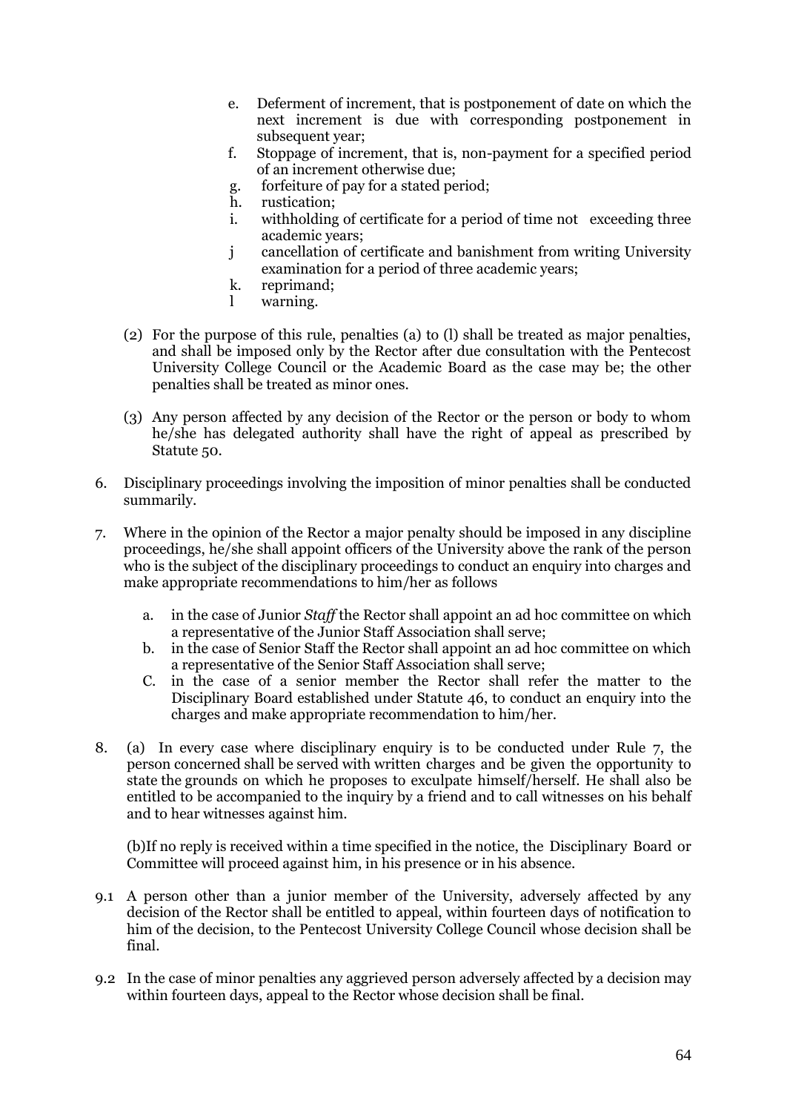- e. Deferment of increment, that is postponement of date on which the next increment is due with corresponding postponement in subsequent year;
- f. Stoppage of increment, that is, non-payment for a specified period of an increment otherwise due;
- g. forfeiture of pay for a stated period;
- h. rustication;
- i. withholding of certificate for a period of time not exceeding three academic years;
- j cancellation of certificate and banishment from writing University examination for a period of three academic years;
- k. reprimand;
- l warning.
- (2) For the purpose of this rule, penalties (a) to (l) shall be treated as major penalties, and shall be imposed only by the Rector after due consultation with the Pentecost University College Council or the Academic Board as the case may be; the other penalties shall be treated as minor ones.
- (3) Any person affected by any decision of the Rector or the person or body to whom he/she has delegated authority shall have the right of appeal as prescribed by Statute 50.
- 6. Disciplinary proceedings involving the imposition of minor penalties shall be conducted summarily.
- 7. Where in the opinion of the Rector a major penalty should be imposed in any discipline proceedings, he/she shall appoint officers of the University above the rank of the person who is the subject of the disciplinary proceedings to conduct an enquiry into charges and make appropriate recommendations to him/her as follows
	- a. in the case of Junior *Staff* the Rector shall appoint an ad hoc committee on which a representative of the Junior Staff Association shall serve;
	- b. in the case of Senior Staff the Rector shall appoint an ad hoc committee on which a representative of the Senior Staff Association shall serve;
	- C. in the case of a senior member the Rector shall refer the matter to the Disciplinary Board established under Statute 46, to conduct an enquiry into the charges and make appropriate recommendation to him/her.
- 8. (a) In every case where disciplinary enquiry is to be conducted under Rule 7, the person concerned shall be served with written charges and be given the opportunity to state the grounds on which he proposes to exculpate himself/herself. He shall also be entitled to be accompanied to the inquiry by a friend and to call witnesses on his behalf and to hear witnesses against him.

(b)If no reply is received within a time specified in the notice, the Disciplinary Board or Committee will proceed against him, in his presence or in his absence.

- 9.1 A person other than a junior member of the University, adversely affected by any decision of the Rector shall be entitled to appeal, within fourteen days of notification to him of the decision, to the Pentecost University College Council whose decision shall be final.
- 9.2 In the case of minor penalties any aggrieved person adversely affected by a decision may within fourteen days, appeal to the Rector whose decision shall be final.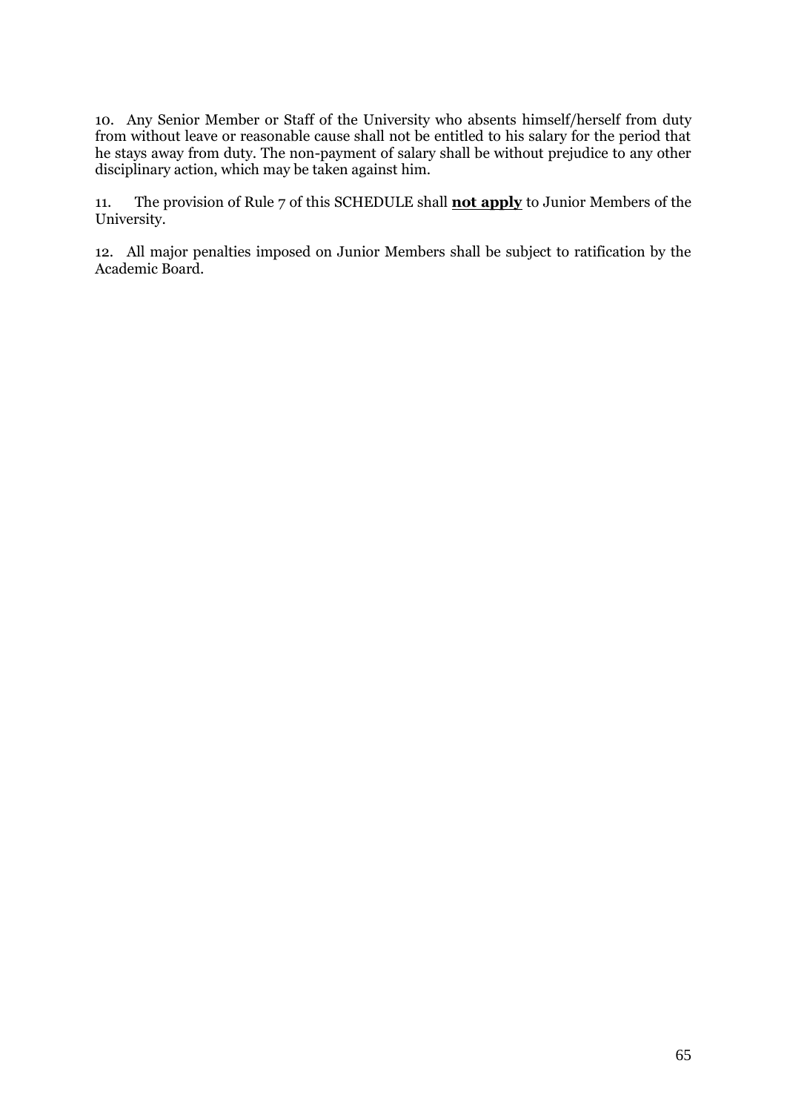10. Any Senior Member or Staff of the University who absents himself/herself from duty from without leave or reasonable cause shall not be entitled to his salary for the period that he stays away from duty. The non-payment of salary shall be without prejudice to any other disciplinary action, which may be taken against him.

11. The provision of Rule 7 of this SCHEDULE shall **not apply** to Junior Members of the University.

12. All major penalties imposed on Junior Members shall be subject to ratification by the Academic Board.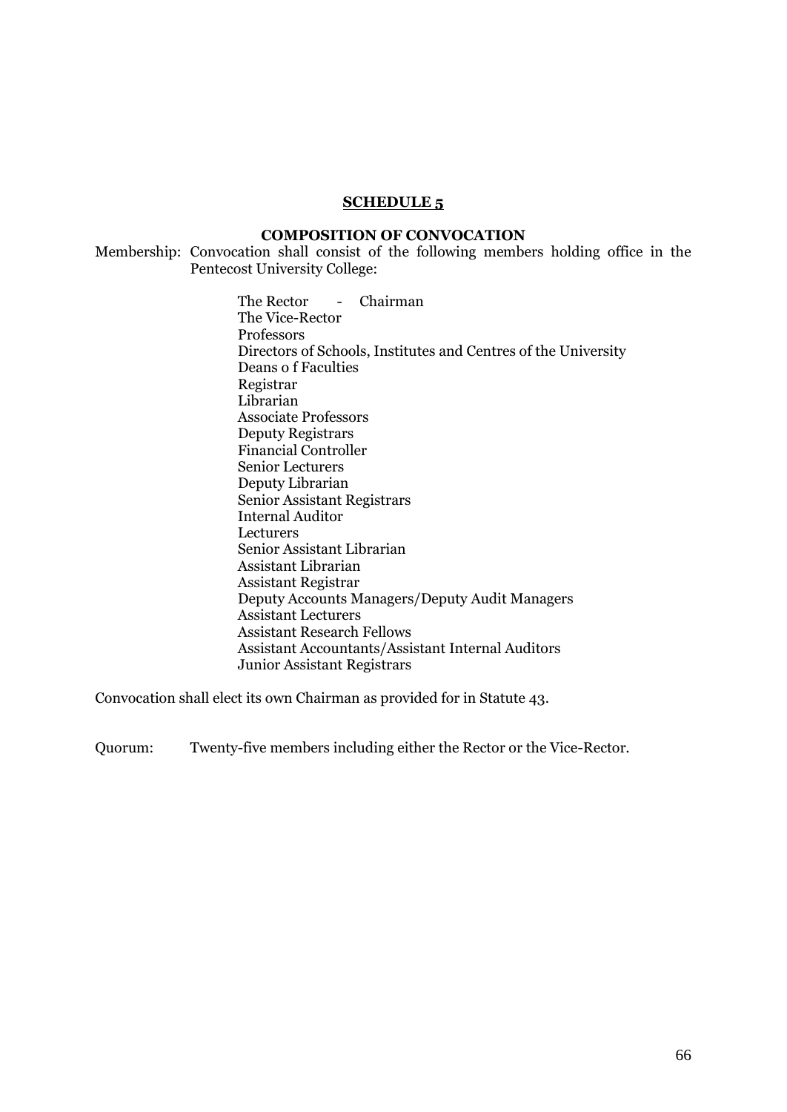#### **SCHEDULE 5**

#### **COMPOSITION OF CONVOCATION**

<span id="page-65-1"></span><span id="page-65-0"></span>Membership: Convocation shall consist of the following members holding office in the Pentecost University College:

> The Rector - Chairman The Vice-Rector Professors Directors of Schools, Institutes and Centres of the University Deans o f Faculties Registrar Librarian Associate Professors Deputy Registrars Financial Controller Senior Lecturers Deputy Librarian Senior Assistant Registrars Internal Auditor **Lecturers** Senior Assistant Librarian Assistant Librarian Assistant Registrar Deputy Accounts Managers/Deputy Audit Managers Assistant Lecturers Assistant Research Fellows Assistant Accountants/Assistant Internal Auditors Junior Assistant Registrars

Convocation shall elect its own Chairman as provided for in Statute 43.

Quorum: Twenty-five members including either the Rector or the Vice-Rector.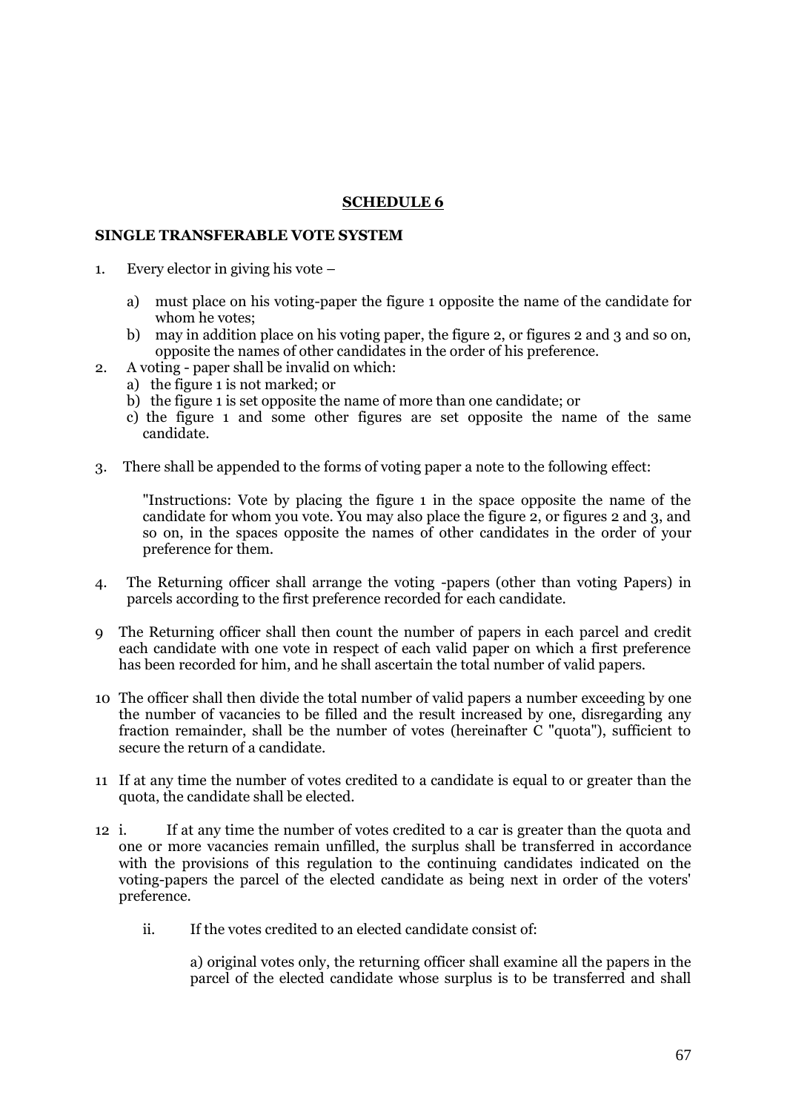## **SCHEDULE 6**

### <span id="page-66-1"></span><span id="page-66-0"></span>**SINGLE TRANSFERABLE VOTE SYSTEM**

- 1. Every elector in giving his vote
	- a) must place on his voting-paper the figure 1 opposite the name of the candidate for whom he votes;
	- b) may in addition place on his voting paper, the figure 2, or figures 2 and 3 and so on, opposite the names of other candidates in the order of his preference.
- 2. A voting paper shall be invalid on which:
	- a) the figure 1 is not marked; or
	- b) the figure 1 is set opposite the name of more than one candidate; or
	- c) the figure 1 and some other figures are set opposite the name of the same candidate.
- 3. There shall be appended to the forms of voting paper a note to the following effect:

"Instructions: Vote by placing the figure 1 in the space opposite the name of the candidate for whom you vote. You may also place the figure 2, or figures 2 and 3, and so on, in the spaces opposite the names of other candidates in the order of your preference for them.

- 4. The Returning officer shall arrange the voting -papers (other than voting Papers) in parcels according to the first preference recorded for each candidate.
- 9 The Returning officer shall then count the number of papers in each parcel and credit each candidate with one vote in respect of each valid paper on which a first preference has been recorded for him, and he shall ascertain the total number of valid papers.
- 10 The officer shall then divide the total number of valid papers a number exceeding by one the number of vacancies to be filled and the result increased by one, disregarding any fraction remainder, shall be the number of votes (hereinafter C "quota"), sufficient to secure the return of a candidate.
- 11 If at any time the number of votes credited to a candidate is equal to or greater than the quota, the candidate shall be elected.
- 12 i. If at any time the number of votes credited to a car is greater than the quota and one or more vacancies remain unfilled, the surplus shall be transferred in accordance with the provisions of this regulation to the continuing candidates indicated on the voting-papers the parcel of the elected candidate as being next in order of the voters' preference.
	- ii. If the votes credited to an elected candidate consist of:

a) original votes only, the returning officer shall examine all the papers in the parcel of the elected candidate whose surplus is to be transferred and shall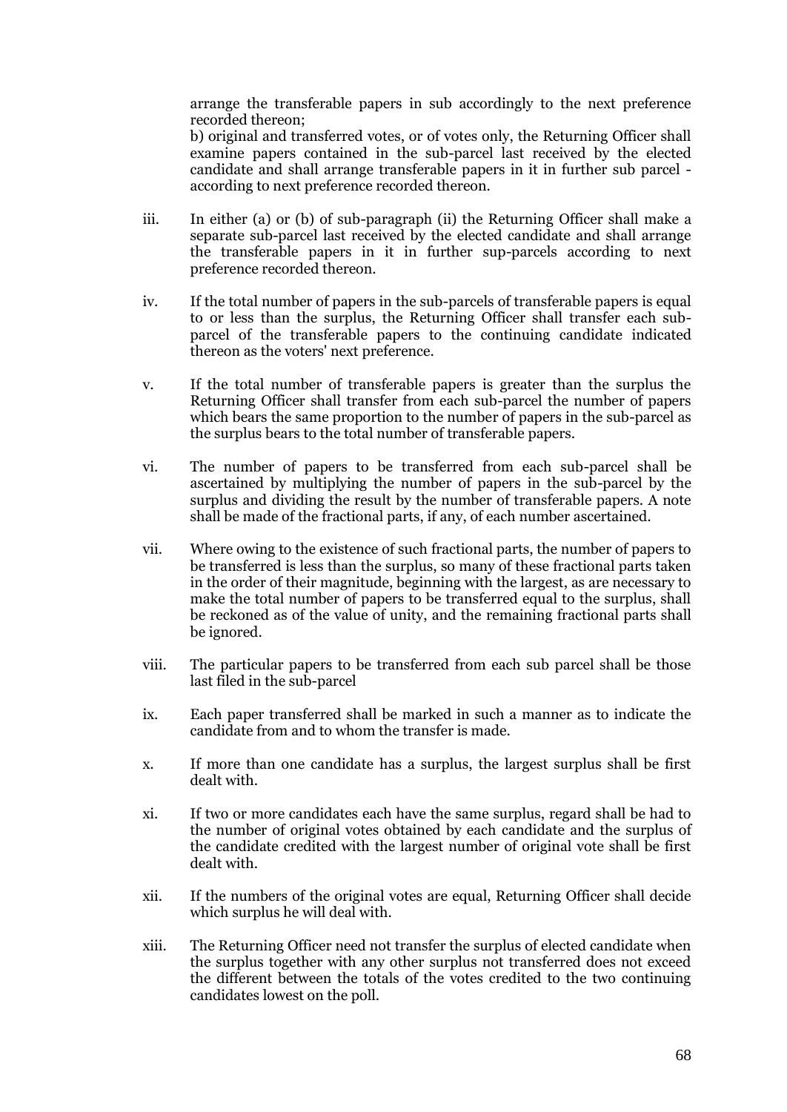arrange the transferable papers in sub accordingly to the next preference recorded thereon;

b) original and transferred votes, or of votes only, the Returning Officer shall examine papers contained in the sub-parcel last received by the elected candidate and shall arrange transferable papers in it in further sub parcel according to next preference recorded thereon.

- iii. In either (a) or (b) of sub-paragraph (ii) the Returning Officer shall make a separate sub-parcel last received by the elected candidate and shall arrange the transferable papers in it in further sup-parcels according to next preference recorded thereon.
- iv. If the total number of papers in the sub-parcels of transferable papers is equal to or less than the surplus, the Returning Officer shall transfer each subparcel of the transferable papers to the continuing candidate indicated thereon as the voters' next preference.
- v. If the total number of transferable papers is greater than the surplus the Returning Officer shall transfer from each sub-parcel the number of papers which bears the same proportion to the number of papers in the sub-parcel as the surplus bears to the total number of transferable papers.
- vi. The number of papers to be transferred from each sub-parcel shall be ascertained by multiplying the number of papers in the sub-parcel by the surplus and dividing the result by the number of transferable papers. A note shall be made of the fractional parts, if any, of each number ascertained.
- vii. Where owing to the existence of such fractional parts, the number of papers to be transferred is less than the surplus, so many of these fractional parts taken in the order of their magnitude, beginning with the largest, as are necessary to make the total number of papers to be transferred equal to the surplus, shall be reckoned as of the value of unity, and the remaining fractional parts shall be ignored.
- viii. The particular papers to be transferred from each sub parcel shall be those last filed in the sub-parcel
- ix. Each paper transferred shall be marked in such a manner as to indicate the candidate from and to whom the transfer is made.
- x. If more than one candidate has a surplus, the largest surplus shall be first dealt with.
- xi. If two or more candidates each have the same surplus, regard shall be had to the number of original votes obtained by each candidate and the surplus of the candidate credited with the largest number of original vote shall be first dealt with.
- xii. If the numbers of the original votes are equal, Returning Officer shall decide which surplus he will deal with.
- xiii. The Returning Officer need not transfer the surplus of elected candidate when the surplus together with any other surplus not transferred does not exceed the different between the totals of the votes credited to the two continuing candidates lowest on the poll.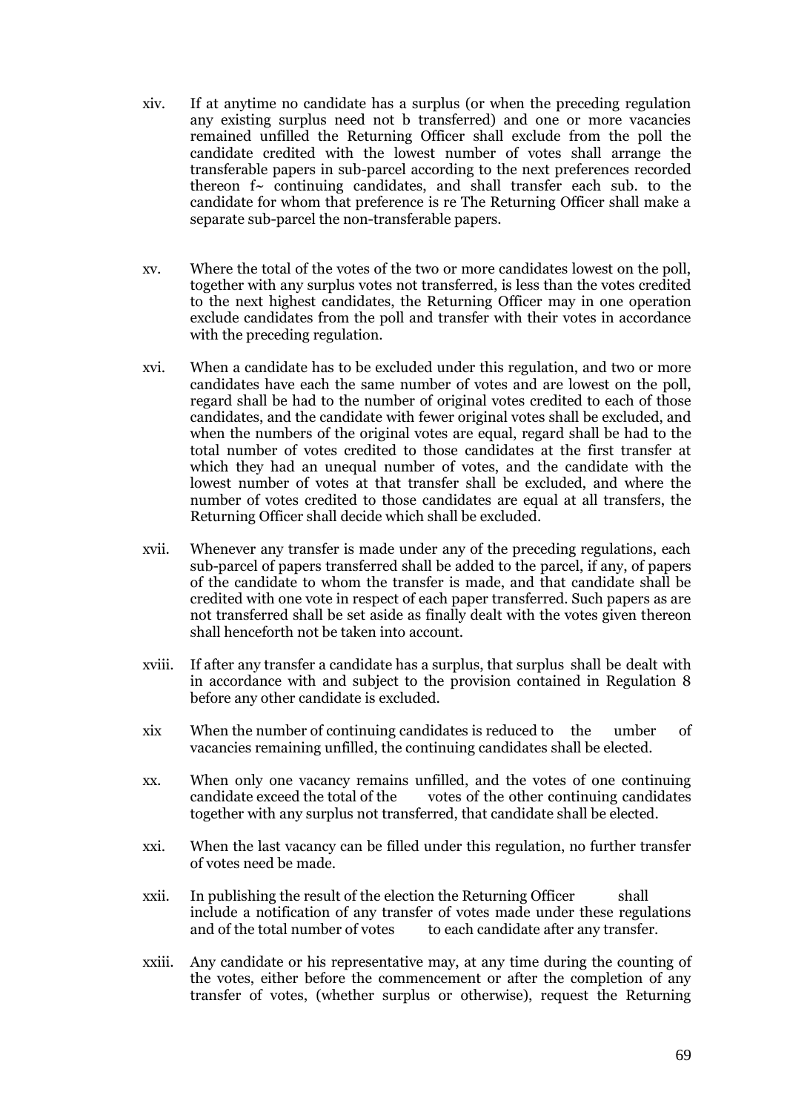- xiv. If at anytime no candidate has a surplus (or when the preceding regulation any existing surplus need not b transferred) and one or more vacancies remained unfilled the Returning Officer shall exclude from the poll the candidate credited with the lowest number of votes shall arrange the transferable papers in sub-parcel according to the next preferences recorded thereon  $f<sub>></sub>$  continuing candidates, and shall transfer each sub. to the candidate for whom that preference is re The Returning Officer shall make a separate sub-parcel the non-transferable papers.
- xv. Where the total of the votes of the two or more candidates lowest on the poll, together with any surplus votes not transferred, is less than the votes credited to the next highest candidates, the Returning Officer may in one operation exclude candidates from the poll and transfer with their votes in accordance with the preceding regulation.
- xvi. When a candidate has to be excluded under this regulation, and two or more candidates have each the same number of votes and are lowest on the poll, regard shall be had to the number of original votes credited to each of those candidates, and the candidate with fewer original votes shall be excluded, and when the numbers of the original votes are equal, regard shall be had to the total number of votes credited to those candidates at the first transfer at which they had an unequal number of votes, and the candidate with the lowest number of votes at that transfer shall be excluded, and where the number of votes credited to those candidates are equal at all transfers, the Returning Officer shall decide which shall be excluded.
- xvii. Whenever any transfer is made under any of the preceding regulations, each sub-parcel of papers transferred shall be added to the parcel, if any, of papers of the candidate to whom the transfer is made, and that candidate shall be credited with one vote in respect of each paper transferred. Such papers as are not transferred shall be set aside as finally dealt with the votes given thereon shall henceforth not be taken into account.
- xviii. If after any transfer a candidate has a surplus, that surplus shall be dealt with in accordance with and subject to the provision contained in Regulation 8 before any other candidate is excluded.
- xix When the number of continuing candidates is reduced to the umber of vacancies remaining unfilled, the continuing candidates shall be elected.
- xx. When only one vacancy remains unfilled, and the votes of one continuing candidate exceed the total of the votes of the other continuing candidates together with any surplus not transferred, that candidate shall be elected.
- xxi. When the last vacancy can be filled under this regulation, no further transfer of votes need be made.
- xxii. In publishing the result of the election the Returning Officer shall include a notification of any transfer of votes made under these regulations and of the total number of votes to each candidate after any transfer.
- xxiii. Any candidate or his representative may, at any time during the counting of the votes, either before the commencement or after the completion of any transfer of votes, (whether surplus or otherwise), request the Returning